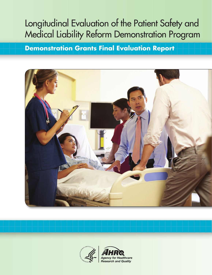# Longitudinal Evaluation of the Patient Safety and Medical Liability Reform Demonstration Program

**Demonstration Grants Final Evaluation Report**



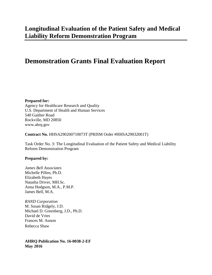# **Demonstration Grants Final Evaluation Report**

**Prepared for:**  Agency for Healthcare Research and Quality U.S. Department of Health and Human Services 540 Gaither Road Rockville, MD 20850 www.ahrq.gov

**Contract No.** HHSA290200710073T (PRISM Order #HHSA29032001T)

Task Order No. 3: The Longitudinal Evaluation of the Patient Safety and Medical Liability Reform Demonstration Program

#### **Prepared by:**

*James Bell Associates* Michelle Pillen, Ph.D. Elizabeth Hayes Natasha Driver, MH.Sc. Anna Hodgson, M.A., P.M.P. James Bell, M.A.

*RAND Corporation*  M. Susan Ridgely, J.D. Michael D. Greenberg, J.D., Ph.D. David de Vries Frances M. Aunon Rebecca Shaw

**AHRQ Publication No. 16-0038-2-EF May 2016**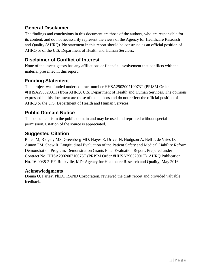### **General Disclaimer**

The findings and conclusions in this document are those of the authors, who are responsible for its content, and do not necessarily represent the views of the Agency for Healthcare Research and Quality (AHRQ). No statement in this report should be construed as an official position of AHRQ or of the U.S. Department of Health and Human Services.

### **Disclaimer of Conflict of Interest**

None of the investigators has any affiliations or financial involvement that conflicts with the material presented in this report.

### **Funding Statement**

This project was funded under contract number HHSA290200710073T (PRISM Order #HHSA29032001T) from AHRQ, U.S. Department of Health and Human Services. The opinions expressed in this document are those of the authors and do not reflect the official position of AHRQ or the U.S. Department of Health and Human Services.

### **Public Domain Notice**

This document is in the public domain and may be used and reprinted without special permission. Citation of the source is appreciated.

### **Suggested Citation**

Pillen M, Ridgely MS, Greenberg MD, Hayes E, Driver N, Hodgson A, Bell J, de Vries D, Aunon FM, Shaw R. Longitudinal Evaluation of the Patient Safety and Medical Liability Reform Demonstration Program: Demonstration Grants Final Evaluation Report. Prepared under Contract No. HHSA290200710073T (PRISM Order #HHSA29032001T). AHRQ Publication No. 16-0038-2-EF. Rockville, MD: Agency for Healthcare Research and Quality; May 2016.

#### **Acknowledgments**

Donna O. Farley, Ph.D., RAND Corporation, reviewed the draft report and provided valuable feedback.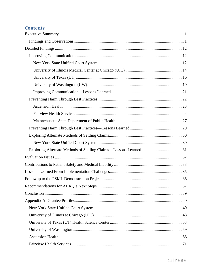# **Contents**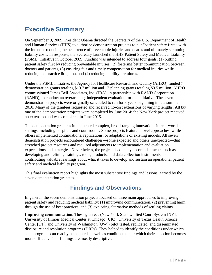# <span id="page-5-0"></span>**Executive Summary**

On September 9, 2009, President Obama directed the Secretary of the U.S. Department of Health and Human Services (HHS) to authorize demonstration projects to put "patient safety first," with the intent of reducing the occurrence of preventable injuries and deaths and ultimately stemming liability costs. In response, the Secretary launched the HHS Patient Safety and Medical Liability (PSML) initiative in October 2009. Funding was intended to address four goals: (1) putting patient safety first by reducing preventable injuries, (2) fostering better communication between doctors and patients, (3) ensuring fair and timely compensation for medical injuries while reducing malpractice litigation, and (4) reducing liability premiums.

Under the PSML initiative, the Agency for Healthcare Research and Quality (AHRQ) funded 7 demonstration grants totaling \$19.7 million and 13 planning grants totaling \$3.5 million. AHRQ commissioned James Bell Associates, Inc. (JBA), in partnership with RAND Corporation (RAND), to conduct an overarching, independent evaluation for this initiative. The seven demonstration projects were originally scheduled to run for 3 years beginning in late summer 2010. Many of the grantees requested and received no-cost extensions of varying lengths. All but one of the demonstration projects were completed by June 2014; the New York project received an extension and was completed in June 2015.

The demonstration grantees implemented complex, broad-ranging innovations in real-world settings, including hospitals and court rooms. Some projects featured novel approaches, while others implemented continuations, replications, or adaptations of existing models. All seven demonstration projects encountered challenges—some expected and others unexpected—that stretched project resources and required adjustments to implementation and evaluation expectations and strategies. Nevertheless, the projects had many accomplishments, such as developing and refining trainings, tools, products, and data collection instruments and contributing valuable learnings about what it takes to develop and sustain an operational patient safety and medical liability program.

This final evaluation report highlights the most substantive findings and lessons learned by the seven demonstration grantees.

# **Findings and Observations**

<span id="page-5-1"></span>In general, the seven demonstration projects focused on three main approaches to improving patient safety and reducing medical liability: (1) improving communication, (2) preventing harm through the use of best practices, and (3) exploring alternative methods of settling claims.

**Improving communication.** These grantees (New York State Unified Court System [NY], University of Illinois Medical Center at Chicago [UIC], University of Texas Health Science Center [UT], and University of Washington [UW]) pilot tested, replicated, and disseminated disclosure and resolution programs (DRPs). They helped to identify the conditions under which such programs can readily be adopted, as well as conditions under which their adoption becomes more difficult. Their findings are mostly descriptive.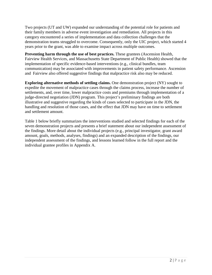Two projects (UT and UW) expanded our understanding of the potential role for patients and their family members in adverse event investigation and remediation. All projects in this category encountered a series of implementation and data collection challenges that the demonstration teams struggled to overcome. Consequently, only the UIC project, which started 4 years prior to the grant, was able to examine impact across multiple outcomes.

**Preventing harm through the use of best practices.** These grantees (Ascension Health, Fairview Health Services, and Massachusetts State Department of Public Health) showed that the implementation of specific evidence-based interventions (e.g., clinical bundles, team communication) may be associated with improvements in patient safety performance. Ascension and Fairview also offered suggestive findings that malpractice risk also may be reduced.

**Exploring alternative methods of settling claims.** One demonstration project (NY) sought to expedite the movement of malpractice cases through the claims process, increase the number of settlements, and, over time, lower malpractice costs and premiums through implementation of a judge-directed negotiation (JDN) program. This project's preliminary findings are both illustrative and suggestive regarding the kinds of cases selected to participate in the JDN, the handling and resolution of those cases, and the effect that JDN may have on time to settlement and settlement amount.

Table 1 below briefly summarizes the interventions studied and selected findings for each of the seven demonstration projects and presents a brief statement about our independent assessment of the findings. More detail about the individual projects (e.g., principal investigator, grant award amount, goals, methods, analyses, findings) and an expanded description of the findings, our independent assessment of the findings, and lessons learned follow in the full report and the individual grantee profiles in Appendix A.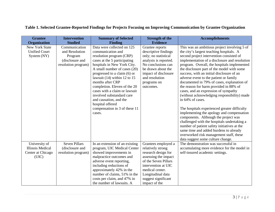| <b>Grantee</b>          | <b>Intervention</b>  | <b>Summary of Selected</b>                 | <b>Strength of the</b> | <b>Accomplishments</b>                                          |
|-------------------------|----------------------|--------------------------------------------|------------------------|-----------------------------------------------------------------|
| <b>Organization</b>     | <b>Studied</b>       | <b>Finding</b>                             | <b>Evidence</b>        |                                                                 |
| <b>New York State</b>   | Communication        | Data were collected on 125                 | Grantee reports        | This was an ambitious project involving 5 of                    |
| <b>Unified Court</b>    | and Resolution       | communication and                          | descriptive findings   | the city's largest teaching hospitals. A                        |
| System (NY)             | Program              | resolution program (CRP)                   | only; no statistical   | second project intervention consisted of                        |
|                         | (disclosure and      | cases at the 5 participating               | analysis is reported.  | implementation of a disclosure and resolution                   |
|                         | resolution program)  | hospitals in New York City.                | No conclusions can     | program. Overall, the hospitals implemented                     |
|                         |                      | A small number of cases (20)               | be drawn about the     | the disclosure part of the model with some                      |
|                         |                      | progressed to a claim (6) or               | impact of disclosure   | success, with an initial disclosure of an                       |
|                         |                      | lawsuit $(14)$ within 12 to 15             | and resolution         | adverse event to the patient or family                          |
|                         |                      | months after CRP                           | programs on            | documented in 79% of cases, explanation of                      |
|                         |                      | completion. Eleven of the 20               | outcomes.              | the reason for harm provided in 88% of                          |
|                         |                      | cases with a claim or lawsuit              |                        | cases, and an expression of sympathy                            |
|                         |                      | involved substandard care                  |                        | (without acknowledging responsibility) made<br>in 64% of cases. |
|                         |                      | and causation, and the<br>hospital offered |                        |                                                                 |
|                         |                      | compensation in 3 of these 11              |                        | The hospitals experienced greater difficulty                    |
|                         |                      | cases.                                     |                        | implementing the apology and compensation                       |
|                         |                      |                                            |                        | components. Although the project was                            |
|                         |                      |                                            |                        | challenged with the hospitals undertaking a                     |
|                         |                      |                                            |                        | number of patient safety initiatives at the                     |
|                         |                      |                                            |                        | same time and added burdens to already                          |
|                         |                      |                                            |                        | overworked risk management staff, these                         |
|                         |                      |                                            |                        | data suggest some culture change.                               |
| University of           | <b>Seven Pillars</b> | In an extension of an existing             | Grantees employed a    | The demonstration was successful in                             |
| <b>Illinois Medical</b> | (disclosure and      | program, UIC Medical Center                | relatively strong      | accumulating more evidence for the model in                     |
| Center at Chicago       | resolution program)  | showed improvements in                     | research design for    | self-insured academic settings.                                 |
| (UIC)                   |                      | malpractice outcomes and                   | assessing the impact   |                                                                 |
|                         |                      | adverse event reporting,                   | of the Seven Pillars   |                                                                 |
|                         |                      | including reductions of                    | intervention at UIC    |                                                                 |
|                         |                      | approximately 42% in the                   | medical center.        |                                                                 |
|                         |                      | number of claims, 51% in the               | Longitudinal data      |                                                                 |
|                         |                      | costs per claim, and 47% in                | suggest significant    |                                                                 |
|                         |                      | the number of lawsuits. A                  | impact of the          |                                                                 |

### **Table 1. Selected Grantee-Reported Findings for Projects Focusing on Improving Communication by Grantee Organization**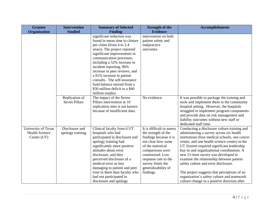| <b>Grantee</b>        | <b>Intervention</b>  | <b>Summary of Selected</b>     | <b>Strength of the</b>    | <b>Accomplishments</b>                         |
|-----------------------|----------------------|--------------------------------|---------------------------|------------------------------------------------|
| <b>Organization</b>   | <b>Studied</b>       | <b>Finding</b>                 | <b>Evidence</b>           |                                                |
|                       |                      | significant reduction was      | intervention on both      |                                                |
|                       |                      | found in mean time to closure  | patient safety and        |                                                |
|                       |                      | per claim (from 4 to 2.4       | malpractice               |                                                |
|                       |                      | years). The project reported   | outcomes.                 |                                                |
|                       |                      | significant improvements in    |                           |                                                |
|                       |                      | communication processes,       |                           |                                                |
|                       |                      | including a 52% increase in    |                           |                                                |
|                       |                      | incident reporting, 96%        |                           |                                                |
|                       |                      | increase in peer reviews, and  |                           |                                                |
|                       |                      | a 91% increase in patient      |                           |                                                |
|                       |                      | consults. The self-insurance   |                           |                                                |
|                       |                      | fund balance moved from a      |                           |                                                |
|                       |                      | \$30 million deficit to a \$40 |                           |                                                |
|                       |                      | million surplus.               |                           |                                                |
|                       | Replication of       | The impact of the Seven        | No evidence.              | It was possible to package the training and    |
|                       | <b>Seven Pillars</b> | Pillars intervention at 10     |                           | tools and implement them in the community      |
|                       |                      | replication sites is not known |                           | hospital setting. However, the hospitals       |
|                       |                      | because of insufficient data.  |                           | struggled to implement program components      |
|                       |                      |                                |                           | and provide data on risk management and        |
|                       |                      |                                |                           | liability outcomes without new staff or        |
|                       |                      |                                |                           | dedicated staff time.                          |
| University of Texas   | Disclosure and       | Clinical faculty from 6 UT     | It is difficult to assess | Conducting a disclosure culture training and   |
| <b>Health Science</b> | apology training     | hospitals who had              | the strength of the       | administering a survey across six health       |
| Center (UT)           |                      | participated in disclosure and | findings because it is    | institutions (four medical schools, one cancer |
|                       |                      | apology training had           | not clear how some        | center, and one health science center) in the  |
|                       |                      | significantly more positive    | of the statistical        | UT System required significant leadership      |
|                       |                      | attitudes about error          | comparisons were          | buy-in and organizational coordination. A      |
|                       |                      | disclosure, and they           | constructed. Low          | new 51-item survey was developed to            |
|                       |                      | perceived disclosure of a      | response rate to the      | examine the relationship between patient       |
|                       |                      | medical error as less          | survey limits the         | safety culture and error disclosure.           |
|                       |                      | damaging to patient and peer   | generalizability of       |                                                |
|                       |                      | trust in them than faculty who | findings.                 | The project suggests that perceptions of an    |
|                       |                      | had not participated in        |                           | organization's safety culture and teamwork     |
|                       |                      | disclosure and apology         |                           | culture change in a positive direction after   |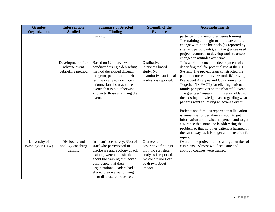| <b>Grantee</b>                   | <b>Intervention</b>                            | <b>Summary of Selected</b>                                                                                                                                                                                                                                                      | <b>Strength of the</b>                                                                                                                      | <b>Accomplishments</b>                                                                                                                                                                                                                                                                                                                                                                                                                                                                                                                                                                                                                                                         |
|----------------------------------|------------------------------------------------|---------------------------------------------------------------------------------------------------------------------------------------------------------------------------------------------------------------------------------------------------------------------------------|---------------------------------------------------------------------------------------------------------------------------------------------|--------------------------------------------------------------------------------------------------------------------------------------------------------------------------------------------------------------------------------------------------------------------------------------------------------------------------------------------------------------------------------------------------------------------------------------------------------------------------------------------------------------------------------------------------------------------------------------------------------------------------------------------------------------------------------|
| <b>Organization</b>              | <b>Studied</b>                                 | <b>Finding</b>                                                                                                                                                                                                                                                                  | <b>Evidence</b>                                                                                                                             |                                                                                                                                                                                                                                                                                                                                                                                                                                                                                                                                                                                                                                                                                |
|                                  |                                                | training.                                                                                                                                                                                                                                                                       |                                                                                                                                             | participating in error disclosure training.<br>The training did begin to stimulate culture<br>change within the hospitals (as reported by<br>site visit participants), and the grantee used<br>project resources to develop tools to assess<br>changes in attitudes over time.                                                                                                                                                                                                                                                                                                                                                                                                 |
|                                  | Development of an                              | Based on 62 interviews                                                                                                                                                                                                                                                          | Qualitative,                                                                                                                                | This work informed the development of a                                                                                                                                                                                                                                                                                                                                                                                                                                                                                                                                                                                                                                        |
|                                  | adverse event                                  | conducted using a debriefing                                                                                                                                                                                                                                                    | interview-based                                                                                                                             | debriefing tool for potential use at the UT                                                                                                                                                                                                                                                                                                                                                                                                                                                                                                                                                                                                                                    |
|                                  | debriefing method                              | method developed through<br>the grant, patients and their<br>families can provide critical<br>information about adverse<br>events that is not otherwise<br>known to those analyzing the<br>event.                                                                               | study. No<br>quantitative statistical<br>analysis is reported.                                                                              | System. The project team constructed the<br>patient-centered interview tool, IMproving<br>Post-event Analysis and Communication<br>Together (IMPACT) for eliciting patient and<br>family perspectives on their harmful events.<br>The grantees' research in this area added to<br>the existing knowledge base regarding what<br>patients want following an adverse event.<br>Patients and families reported that litigation<br>is sometimes undertaken as much to get<br>information about what happened, and to get<br>assurance that someone is addressing the<br>problem so that no other patient is harmed in<br>the same way, as it is to get compensation for<br>injury. |
| University of<br>Washington (UW) | Disclosure and<br>apology coaching<br>training | In an attitude survey, 33% of<br>staff who participated in<br>disclosure and apology coach<br>training were enthusiastic<br>about the training but lacked<br>confidence that their<br>organizational leaders had a<br>shared vision around using<br>error disclosure processes. | Grantee reports<br>descriptive findings<br>only; no statistical<br>analysis is reported.<br>No conclusions can<br>be drawn about<br>impact. | Overall, the project trained a large number of<br>clinicians. Almost 400 disclosure and<br>apology coaches were trained.                                                                                                                                                                                                                                                                                                                                                                                                                                                                                                                                                       |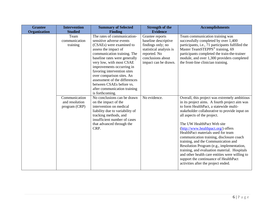| <b>Grantee</b> | <b>Intervention</b>                              | <b>Summary of Selected</b>                                                                                                                                                                                                                                                                                                                                                                                       | <b>Strength of the</b>                                                                                                                               | <b>Accomplishments</b>                                                                                                                                                                                                                                                                                                                                                                                                                                                                                                                                                                                                                                |
|----------------|--------------------------------------------------|------------------------------------------------------------------------------------------------------------------------------------------------------------------------------------------------------------------------------------------------------------------------------------------------------------------------------------------------------------------------------------------------------------------|------------------------------------------------------------------------------------------------------------------------------------------------------|-------------------------------------------------------------------------------------------------------------------------------------------------------------------------------------------------------------------------------------------------------------------------------------------------------------------------------------------------------------------------------------------------------------------------------------------------------------------------------------------------------------------------------------------------------------------------------------------------------------------------------------------------------|
| Organization   | <b>Studied</b>                                   | <b>Finding</b>                                                                                                                                                                                                                                                                                                                                                                                                   | <b>Evidence</b>                                                                                                                                      |                                                                                                                                                                                                                                                                                                                                                                                                                                                                                                                                                                                                                                                       |
|                | Team<br>communication<br>training                | The rates of communication-<br>sensitive adverse events<br>(CSAEs) were examined to<br>assess the impact of<br>communication training. The<br>baseline rates were generally<br>very low, with most CSAE<br>improvements occurring in<br>favoring intervention sites<br>over comparison sites. An<br>assessment of the differences<br>between CSAEs before vs.<br>after communication training<br>is forthcoming. | Grantee reports<br>baseline descriptive<br>findings only; no<br>statistical analysis is<br>reported. No<br>conclusions about<br>impact can be drawn. | Team communication training was<br>successfully completed by over 1,400<br>participants, i.e., 71 participants fulfilled the<br>Master TeamSTEPPS <sup>®</sup> training, 69<br>participants completed the train-the-trainer<br>module, and over 1,300 providers completed<br>the front-line clinician training.                                                                                                                                                                                                                                                                                                                                       |
|                | Communication<br>and resolution<br>program (CRP) | No conclusions can be drawn<br>on the impact of the<br>intervention on medical<br>liability due to variability of<br>tracking methods, and<br>insufficient number of cases<br>that advanced through the<br>CRP.                                                                                                                                                                                                  | No evidence.                                                                                                                                         | Overall, this project was extremely ambitious<br>in its project aims. A fourth project aim was<br>to form HealthPact, a statewide multi-<br>stakeholder collaborative to provide input on<br>all aspects of the project.<br>The UW HealthPact Web site<br>(http://www.healthpact.org/) offers<br>HealthPact materials used for team<br>communication training, disclosure coach<br>training, and the Communication and<br>Resolution Program (e.g., implementation,<br>training, and evaluation material. Hospitals<br>and other health care entities were willing to<br>support the continuance of HealthPact<br>activities after the project ended. |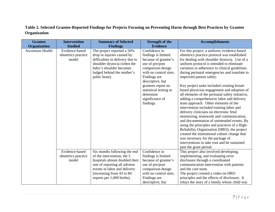### **Table 2. Selected Grantee-Reported Findings for Projects Focusing on Preventing Harm through Best Practices by Grantee Organization**

| <b>Grantee</b><br>Organization | <b>Intervention</b><br><b>Studied</b>          | <b>Summary of Selected</b><br><b>Findings</b>                                                                                                                                                                             | <b>Strength of the</b><br><b>Evidence</b>                                                                                                                                                                                                                       | <b>Accomplishments</b>                                                                                                                                                                                                                                                                                                                                                                                                                                                                                                                                                                                                                                                                                                                                                                                                                                                                                                                                                                                    |
|--------------------------------|------------------------------------------------|---------------------------------------------------------------------------------------------------------------------------------------------------------------------------------------------------------------------------|-----------------------------------------------------------------------------------------------------------------------------------------------------------------------------------------------------------------------------------------------------------------|-----------------------------------------------------------------------------------------------------------------------------------------------------------------------------------------------------------------------------------------------------------------------------------------------------------------------------------------------------------------------------------------------------------------------------------------------------------------------------------------------------------------------------------------------------------------------------------------------------------------------------------------------------------------------------------------------------------------------------------------------------------------------------------------------------------------------------------------------------------------------------------------------------------------------------------------------------------------------------------------------------------|
| <b>Ascension Health</b>        | Evidence-based<br>obstetrics practice<br>model | The project reported a 50%<br>drop in injuries caused by<br>difficulties in delivery due to<br>shoulder dystocia (when the<br>baby's shoulder becomes<br>lodged behind the mother's<br>pubic bone).                       | Confidence in<br>findings is limited<br>because of grantee's<br>use of pre/post<br>comparison design<br>with no control sites.<br>Findings are<br>descriptive, but<br>grantees report no<br>statistical testing to<br>determine<br>significance of<br>findings. | For this project, a uniform, evidence-based<br>obstetrics practice protocol was established<br>for dealing with shoulder dystocia. Use of a<br>uniform protocol is intended to eliminate<br>variation in adherence to clinical guidelines<br>during perinatal emergencies and translate to<br>improved patient safety.<br>Key project tasks included creating broad-<br>based physician engagement and adoption of<br>all elements of the perinatal safety initiative,<br>adding a comprehensive labor and delivery<br>team approach. Other elements of the<br>intervention included training labor and<br>delivery clinicians on electronic fetal<br>monitoring, teamwork and communication,<br>and documentation of unintended events. By<br>using the principles and practices of a High-<br>Reliability Organization (HRO), the project<br>created the institutional culture change that<br>was necessary for the package of<br>interventions to take root and be sustained<br>past the grant period. |
|                                | Evidence-based<br>obstetrics practice<br>model | Six months following the end<br>of the intervention, the 5<br>hospitals almost doubled their<br>rate of reporting all adverse<br>events in labor and delivery<br>(increasing from 43 to 84)<br>reports per 1,000 births). | Confidence in<br>findings is limited<br>because of grantee's<br>use of pre/post<br>comparison design<br>with no control sites.<br>Findings are<br>descriptive, but                                                                                              | This project also involved developing,<br>implementing, and evaluating error<br>disclosure through a coordinated<br>communication intervention with patients<br>and the care team.<br>The project created a video on HRO<br>principles and the effects of disclosure. It<br>relays the story of a family whose child was                                                                                                                                                                                                                                                                                                                                                                                                                                                                                                                                                                                                                                                                                  |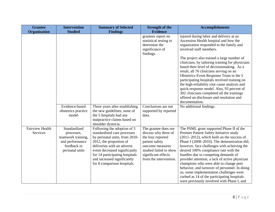| <b>Grantee</b>                     | <b>Intervention</b>                                                                                   | <b>Summary of Selected</b>                                                                                                                                                                                                                                                             | <b>Strength of the</b>                                                                                                                                                             | <b>Accomplishments</b>                                                                                                                                                                                                                                                                                                                                                                                                                                                                                                                                                                                                                                 |
|------------------------------------|-------------------------------------------------------------------------------------------------------|----------------------------------------------------------------------------------------------------------------------------------------------------------------------------------------------------------------------------------------------------------------------------------------|------------------------------------------------------------------------------------------------------------------------------------------------------------------------------------|--------------------------------------------------------------------------------------------------------------------------------------------------------------------------------------------------------------------------------------------------------------------------------------------------------------------------------------------------------------------------------------------------------------------------------------------------------------------------------------------------------------------------------------------------------------------------------------------------------------------------------------------------------|
| <b>Organization</b>                | <b>Studied</b>                                                                                        | <b>Findings</b>                                                                                                                                                                                                                                                                        | <b>Evidence</b>                                                                                                                                                                    |                                                                                                                                                                                                                                                                                                                                                                                                                                                                                                                                                                                                                                                        |
|                                    |                                                                                                       |                                                                                                                                                                                                                                                                                        | grantees report no<br>statistical testing to<br>determine the<br>significance of<br>findings.                                                                                      | injured during labor and delivery at an<br>Ascension Health hospital and how the<br>organization responded to the family and<br>involved staff members.<br>The project also trained a large number of<br>clinicians, by tailoring training for physicians<br>based their level of decision making. As a<br>result, all 76 clinicians serving on an<br>Obstetrics Event Response Team in the 5<br>participating hospitals received training on<br>the high-reliability root cause analysis and<br>quick-response model. Also, 93 percent of<br>302 clinicians completed all the trainings<br>offered on disclosure and resolution and<br>documentation. |
|                                    | Evidence-based<br>obstetrics practice<br>model                                                        | Three years after establishing<br>the new guidelines, none of<br>the 5 hospitals had any<br>malpractice claims based on<br>shoulder dystocia.                                                                                                                                          | Conclusions are not<br>supported by reported<br>data.                                                                                                                              | No additional findings.                                                                                                                                                                                                                                                                                                                                                                                                                                                                                                                                                                                                                                |
| <b>Fairview Health</b><br>Services | Standardized<br>processes,<br>teamwork training,<br>and performance<br>feedback in<br>perinatal units | Following the adoption of 3<br>standardized care processes<br>by perinatal units, from 2010-<br>2012, the proportion of<br>deliveries with an adverse<br>event decreased significantly<br>for 14 participating hospitals<br>and increased significantly<br>for 8 comparison hospitals. | The grantee does not<br>discuss why three of<br>the four reported<br>patient safety<br>outcome measures<br>studied failed to show<br>significant effects<br>from the intervention. | The PSML grant supported Phase II of the<br>Premier Patient Safety Initiative study<br>$(2011-2012)$ , which built on the success of<br>Phase I (2008–2010). The demonstration did,<br>however, face challenges with achieving the<br>desired 100% compliance rate with the<br>bundles due to competing demands of<br>provider attention, a lack of active physician<br>champions who were able to change peer<br>behavior, and turnover of personnel. In doing<br>so, some implementation challenges were<br>curbed as 14 of the participating hospitals<br>were previously involved with Phase I, and                                                |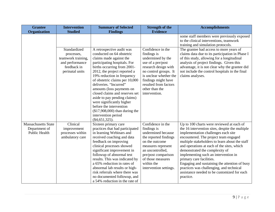| <b>Grantee</b>                                                      | <b>Intervention</b>                                                                                   | <b>Summary of Selected</b>                                                                                                                                                                                                                                                                                                                                                                                                                                                                                      | <b>Strength of the</b>                                                                                                                                                                                                                   | <b>Accomplishments</b>                                                                                                                                                                                                                                                                                                                                                                                                                                                                                                                      |
|---------------------------------------------------------------------|-------------------------------------------------------------------------------------------------------|-----------------------------------------------------------------------------------------------------------------------------------------------------------------------------------------------------------------------------------------------------------------------------------------------------------------------------------------------------------------------------------------------------------------------------------------------------------------------------------------------------------------|------------------------------------------------------------------------------------------------------------------------------------------------------------------------------------------------------------------------------------------|---------------------------------------------------------------------------------------------------------------------------------------------------------------------------------------------------------------------------------------------------------------------------------------------------------------------------------------------------------------------------------------------------------------------------------------------------------------------------------------------------------------------------------------------|
| <b>Organization</b>                                                 | <b>Studied</b>                                                                                        | <b>Findings</b>                                                                                                                                                                                                                                                                                                                                                                                                                                                                                                 | <b>Evidence</b>                                                                                                                                                                                                                          |                                                                                                                                                                                                                                                                                                                                                                                                                                                                                                                                             |
|                                                                     |                                                                                                       |                                                                                                                                                                                                                                                                                                                                                                                                                                                                                                                 |                                                                                                                                                                                                                                          | some staff members were previously exposed<br>to the clinical interventions, teamwork<br>training and simulation protocols.                                                                                                                                                                                                                                                                                                                                                                                                                 |
|                                                                     | Standardized<br>processes,<br>teamwork training,<br>and performance<br>feedback in<br>perinatal units | A retrospective audit was<br>conducted on 64 obstetric<br>claims made against the<br>participating hospitals. For<br>births occurring from 2001-<br>2012, the project reported a<br>19% reduction in frequency<br>of obstetric claims per 10,000<br>deliveries. "Incurred"<br>amounts (loss payments on<br>closed claims and reserves set<br>aside to pay pending claims)<br>were significantly higher<br>before the intervention<br>$($17,908,000)$ than during the<br>intervention period<br>$(\$4,651,325).$ | Confidence in the<br>findings is<br>undermined by the<br>use of a pre/post<br>research design with<br>no control groups. It<br>is unclear whether the<br>findings might have<br>resulted from factors<br>other than the<br>intervention. | The grantee had access to more years of<br>claims data due to its participation in Phase I<br>of this study, allowing for a longitudinal<br>analysis of project findings. Given this<br>advantage, it is not clear why the grantee did<br>not include the control hospitals in the final<br>claims analyses.                                                                                                                                                                                                                                |
| <b>Massachusetts State</b><br>Department of<br><b>Public Health</b> | Clinical<br>improvement<br>processes within<br>ambulatory care                                        | Sixteen primary care<br>practices that had participated<br>in learning Webinars and<br>received coaching and data<br>feedback on improving<br>clinical processes showed<br>significant improvement in<br>followup of abnormal test<br>results. This was indicated by<br>a 65% reduction in rates of<br>abnormal lab results or high-<br>risk referrals where there was<br>no documented followup, and<br>a 54% reduction in the rate of                                                                         | Confidence in the<br>findings is<br>undermined because<br>the reported findings<br>on the outcome<br>measures represent<br>an uncontrolled,<br>pre/post comparison<br>of those measures<br>within the<br>intervention settings.          | Up to 100 charts were reviewed at each of<br>the 16 intervention sites, despite the multiple<br>implementation challenges each site<br>encountered. The project team engaged<br>multiple stakeholders to learn about the staff<br>and operations at each of the sites, which<br>demonstrated the complexity of<br>implementing such an intervention in<br>primary care facilities.<br>Engaging and sustaining the attention of busy<br>practices was challenging, and technical<br>assistance needed to be customized for each<br>practice. |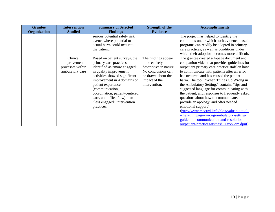| <b>Evidence</b><br>Organization<br><b>Studied</b><br><b>Findings</b><br>The project has helped to identify the<br>serious potential safety risk<br>conditions under which such evidence-based<br>events where potential or<br>actual harm could occur to<br>programs can readily be adopted in primary<br>care practices, as well as conditions under<br>the patient.<br>which their adoption becomes more difficult.<br>Clinical<br>Based on patient surveys, the<br>The findings appear<br>The grantee created a 4-page document and<br>primary care practices<br>companion video that provides guidelines for<br>to be entirely<br>improvement<br>descriptive in nature.<br>outpatient primary care practice staff on how<br>processes within<br>identified as "more engaged"<br>No conclusions can<br>to communicate with patients after an error<br>in quality improvement<br>ambulatory care<br>activities showed significant<br>has occurred and has caused the patient<br>be drawn about the |
|------------------------------------------------------------------------------------------------------------------------------------------------------------------------------------------------------------------------------------------------------------------------------------------------------------------------------------------------------------------------------------------------------------------------------------------------------------------------------------------------------------------------------------------------------------------------------------------------------------------------------------------------------------------------------------------------------------------------------------------------------------------------------------------------------------------------------------------------------------------------------------------------------------------------------------------------------------------------------------------------------|
|                                                                                                                                                                                                                                                                                                                                                                                                                                                                                                                                                                                                                                                                                                                                                                                                                                                                                                                                                                                                      |
| improvement in 4 domains of<br>harm. The tool, "When Things Go Wrong in<br>impact of the<br>the Ambulatory Setting," contains "tips and<br>patient experience<br>intervention.<br>(communication,<br>suggested language for communicating with<br>the patient, and responses to frequently asked<br>coordination, patient-centered<br>questions about how to communicate,<br>care, and office flow) than<br>"less engaged" intervention<br>provide an apology, and offer needed<br>emotional support"<br>practices.<br>(http://www.macrmi.info/blog/valuable-tool-<br>when-things-go-wrong-ambulatory-setting-                                                                                                                                                                                                                                                                                                                                                                                       |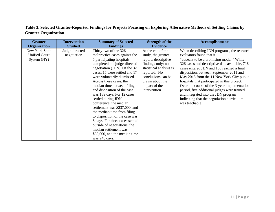### **Table 3. Selected Grantee-Reported Findings for Projects Focusing on Exploring Alternative Methods of Settling Claims by Grantee Organization**

| <b>Grantee</b>                                        | <b>Intervention</b>           | <b>Summary of Selected</b>                                                                                                                                                                                                                                                                                                                                                                                                                                                                                                                                                                                                                | <b>Strength of the</b>                                                                                                                                                                                    | <b>Accomplishments</b>                                                                                                                                                                                                                                                                                                                                                                                                                                                                                                                                         |
|-------------------------------------------------------|-------------------------------|-------------------------------------------------------------------------------------------------------------------------------------------------------------------------------------------------------------------------------------------------------------------------------------------------------------------------------------------------------------------------------------------------------------------------------------------------------------------------------------------------------------------------------------------------------------------------------------------------------------------------------------------|-----------------------------------------------------------------------------------------------------------------------------------------------------------------------------------------------------------|----------------------------------------------------------------------------------------------------------------------------------------------------------------------------------------------------------------------------------------------------------------------------------------------------------------------------------------------------------------------------------------------------------------------------------------------------------------------------------------------------------------------------------------------------------------|
| <b>Organization</b>                                   | <b>Studied</b>                | <b>Findings</b>                                                                                                                                                                                                                                                                                                                                                                                                                                                                                                                                                                                                                           | <b>Evidence</b>                                                                                                                                                                                           |                                                                                                                                                                                                                                                                                                                                                                                                                                                                                                                                                                |
| New York State<br><b>Unified Court</b><br>System (NY) | Judge-directed<br>negotiation | Thirty-two of the 326<br>malpractice cases against the<br>5 participating hospitals<br>completed the judge-directed<br>negotiation (JDN). Of the 32<br>cases, 15 were settled and 17<br>were voluntarily dismissed.<br>Across these cases, the<br>median time between filing<br>and disposition of the case<br>was 189 days. For 12 cases<br>settled during JDN<br>conference, the median<br>settlement was \$237,000, and<br>the median time from filing<br>to disposition of the case was<br>8 days. For three cases settled<br>outside of negotiations, the<br>median settlement was<br>\$55,000, and the median time<br>was 240 days. | At the end of the<br>study, the grantee<br>reports descriptive<br>findings only; no<br>statistical analysis is<br>reported. No<br>conclusions can be<br>drawn about the<br>impact of the<br>intervention. | When describing JDN programs, the research<br>evaluators found that it<br>"appears to be a promising model." While<br>326 cases had descriptive data available, 716<br>cases entered JDN and 165 reached a final<br>disposition, between September 2011 and<br>May 2015 from the 11 New York City public<br>hospitals that participated in this project.<br>Over the course of the 3-year implementation<br>period, five additional judges were trained<br>and integrated into the JDN program<br>indicating that the negotiation curriculum<br>was teachable. |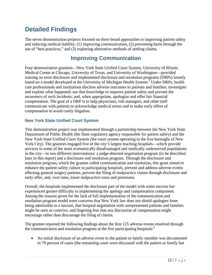# <span id="page-16-0"></span>**Detailed Findings**

The seven demonstration projects focused on three broad approaches to improving patient safety and reducing medical liability: (1) improving communication, (2) preventing harm through the use of "best practices," and (3) exploring alternative methods of settling claims.

## **Improving Communication**

<span id="page-16-1"></span>Four demonstration grantees—New York State Unified Court System, University of Illinois Medical Center at Chicago, University of Texas, and University of Washington—provided training on error disclosure and implemented disclosure and resolution programs (DRPs) loosely based on a model developed at the University of Michigan Health System.<sup>2</sup> Under DRPs, health care professionals and institutions disclose adverse outcomes to patients and families; investigate and explain what happened; use that knowledge to improve patient safety and prevent the recurrence of such incidents; and, when appropriate, apologize and offer fair financial compensation. The goal of a DRP is to help physicians, risk managers, and other staff communicate with patients to acknowledge medical errors and to make early offers of compensation to avoid costly litigation.

#### <span id="page-16-2"></span>**New York State Unified Court System**

This demonstration project was implemented through a partnership between the New York State Department of Public Health (the State regulatory agency responsible for patient safety) and the New York State Unified Court System (the court system operating in the five boroughs of New York City). The grantees engaged five of the city's largest teaching hospitals—which provide services to some of the most economically disadvantaged and medically underserved populations in the city—in two different interventions: a judge-directed negotiation program (to be described later in this report) and a disclosure and resolution program. Through the disclosure and resolution program, which the grantee called communication and resolution, this grant aimed to enhance the patient safety culture in participating hospitals, prevent and address adverse events affecting general surgery patients, prevent the filing of malpractice claims through disclosure and early offer, and, over time, lower malpractice costs and premiums.

Overall, the hospitals implemented the disclosure part of the model with some success but experienced greater difficulty in implementing the apology and compensation component. Among the reasons given for the lack of full implementation of the communication and resolution program model were concerns that New York law does not shield apologies from being admissible in a lawsuit, that hospital negotiation with unrepresented patients and families might be seen as coercive, and lingering fear that any discussion of compensation might encourage rather than discourage the filing of claims.

The grantee reported the following findings about the first 125 adverse events resolved through the communication and resolution program at the five participating hospitals:<sup>3</sup>

• An initial disclosure of an adverse event to the patient or family member was documented in 79 percent of cases (the remaining cases were discussed with the patient or family but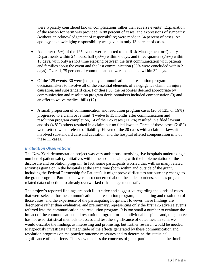were typically considered known complications rather than adverse events). Explanation of the reason for harm was provided in 88 percent of cases, and expressions of sympathy (without an acknowledgement of responsibility) were made in 64 percent of cases. An apology acknowledging responsibility was given in only 13 percent of cases.

- A quarter (25%) of the 125 events were reported to the Risk Management or Quality Departments within 24 hours, half (50%) within 6 days, and three-quarters (75%) within 18 days, with only a short time elapsing between the first communication with patients and families about the event and the last communication (50% were concluded within 2 days). Overall, 75 percent of communications were concluded within 32 days.
- Of the 125 events, 30 were judged by communication and resolution program decisionmakers to involve all of the essential elements of a negligence claim: an injury, causation, and substandard care. For these 30, the responses deemed appropriate by communication and resolution program decisionmakers included compensation (9) and an offer to waive medical bills (12).
- A small proportion of communication and resolution program cases (20 of 125, or 16%) progressed to a claim or lawsuit. Twelve to 15 months after communication and resolution program completion, 14 of the 125 cases (11.2%) resulted in a filed lawsuit and six (4.8%) others resulted in a claim but no filed lawsuit. Three of these cases (2.4%) were settled with a release of liability. Eleven of the 20 cases with a claim or lawsuit involved substandard care and causation, and the hospital offered compensation in 3 of these 11 cases.

#### *Evaluation Observations*

The New York demonstration project was very ambitious, involving five hospitals undertaking a number of patient safety initiatives within the hospitals along with the implementation of the disclosure and resolution program. In fact, some participants worried that with so many related activities going on in the hospitals at the same time (both within and outside of the grant, including the Federal Partnership for Patients), it might prove difficult to attribute any change to the grant program. Participants were also concerned about the added burdens, such as projectrelated data collection, to already overworked risk management staff.

The project's reported findings are both illustrative and suggestive regarding the kinds of cases that were selected for the communication and resolution program, the handling and resolution of those cases, and the experience of the participating hospitals. However, these findings are descriptive rather than evaluative, and preliminary, representing only the first 125 adverse events referred into the communication and resolution program. It is too small a number to evaluate the impact of the communication and resolution program for the individual hospitals and, the grantee has not used statistical methods to assess and test the significance of outcomes. In sum, we would describe the findings as interesting and promising, but further research would be needed to rigorously investigate the magnitude of the effects generated by these communication and resolution programs on malpractice outcome measures and to determine the statistical significance of the effects. This view matches the concerns of grant participants that the timeline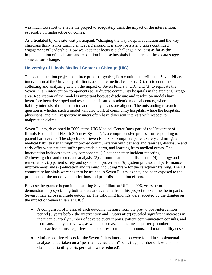was much too short to enable the project to adequately track the impact of the intervention, especially on malpractice outcomes.

As articulated by one site visit participant, "changing the way hospitals function and the way clinicians think is like turning an iceberg around. It is slow, persistent, takes continued engagement of leadership. How we keep that focus is a challenge." At least as far as the implementation of disclosure and resolution in these hospitals is concerned, these data suggest some culture change.

#### <span id="page-18-0"></span>**University of Illinois Medical Center at Chicago (UIC)**

This demonstration project had three principal goals: (1) to continue to refine the Seven Pillars intervention at the University of Illinois academic medical center (UIC), (2) to continue collecting and analyzing data on the impact of Seven Pillars at UIC, and (3) to replicate the Seven Pillars intervention components at 10 diverse community hospitals in the greater Chicago area. Replication of the model is important because disclosure and resolution models have heretofore been developed and tested at self-insured academic medical centers, where the liability interests of the institution and the physicians are aligned. The outstanding research question is whether such a model will also work at community hospitals, where the hospitals, physicians, and their respective insurers often have divergent interests with respect to malpractice claims.

Seven Pillars, developed in 2006 at the UIC Medical Center (now part of the University of Illinois Hospital and Health Sciences System), is a comprehensive process for responding to patient harm events. The objective of Seven Pillars is to improve patient safety and mitigate medical liability risk through improved communication with patients and families, disclosure and early offer when patients suffer preventable harm, and learning from medical errors. The intervention includes seven key components: (1) patient safety incident reporting; (2) investigation and root cause analysis; (3) communication and disclosure; (4) apology and remediation; (5) patient safety and systems improvement; (6) system process and performance improvement; and (7) education and training, including "care for the caregiver" training. The 10 community hospitals were eager to be trained in Seven Pillars, as they had been exposed to the principles of the model via publications and prior dissemination efforts.

Because the grantee began implementing Seven Pillars at UIC in 2006, years before the demonstration project, longitudinal data are available from this project to examine the impact of Seven Pillars across multiple outcomes. The following findings were reported by the grantee on the impact of Seven Pillars at  $UIC$ <sup>4</sup>

- A comparison of means of each outcome measure from the pre- to post-intervention period (5 years before the intervention and 7 years after) revealed significant increases in the mean quarterly number of adverse event reports, patient communication consults, and root-cause analysis reviews, as well as decreases in the mean quarterly number of malpractice claims, legal fees and expenses, settlement amounts, and total liability costs.
- Similar positive effects for the Seven Pillars intervention were found in supplemental analyses undertaken on a "per malpractice claim" basis (e.g., number of lawsuits per claim, and liability costs per claim were reduced).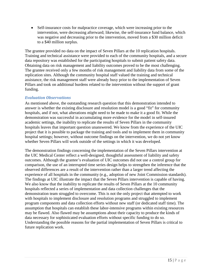• Self-insurance costs for malpractice coverage, which were increasing prior to the intervention, were decreasing afterward; likewise, the self-insurance fund balance, which was negative and decreasing prior to the intervention, moved from a \$30 million deficit to a \$40 million surplus.

The grantee provided no data on the impact of Seven Pillars at the 10 replication hospitals. Training and technical assistance were provided to each of the community hospitals, and a secure data repository was established for the participating hospitals to submit patient safety data. Obtaining data on risk management and liability outcomes proved to be the most challenging. The grantee received only a few months of risk management and liability data from some of the replication sites. Although the community hospital staff valued the training and technical assistance, the risk management staff were already busy prior to the implementation of Seven Pillars and took on additional burdens related to the intervention without the support of grant funding.

#### *Evaluation Observations*

As mentioned above, the outstanding research question that this demonstration intended to answer is whether the existing disclosure and resolution model is a good "fit" for community hospitals, and if not, what alterations might need to be made to make it a good fit. While the demonstration was successful in accumulating more evidence for the model in self-insured academic settings, the inability to replicate the results of Seven Pillars in the community hospitals leaves that important question unanswered. We know from the experience of the UIC project that it is possible to package the training and tools and to implement them in community hospital settings; however, without outcome findings on the intervention, we do not yet know whether Seven Pillars will work outside of the settings in which it was developed.

The demonstration findings concerning the implementation of the Seven Pillars intervention at the UIC Medical Center reflect a well-designed, thoughtful assessment of liability and safety outcomes. Although the grantee's evaluation of UIC outcomes did not use a control group for comparison, the use of an interrupted time series design helps to strengthen the inference that the observed differences are a result of the intervention rather than a larger trend affecting the experience of all hospitals in the community (e.g., adoption of new Joint Commission standards). The findings at UIC illustrate the impact that the Seven Pillars intervention is capable of having. We also know that the inability to replicate the results of Seven Pillars at the 10 community hospitals reflected a series of implementation and data collection challenges that the demonstration team struggled to overcome. This is not the only project that attempted to work with hospitals to implement disclosure and resolution programs and struggled to implement program components and data collection efforts without new staff (or dedicated staff time). The assumption that hospitals can establish these labor-intensive programs within existing resources may be flawed. Also flawed may be assumptions about their capacity to produce the kinds of data necessary for sophisticated evaluation efforts without specific funding to do so. Understanding the possible reasons for the partial implementation of Seven Pillars is critical to future replication work.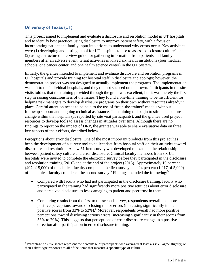#### <span id="page-20-0"></span>**University of Texas (UT)**

 $\overline{a}$ 

This project aimed to implement and evaluate a disclosure and resolution model in UT hospitals and to identify best practices using disclosure to improve patient safety, with a focus on incorporating patient and family input into efforts to understand why errors occur. Key activities were (1) developing and testing a tool for UT hospitals to use to assess "disclosure culture" and (2) using a structured interview guide for gathering information from patients and family members after an adverse event. Grant activities involved six health institutions (four medical schools, one cancer center, and one health science center) in the UT System.

Initially, the grantee intended to implement and evaluate disclosure and resolution programs in UT hospitals and provide training for hospital staff in disclosure and apology; however, the demonstration project was not designed to actually implement the programs. The implementation was left to the individual hospitals, and they did not succeed on their own. Participants in the site visits told us that the training provided through the grant was excellent, but it was merely the first step in raising consciousness of the issues. They found a one-time training to be insufficient for helping risk managers to develop disclosure programs on their own without resources already in place. Careful attention needs to be paid to the use of "train-the-trainer" models without followup support and ongoing technical assistance. The training did begin to stimulate culture change within the hospitals (as reported by site visit participants), and the grantee used project resources to develop tools to assess changes in attitudes over time. Although there are no findings to report on the impact of DRP, the grantee was able to share evaluative data on three key aspects of their efforts, described below.

Perceptions about error disclosure. One of the most important products from this project has been the development of a survey tool to collect data from hospital staff on their attitudes toward disclosure and resolution. A new 51-item survey was developed to examine the relationship between patient safety culture and error disclosure. Clinical faculty members from six UT hospitals were invited to complete the electronic survey before they participated in the disclosure and resolution training (2010) and at the end of the project (2013). Approximately 10 percent (497 of 5,000) of the clinical faculty completed the first survey, and 24 percent (1,217 of 5,000) of the clinical faculty completed the second survey.<sup>5</sup> Findings included the following:<sup>5</sup>

- Compared with faculty who had not participated in the disclosure training, faculty who participated in the training had significantly more positive attitudes about error disclosure and perceived disclosure as less damaging to patient and peer trust in them.
- Comparing results from the first to the second survey, respondents overall had more positive perceptions toward disclosing minor errors (increasing significantly in their positive scores from 33% to 52%). [a](#page-20-1) Moreover, respondents overall had more positive perceptions toward disclosing serious errors (increasing significantly in their scores from 53% to 70%). This suggests that perceptions of error disclosure change in a positive direction after participation in error disclosure training.

<span id="page-20-1"></span><sup>&</sup>lt;sup>a</sup> Percentage positive scores represent the percentage of participants who averaged at least a 4 (i.e., agree slightly) on their Likert-type responses to all of the items that measure a specific type of culture.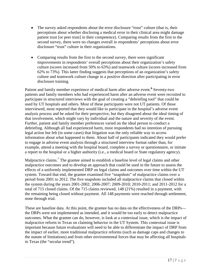- The survey asked respondents about the error disclosure "trust" culture (that is, their perceptions about whether disclosing a medical error in their clinical area might damage patient trust [or peer trust] in their competence). Comparing results from the first to the second survey, there were no changes overall in respondents' perceptions about error disclosure "trust" culture in their organizations.
- Comparing results from the first to the second survey, there were significant improvements in respondents' overall perceptions about their organization's safety culture (scores increased from 50% to 63%) and teamwork culture (scores increased from 62% to 73%). This latter finding suggests that perceptions of an organization's safety culture and teamwork culture change in a positive direction after participating in error disclosure training.

Patient and family member experience of medical harm after adverse event.**<sup>6</sup>** Seventy-two patients and family members who had experienced harm after an adverse event were recruited to participate in structured interviews with the goal of creating a "debriefing tool" that could be used by UT hospitals and others. Most of these participants were not UT patients. Of those interviewed, most reported that they would like to participate in the hospital's adverse event analysis process and be asked for their perspective, but they disagreed about the ideal timing of that involvement, which might vary by individual and the nature and severity of the event. Further, patient and family member preferences varied on the ideal person to conduct a debriefing. Although all had experienced harm, most respondents had no intention of pursuing legal action but felt (in some cases) that litigation was the only reliable way to access information about what happened to them. About half of participants indicated they would prefer to engage in adverse event analysis through a structured interview format rather than, for example, attend a meeting with the hospital board, complete a survey or questionnaire, or initiate a report to the hospital or a higher authority (i.e., a medical board or State regulatory agency).

Malpractice claims.<sup>7</sup> The grantee aimed to establish a baseline level of legal claims and other malpractice outcomes and to develop an approach that could be used in the future to assess the effects of a uniformly implemented DRP on legal claims and outcomes over time within the UT system. Toward that end, the grantee examined five "snapshots" of malpractice claims over a period from 2001 to 2012. The five snapshots included all malpractice claims that closed within the system during the years 2001-2002; 2006-2007; 2009-2010; 2010-2011; and 2011-2012 for a total of 715 closed claims. Of the 715 claims reviewed, 148 (21%) resulted in a payment, with the remaining being closed without payment. All 148 payments were reached through settlement, none through trial.

These are baseline data. At this point, the grantee has no data on the effectiveness of the DRPs the DRPs were not implemented as intended, and it would be too early to detect malpractice outcomes. What the grantee can do, however, is look at a contextual issue, which is the impact of malpractice reform in Texas on claiming behavior in the UT System. This contextual issue is important because future evaluations will need to be able to differentiate the impact of DRP from the impact of earlier, more traditional malpractice reforms (such as damage caps and changes to the statute of limitations) and from other environmental forces that may be affecting all hospitals in Texas (the "secular trend").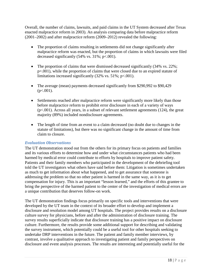Overall, the number of claims, lawsuits, and paid claims in the UT System decreased after Texas enacted malpractice reform in 2003). An analysis comparing data before malpractice reform (2001–2002) and after malpractice reform (2009–2012) revealed the following:

- The proportion of claims resulting in settlements did not change significantly after malpractice reform was enacted, but the proportion of claims in which lawsuits were filed decreased significantly (54% vs. 31%; p<.001).
- The proportion of claims that were dismissed decreased significantly (34% vs. 22%; p=.001), while the proportion of claims that were closed due to an expired statute of limitations increased significantly (32% vs. 51%; p<.001).
- The average (mean) payments decreased significantly from \$290,992 to \$90,429  $(p<.001)$ .
- Settlements reached after malpractice reform were significantly more likely than those before malpractice reform to prohibit error disclosure in each of a variety of ways (p<.001). Across all years, in a subset of relevant settlement agreements (124), the great majority (89%) included nondisclosure agreements.
- The length of time from an event to a claim decreased (no doubt due to changes in the statute of limitations), but there was no significant change in the amount of time from claim to closure.

#### *Evaluation Observations*

The UT demonstration stood out from the others for its primary focus on patients and families and its various efforts to determine how and under what circumstances patients who had been harmed by medical error could contribute to efforts by hospitals to improve patient safety. Patients and their family members who participated in the development of the debriefing tool told the UT investigators what others have said before them: Litigation is sometimes undertaken as much to get information about what happened, and to get assurance that someone is addressing the problem so that no other patient is harmed in the same way, as it is to get compensation for injury. This is an important "lesson learned," and the efforts of this grantee to bring the perspective of the harmed patient to the center of the investigation of medical errors are a unique contribution that deserves follow-on work.

The UT demonstration findings focus primarily on specific tools and interventions that were developed by the UT team in the context of its broader effort to develop and implement a disclosure and resolution model among UT hospitals. The project provides results on a disclosure culture survey for physicians, before and after the administration of disclosure training. The survey results superficially indicate that disclosure training has a positive impact on disclosure culture. Furthermore, the results provide some additional support for describing and validating the survey instrument, which potentially could be a useful tool for other hospitals seeking to undertake DRP interventions in the future. The patient and family member interviews, by contrast, involve a qualitative approach to investigating patient and family perspectives on disclosure and event analysis processes. The results are interesting and potentially useful for the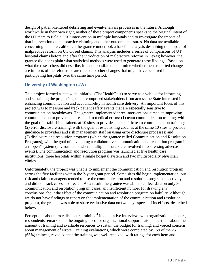design of patient-centered debriefing and event-analysis processes in the future. Although worthwhile in their own right, neither of these project components speaks to the original intent of the UT team to field a DRP intervention in multiple hospitals and to investigate the impact of that intervention on malpractice claiming and other outcome measures. No data are available concerning the latter, although the grantee undertook a baseline analysis describing the impact of malpractice reform on UT closed claims. This analysis includes a series of comparisons of UT hospital claims before and after the introduction of malpractice reforms in Texas; however, the grantee did not explain what statistical methods were used to generate these findings. Based on what the researchers did describe, it is not possible to determine whether these reported changes are impacts of the reforms or are related to other changes that might have occurred in participating hospitals over the same time period.

#### <span id="page-23-0"></span>**University of Washington (UW)**

This project formed a statewide initiative (The HealthPact) to serve as a vehicle for informing and sustaining the project's goals. It comprised stakeholders from across the State interested in enhancing communication and accountability in health care delivery. An important focus of this project was to measure and track patient safety events that are especially sensitive to communication breakdowns. The grantee implemented three interventions aimed at improving communication to prevent and respond to medical errors: (1) team communication training, with the goal of establishing trainers at 10 sites to provide site-specific team communication training; (2) error disclosure training, with the goal of establishing coaches at the same 10 sites to provide guidance to providers and risk management staff on using error disclosure processes; and (3) disclosure and resolution programs (which the grantee called Communication and Resolution Programs), with the goal of developing a collaborative communication and resolution program in an "open" system (environments where multiple insurers are involved in addressing adverse events). The communication and resolution program was launched at five health care institutions: three hospitals within a single hospital system and two multispecialty physician clinics.

Unfortunately, the project was unable to implement the communication and resolution program across the five facilities within the 3-year grant period. Some sites did begin implementation, but risk and claims managers tended to use the communication and resolution program selectively and did not track cases as directed. As a result, the grantee was able to collect data on only 30 communication and resolution program cases, an insufficient number for drawing any conclusions about the effect of the communication and resolution program on liability. Although we do not have findings to report on the implementation of the communication and resolution program, the grantee was able to share evaluative data on two key aspects of its efforts, described below.

Perceptions about error disclosure training.**<sup>8</sup>** In qualitative interviews with organizational leaders, respondents remarked on the ongoing need for organizational support, raised questions about the amount of training and available resources to sustain the budget for training, and voiced concern about management of errors. Training evaluations, which were completed by 159 of the 251 (63%) trainees, revealed that the training was well received, with ratings for each item and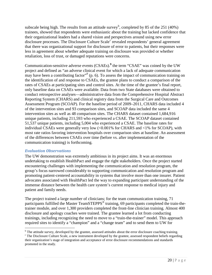su[b](#page-24-0)scale being high. The results from an attitude survey<sup>b</sup>, completed by 85 of the 251 (40%) trainees, showed that respondents were enthusiastic about the training but lacked confidence that their organizational leaders had a shared vision and perspectives around using new error dis[c](#page-24-1)losure processes. The Disclosure Culture Scale<sup>c</sup> revealed respondents' general agreement that there was organizational support for disclosure of error to patients, but their responses were less in agreement about whether adequate training on disclosure was provided or whether retaliation, loss of trust, or damaged reputations were concerns.

Communication-sensitive adverse events (CSAEs).**<sup>9</sup>** the term "CSAE" was coined by the UW project and defined as "an adverse clinical event for which a lack of adequate communication may have been a contributing factor<sup> $\mathfrak{O}$ </sup> (p. 6). To assess the impact of communication training on the identification of and response to CSAEs, the grantee plans to conduct a comparison of the rates of CSAEs at participating sites and control sites. At the time of the grantee's final report, only baseline data on CSAEs were available. Data from two State databases were obtained to conduct retrospective analyses—administrative data from the Comprehensive Hospital Abstract Reporting System (CHARS) and clinical registry data from the Surgical Care and Outcomes Assessment Program (SCOAP). For the baseline period of 2009–2011, CHARS data included 4 of the intervention sites and 93 comparison sites, and SCOAP data included the same 4 intervention sites as well as 48 comparison sites. The CHARS dataset contained 1,684,916 unique patients, including 211,593 who experienced a CSAE. The SCOAP dataset contained 51,537 unique patients, including 5,004 who experienced a CSAE. The baseline rates for individual CSAEs were generally very low  $\langle 0.001\%$  for CHARS and  $\langle 1\%$  for SCOAP), with most rate ratios favoring intervention hospitals over comparison sites at baseline. An assessment of the differences between CSAEs over time (before vs. after implementation of the communication training) is forthcoming.

#### *Evaluation Observations*

The UW demonstration was extremely ambitious in its project aims. It was an enormous undertaking to establish HealthPact and engage the right stakeholders. Once the project started encountering challenges with implementing the communication and resolution program, the group's focus narrowed considerably to supporting communication and resolution program and promoting patient-centered accountability in systems that involve more than one insurer. Patient advocates associated with HealthPact led the way to expanding participant understanding of the immense distance between the health care system's current response to medical injury and patient and family needs.

The project trained a large number of clinicians; for the team communication training, 71 participants fulfilled the Master TeamSTEPPS<sup>®</sup> training, 69 participants completed the train-thetrainer module, and over 1,300 providers completed the front-line clinician training. Almost 400 disclosure and apology coaches were trained. The grantee learned a lot from conducting trainings, including recognizing the need to move to a "train-the-trainer" model. This approach required sites to identify a "champion" and a "change team" and to send them to UW for

<sup>&</sup>lt;sup>b</sup> The attitude survey, developed by the grantee, assessed attitudes about the error disclosure coaching training.<br><sup>c</sup> The Disclosure Culture Scale, a new instrument developed by the grantee, assessed respondent beliefs r  $\overline{a}$ 

<span id="page-24-1"></span><span id="page-24-0"></span>their organization's stage of integration and acceptance of error disclosure recommendations and standards promoted in the study.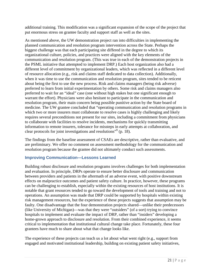additional training. This modification was a significant expansion of the scope of the project that put enormous stress on grantee faculty and support staff as well as the sites.

As mentioned above, the UW demonstration project ran into difficulties in implementing the planned communication and resolution program intervention across the State. Perhaps the biggest challenge was that each participating site differed in the degree to which its organizational culture, policies, and practices were aligned with the key elements of the communication and resolution program. (This was true in each of the demonstration projects in the PSML initiative that attempted to implement DRP.) Each host organization also had a different level of commitment by organizational leaders, which was reflected in a different level of resource allocation (e.g., risk and claims staff dedicated to data collection). Additionally, when it was time to use the communication and resolution program, sites tended to be reticent about being the first to use the new process. Risk and claims managers (being risk adverse) preferred to learn from initial experimentation by others. Some risk and claims managers also preferred to wait for an "ideal" case (one without high stakes but one significant enough to warrant the effort). Physicians were also hesitant to participate in the communication and resolution program, their main concern being possible punitive action by the State board of medicine. The UW grantee concluded that "operating communication and resolution programs in which two or more insurers must collaborate to resolve cases is highly challenging and likely requires several preconditions not present for our sites, including a commitment from physicians to collaborate with facilities to resolve incidents, mechanisms for quickly transmitting information to remote insurers, tolerance for missteps in early attempts at collaboration, and clear protocols for joint investigations and resolutions"<sup>9</sup> (p. 18).

The findings from the baseline assessment of CSAEs are descriptive, rather than evaluative, and are preliminary. We offer no comment on assessment methodology for the communication and resolution program because the grantee did not ultimately conduct such assessments.

#### <span id="page-25-0"></span>**Improving Communication—Lessons Learned**

Building robust disclosure and resolution programs involves challenges for both implementation and evaluation. In principle, DRPs operate to ensure better disclosure and communication between providers and patients in the aftermath of an adverse event, with positive downstream effects on malpractice outcomes and patient safety culture. In practice, however, these programs can be challenging to establish, especially within the existing resources of host institutions. It is notable that grant resources tended to go toward the development of tools and training and not to operations. An assumption was made that DRP could be supported by hospitals within existing risk management resources, but the experience of these projects suggests that assumption may be faulty. One disadvantage that the four demonstration projects shared—unlike their predecessors (like University of Michigan)—was that they were "outsiders" (of a sort) trying to convince hospitals to implement and evaluate the impact of DRP, rather than "insiders" developing a home-grown approach to disclosure and resolution. From their combined experience, it seems critical to implementation that institutional cultural change take place. Fortunately, these four grantees have much to share about what that change looks like.

The experience of these projects can teach us a lot about what went right (e.g., support from engaged and motivated institutional leadership, building on existing patient safety initiatives,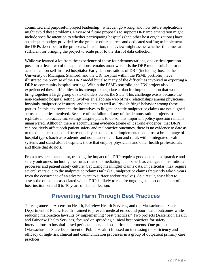committed and purposeful project leadership), what can go wrong, and how future replications might avoid these problems. Review of future proposals to support DRP implementation might include specific attention to whether participating hospitals (and other host organizations) have an adequate budget provided by the grant or other sources and dedicated staffing to implement the DRPs described in the proposals. In addition, the review might assess whether timelines are sufficient for bringing the project to scale prior to the start of data collection.

While we learned a lot from the experience of these four demonstrations, one critical question posed in at least two of the applications remains unanswered: Is the DRP model suitable for nonacademic, non-self-insured hospitals? Early demonstrations of DRP (including those at the University of Michigan, Stanford, and the UIC hospital within the PSML portfolio) have illustrated the promise of the DRP model but also many of the difficulties involved in exporting a DRP to community hospital settings. Within the PSML portfolio, the UW project also experienced these difficulties in its attempt to negotiate a plan for implementation that would bring together a large group of stakeholders across the State. This challenge exists because the non-academic hospital setting involves an elaborate web of risk relationships among physicians, hospitals, malpractice insurers, and patients, as well as "risk shifting" behavior among these parties. In this environment, the incentives to litigate or settle malpractice claims are not aligned across the parties involved. Because of the failure of any of the demonstration projects to replicate in non-academic settings despite plans to do so, this important policy question remains unanswered. Although there is accumulating evidence (some of it strong evidence) that DRPs can positively affect both patient safety and malpractice outcomes, there is no evidence to date as to the outcomes that could be reasonably expected from implementation across a broad range of hospital types (such as academic and non-academic, urban and rural, within integrated health systems and stand-alone hospitals, those that employ physicians and other health professionals and those that do not).

From a research standpoint, tracking the impact of a DRP requires good data on malpractice and safety outcomes, including measures related to mediating factors such as changes in institutional processes and patient safety culture. Capturing meaningful claims data, in particular, may require several years due to the malpractice "claims tail" (i.e., malpractice claims frequently take 5 years from the occurrence of an adverse event to surface and/or resolve). As a result, any effort to assess the outcomes associated with a DRP is likely to require ongoing support on the part of a host institution and 6 to 10 years of data collection.

# **Preventing Harm Through Best Practices**

<span id="page-26-0"></span>Three grantees—Ascension Health, Fairview Health Services, and the Massachusetts State Department of Public Health—aimed to prevent medical errors and poor health outcomes while reducing malpractice lawsuits by implementing "best practices." Two projects (Ascension Health and Fairview Health Services) focused on spreading clinical best practices for safety interventions to hospital-based perinatal units and obstetrics departments. One project (Massachusetts State Department of Public Health) focused on increasing the efficiency and efficacy of high-risk clinical and communication processes in a group of outpatient primary care practices.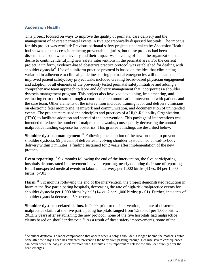#### <span id="page-27-0"></span>**Ascension Health**

 $\overline{a}$ 

This project focused on ways to improve the quality of perinatal care delivery and the management of adverse perinatal events in five geographically dispersed hospitals. The impetus for this project was twofold: Previous perinatal safety projects undertaken by Ascension Health had shown some success in reducing preventable injuries, but these projects had been disseminated somewhat unevenly and their impact was leveling off, and the organization had a desire to continue identifying new safety interventions in the perinatal area. For the current project, a uniform, evidence-based obstetrics practice protocol was established for dealing with shoul[d](#page-27-1)er dystocia<sup>d</sup>. Use of a uniform practice protocol is based on the idea that eliminating variation in adherence to clinical guidelines during perinatal emergencies will translate to improved patient safety. Key project tasks included creating broad-based physician engagement and adoption of all elements of the previously tested perinatal safety initiative and adding a comprehensive team approach to labor and delivery management that incorporates a shoulder dystocia management program. This project also involved developing, implementing, and evaluating error disclosure through a coordinated communication intervention with patients and the care team. Other elements of the intervention included training labor and delivery clinicians on electronic fetal monitoring, teamwork and communication, and documentation of unintended events. The project team used the principles and practices of a High-Reliability Organization (HRO) to facilitate adoption and spread of the intervention. This package of interventions was intended to reduce the number of malpractice lawsuits, consequently decreasing the annual malpractice funding expense for obstetrics. This grantee's findings are described below.

**Shoulder dystocia management.<sup>10</sup>** Following the adoption of the new protocol to prevent shoulder dystocia, 99 percent of deliveries involving shoulder dystocia had a head-to-body delivery within 3 minutes, a finding sustained for 2 years after implementation of the new protocol.

**Event reporting.<sup>11</sup>** Six months following the end of the intervention, the five participating hospitals demonstrated improvement in event reporting, nearly doubling their rate of reporting for all unexpected medical events in labor and delivery per 1,000 births (43 vs. 84 per 1,000 births;  $p<.01$ ).

Harm.<sup>11</sup> Six months following the end of the intervention, the project demonstrated reduction in harm at the five participating hospitals, decreasing the rate of high-risk malpractice events for shoulder dystocia per 1,000 births by half (14 vs. 7 per 1,000 births; p<.01). Further, incidents of shoulder dystocia decreased 50 percent.

**Shoulder dystocia-related claims.** In 2009, prior to the intervention, the rate of obstetric malpractice claims at the five participating hospitals ranged from 1.5 to 5.4 per 1,000 births. In 2013, 2 years after establishing the new protocol, none of the five hospitals had malpractice claims based on shoulder dystocia.<sup>10</sup> As a result of these safety improvements, some of the

<span id="page-27-1"></span> $<sup>d</sup>$  Shoulder dystocia is a labor complication that occurs when a baby's shoulder is lodged behind the mother's pubic</sup> bone after the baby's head has emerged, preventing the baby from passing through. Because severe consequences can occur when the baby is stuck for more than 3 minutes, it is important to release the shoulder quickly after the head emerges.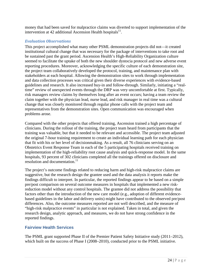money that had been saved for malpractice claims was diverted to support implementation of the intervention at 42 additional Ascension Health hospitals $^{11}$ .

#### *Evaluation Observations*

This project accomplished what many other PSML demonstration projects did not—it created institutional cultural change that was necessary for the package of interventions to take root and be sustained past the grant period. Ascension Health's High-Reliability Organization culture seemed to facilitate the uptake of both the new shoulder dystocia protocol and new adverse event reporting procedures. Moreover, acknowledging the specific culture of each demonstration site, the project team collaboratively developed the protocol, training, and maintenance plan with stakeholders at each hospital. Allowing the demonstration sites to work through implementation and data collection processes was critical given their diverse experiences with evidence-based guidelines and research. It also increased buy-in and follow-through. Similarly, initiating a "realtime" review of unexpected events through the DRP was very uncomfortable at first. Typically, risk managers review claims by themselves long after an event occurs; having a team review the claim together with the physician lead, nurse lead, and risk manager in real time was a cultural change that was closely monitored through regular phone calls with the project team and representatives from the demonstration sites. Open communication was encouraged when problems arose.

Compared with the other projects that offered training, Ascension trained a high percentage of clinicians. During the rollout of the training, the project team heard from participants that the training was valuable, but that it needed to be relevant and accessible. The project team adjusted the original 7-hour training requirement to create an individual learning path for each physician that fit with his or her level of decisionmaking. As a result, all 76 clinicians serving on an Obstetrics Event Response Team in each of the 5 participating hospitals received training on implementation of the high-reliability root cause analysis and quick-response model. In the same hospitals, 93 percent of 302 clinicians completed all the trainings offered on disclosure and resolution and documentation.<sup>11</sup>

The project's outcome findings related to reducing harm and high-risk malpractice claims are suggestive, but the research design the grantee used and the data analysis it reports make the findings difficult to interpret. In particular, the reported findings appear to be based on a simple pre/post comparison on several outcome measures in hospitals that implemented a new riskreduction model without any control hospitals. The grantee did not address the possibility that factors other than the introduction of the new care model (e.g., adoption of different evidencebased guidelines in the labor and delivery units) might have contributed to the observed pre/post differences. Also, the outcome measures reported are not well described, and the measure of "high-risk malpractice events" in particular is not explained. Taken in total, and given the research design, analytic approach, and measures, we do not have strong confidence in the reported findings.

#### <span id="page-28-0"></span>**Fairview Health Services**

The PSML grant supported Phase II of the Premier Patient Safety Initiative study (2011–2012), which built on the success of Phase I (2008–2010), conducted prior to the PSML initiative.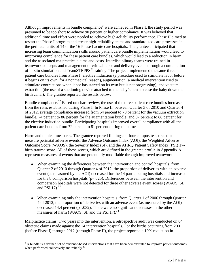Although improv[e](#page-29-0)ments in bundle compliance<sup>e</sup> were achieved in Phase I, the study period was presumed to be too short to achieve 90 percent or higher compliance. It was believed that additional time and effort were needed to achieve high-reliability performance. Phase II aimed to restart the Phase I program and create high-reliability teams and standardized care processes in the perinatal units of 14 of the 16 Phase I acute care hospitals. The grantee anticipated that increasing team communication skills around patient care bundle implementation would lead to improving compliance for these patient care bundles, which would lead to a reduction in harm and the associated malpractice claims and costs. Interdisciplinary teams were trained in teamwork concepts and management of critical labor and delivery events through a combination of in-situ simulation and TeamSTEPPS<sup>®</sup> training. The project implemented the same three patient care bundles from Phase I: elective induction (a procedure used to stimulate labor before it begins on its own, for a nonmedical reason), augmentation (a medical intervention used to stimulate contractions when labor has started on its own but is not progressing), and vacuum extraction (the use of a suctioning device attached to the baby's head to ease the baby down the birth canal). The grantee reported the results below.

Bundle compliance.<sup>12</sup> Based on chart review, the use of the three patient care bundles increased from the rates established during Phase I. In Phase II, between Quarter 3 of 2010 and Quarter 4 of 2012, average compliance increased from 54 percent to 70 percent for the vacuum extraction bundle, 74 percent to 86 percent for the augmentation bundle, and 87 percent to 88 percent for the elective induction bundle. Participating hospitals improved overall compliance with all the patient care bundles from 72 percent to 81 percent during this time.

Harm and clinical measures. The grantee reported findings on four composite scores that measure perinatal adverse events: the Adverse Outcome Index (AOI), the Weighted Adverse Outcome Score (WAOS), the Severity Index (SI), and the AHRQ Patient Safety Index (PSI) 17 birth trauma score. All of these scores, which are defined in the grantee profile in Appendix A, represent measures of events that are potentially modifiable through improved teamwork.

- When examining the differences between the intervention and control hospitals, from Quarter 2 of 2010 through Quarter 4 of 2012, the proportion of deliveries with an adverse event (as measured by the AOI) decreased for the 14 participating hospitals and increased for the 8 comparison hospitals ( $p=.025$ ). Differences between the intervention and comparison hospitals were not detected for three other adverse event scores (WAOS, SI, and PSI 17). 12
- When examining only the intervention hospitals, from Quarter 1 of 2006 through Quarter 4 of 2012, the proportion of deliveries with an adverse event (as measured by the AOI) decreased 14.4 percent ( $p=.032$ ). There were no significant decreases in the other measures of harm (WAOS, SI, and the PSI 17).<sup>14</sup>

Malpractice claims. Two years into the intervention, a retrospective audit was conducted on 64 obstetric claims made against the 14 intervention hospitals. For the births occurring from 2001 (before Phase I) through 2012 (through Phase II), the project reported a 19% reduction in

<span id="page-29-0"></span> $^{\circ}$  A bundle is a defined set of evidence-based interventions that have been demonstrated to improve patient outcomes when performed collectively and reliably.<sup>13</sup>  $\overline{a}$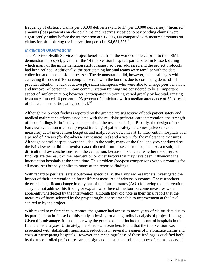frequency of obstetric claims per 10,000 deliveries (2.1 to 1.7 per 10,000 deliveries). "Incurred" amounts (loss payments on closed claims and reserves set aside to pay pending claims) were significantly higher before the intervention at \$17,908,000 compared with incurred amounts on claims for births during the intervention period at  $$4,651,325$ .<sup>12</sup>

#### *Evaluation Observations*

The Fairview Health Services project benefitted from the work completed prior to the PSML demonstration project, given that the 14 intervention hospitals participated in Phase I, during which many of the implementation startup issues had been addressed and the project protocols had been refined. Additionally, the participating hospital teams were familiar with the data collection and transmission processes. The demonstration did, however, face challenges with achieving the desired 100% compliance rate with the bundles due to competing demands of provider attention, a lack of active physician champions who were able to change peer behavior, and turnover of personnel. Team communication training was considered to be an important aspect of implementation; however, participation in training varied greatly by hospital, ranging from an estimated 10 percent to 93 percent of clinicians, with a median attendance of 50 percent of clinicians per participating hospital.<sup>12</sup>

Although the project findings reported by the grantee are suggestive of both patient safety and medical malpractice effects associated with the multisite perinatal care intervention, the strength of those findings is limited by concerns about the research design. Broadly, the design of the Fairview evaluation involved pre/post tracking of patient safety outcomes (adverse event measures) at 14 intervention hospitals and malpractice outcomes at 13 intervention hospitals over a period of 7 years (for the adverse event measures) and 4 years (for the malpractice measures). Although control hospitals were included in the study, many of the final analyses conducted by the Fairview team did not involve data collected from these control hospitals. As a result, it is difficult to draw conclusions from the evaluation, because it is unclear whether the observed findings are the result of the intervention or other factors that may have been influencing the intervention hospitals at the same time. This problem (pre/post comparisons without controls for all measures) broadly applies to many of the reported findings.

With regard to perinatal safety outcomes specifically, the Fairview researchers investigated the impact of their intervention on four different measures of adverse outcomes. The researchers detected a significant change in only one of the four measures (AOI) following the intervention. They did not address this finding or explain why three of the four outcome measures were apparently unaffected by the intervention, although they did note in their final report that the measures of harm selected by the project might not be amenable to improvement at the level aspired to by the project.

With regard to malpractice outcomes, the grantee had access to more years of claims data due to its participation in Phase I of this study, allowing for a longitudinal analysis of project findings. Given this advantage, it is not clear why the grantee did not include the control hospitals in the final claims analyses. Ultimately, the Fairview researchers found that the intervention was associated with statistically significant reductions in several measures of malpractice claims and costs at participating hospitals. However, the meaningfulness of these findings is qualified both by the uncontrolled pre/post research design and the small absolute number of claims observed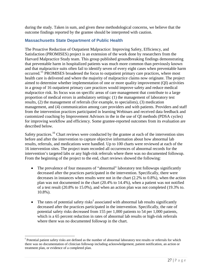during the study. Taken in sum, and given these methodological concerns, we believe that the outcome findings reported by the grantee should be interpreted with caution.

#### <span id="page-31-0"></span>**Massachusetts State Department of Public Health**

The Proactive Reduction of Outpatient Malpractice: Improving Safety, Efficiency, and Satisfaction (PROMISES) project is an extension of the work done by researchers from the Harvard Malpractice Study team. This group published groundbreaking findings demonstrating that preventable harm in hospitalized patients was much more common than previously known and that malpractice suits often fail to identify seven of every eight cases when preventable harm occurred.<sup>15</sup> PROMISES broadened the focus to outpatient primary care practices, where most health care is delivered and where the majority of malpractice claims now originate. The project aimed to determine whether implementation of one or more quality improvement (QI) activities in a group of 16 outpatient primary care practices would improve safety and reduce medical malpractice risk. Its focus was on specific areas of care management that contribute to a large proportion of medical errors in ambulatory settings: (1) the management of laboratory test results, (2) the management of referrals (for example, to specialists), (3) medication management, and (4) communication among care providers and with patients. Providers and staff from the intervention practices participated in learning Webinars and received data feedback and customized coaching by Improvement Advisors in the in the use of QI methods (PDSA cycles) for improving workflow and efficiency. Some grantee-reported outcomes from its evaluation are described below.

Safety practices.<sup>16</sup> Chart reviews were conducted by the grantee at each of the intervention sites before and after the intervention to capture objective information about how abnormal lab results, referrals, and medications were handled. Up to 100 charts were reviewed at each of the 16 intervention sites. The project team recorded all occurrences of abnormal records for the intervention's targeted labs or any high-risk referrals where there was no documented followup. From the beginning of the project to the end, chart reviews showed the following:

- The prevalence of four measures of "abnormal" laboratory test followups significantly decreased after the practices participated in the intervention. Specifically, there were decreases in instances when results were not in the chart (2.2% to 0.8%), when the action plan was not documented in the chart (20.4% to 14.4%), when a patient was not notified of a test result (20.8% to 15.0%), and when an action plan was not completed (19.3% to. 10.8%).
- The rates o[f](#page-31-1) potential safety risks<sup>f</sup> associated with abnormal lab results significantly decreased after the practices participated in the intervention. Specifically, the rate of potential safety risks decreased from 155 per 1,000 patients to 54 per 1,000 patients, which is a 65 percent reduction in rates of abnormal lab results or high-risk referrals where there was no documented followup in the chart.

<span id="page-31-1"></span> $<sup>f</sup>$  Potential patient safety risks are defined as the number of abnormal laboratory test results or referrals for which</sup> there was no documentation of clinician followup including acknowledgement, patient notification, an action or treatment plan, or evidence of a completed plan.  $\overline{a}$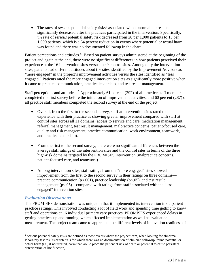• The rates of *serious* potential safety risks<sup> $g$ </sup> associated with abnormal lab results significantly decreased after the practices participated in the intervention. Specifically, the rate of *serious* potential safety risk decreased from 28 per 1,000 patients to 13 per 1,000 patients, which is a 54 percent reduction in events where potential or actual harm was found and there was no documented followup in the chart.

Patient perceptions and attitudes.<sup>17</sup> Based on patient surveys administered at the beginning of the project and again at the end, there were no significant differences in how patients perceived their experience at the 16 intervention sites versus the 9 control sites. Among only the intervention sites, patients had different attitudes about the sites identified by the Improvement Advisors as "more engaged" in the project's improvement activities versus the sites identified as "less engaged." Patients rated the more engaged intervention sites as significantly more positive when it came to practice communication, practice leadership, and test result management.

Staff perceptions and attitudes.**<sup>16</sup>** Approximately 61 percent (292) of all practice staff members completed the first survey before the initiation of improvement activities, and 60 percent (287) of all practice staff members completed the second survey at the end of the project.

- Overall, from the first to the second survey, staff at intervention sites rated their experience with their practice as showing greater improvement compared with staff at control sites across all 11 domains (access to service and care, medication management, referral management, test result management, malpractice concerns, patient-focused care, quality and risk management, practice communication, work environment, teamwork, and practice leadership).
- From the first to the second survey, there were no significant differences between the average staff ratings of the intervention sites and the control sites in terms of the three high-risk domains targeted by the PROMISES intervention (malpractice concerns, patient-focused care, and teamwork).
- Among intervention sites, staff ratings from the "more engaged" sites showed improvement from the first to the second survey in their ratings on three domains practice communication ( $p<.001$ ), practice leadership ( $p<.05$ ), and test result management  $(p<.05)$ —compared with ratings from staff associated with the "less" engaged" intervention sites.

#### *Evaluation Observations*

The PROMISES demonstration was unique in that it implemented its intervention in outpatient practice settings. This involved conducting a lot of field work and spending time getting to know staff and operations at 16 individual primary care practices. PROMISES experienced delays in getting practices up and running, which affected implementation as well as evaluation measurement. The project team came to appreciate the different levels of innovation readiness of

<span id="page-32-0"></span><sup>&</sup>lt;sup>g</sup> Serious potential safety risks are defined as those events where the project team, when looking for abnormal laboratory test results or referrals for which there was no documentation of clinician followup, found potential or actual harm (i.e., if not treated, harm that would place the patient at risk of death or potential to cause persistent deterioration of life function).  $\overline{a}$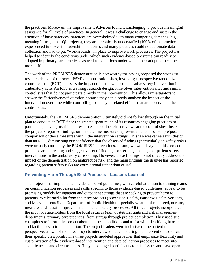the practices. Moreover, the Improvement Advisors found it challenging to provide meaningful assistance for all levels of practices. In general, it was a challenge to engage and sustain the attention of busy practices; practices are overwhelmed with many competing demands (e.g., meaningful use, other QI projects), they are chronically understaffed (100% of the practices experienced turnover in leadership positions), and many practices could not automate data collection and had to put "workarounds" in place to improve work processes. The project has helped to identify the conditions under which such evidence-based programs can readily be adopted in primary care practices, as well as conditions under which their adoption becomes more difficult.

The work of the PROMISES demonstration is noteworthy for having proposed the strongest research design of the seven PSML demonstration sites, involving a prospective randomized controlled trial (RCT) to assess the impact of a statewide collaborative safety intervention in ambulatory care. An RCT is a strong research design; it involves intervention sites and similar control sites that do not participate directly in the intervention. This allows investigators to answer the "effectiveness" question because they can directly analyze the impact of the intervention over time while controlling for many unrelated effects that are observed at the control sites.

Unfortunately, the PROMISES demonstration ultimately did not follow through on the initial plan to conduct an RCT since the grantee spent much of its resources engaging practices to participate, leaving insufficient resources to conduct chart reviews at the control sites. Instead, the project's reported findings on the outcome measures represent an uncontrolled, pre/post comparison of those measures within the intervention settings. This is a weaker research design than an RCT, diminishing our confidence that the observed findings (particularly on safety risks) were actually caused by the PROMISES interventions. In sum, we would say that this project produced an interesting and suggestive set of findings concerning a package of patient safety interventions in the ambulatory care setting. However, these findings do not directly address the impact of the demonstration on malpractice risk, and the main findings the grantee has reported regarding patient safety risks are correlational rather than causal.

#### <span id="page-33-0"></span>**Preventing Harm Through Best Practices—Lessons Learned**

The projects that implemented evidence-based guidelines, with careful attention to training teams on communication processes and skills specific to those evidence-based guidelines, appear to be promising models for inpatient and outpatient settings that are seeking to prevent harm to patients. We learned a lot from the three projects (Ascension Health, Fairview Health Services, and Massachusetts State Department of Public Health), especially what it takes to seed, nurture, measure, and sustain improvements in patient safety processes. All three projects incorporated the input of stakeholders from the local settings (e.g., obstetrical units and risk management departments, primary care practices) from startup through project completion. They used site champions to inform the project about the local conditions and assist with identifying barriers and facilitators to implementation. The project leaders were inclusive of the patient's perspective, as two of the three projects interviewed patients during the intervention to solicit their specific viewpoints. The three projects modeled approaches that emphasize flexibility and customization of the evidence-based intervention and data collection processes to meet sitespecific needs and circumstances. They encouraged participants to raise issues and have open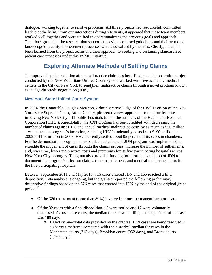dialogue, working together to resolve problems. All three projects had resourceful, committed leaders at the helm. From our interactions during site visits, it appeared that these team members worked well together and were unified in operationalizing the project's goals and approach. Their background in the research that supports the evidence-based guidelines and their working knowledge of quality improvement processes were also valued by the sites. Clearly, much has been learned from the project teams and their approach to seeding and sustaining standardized patient care processes under this PSML initiative.

# **Exploring Alternate Methods of Settling Claims**

<span id="page-34-0"></span>To improve dispute resolution after a malpractice claim has been filed, one demonstration project conducted by the New York State Unified Court System worked with five academic medical centers in the City of New York to send their malpractice claims through a novel program known as "judge-directed" negotiation  $\text{(JDN)}$ .<sup>18</sup>

#### <span id="page-34-1"></span>**New York State Unified Court System**

In 2004, the Honorable Douglas McKeon, Administrative Judge of the Civil Division of the New York State Supreme Court, Bronx County, pioneered a new approach for malpractice cases involving New York City's 11 public hospitals (under the auspices of the Health and Hospitals Corporation [HHC]). Anecdotally, the JDN program has been credited with decreasing the number of claims against HHC and annual medical malpractice costs by as much as \$50 million a year since the program's inception, reducing HHC's indemnity costs from \$190 million in 2003 to \$144 million in 2008. HHC currently settles about 95 percent of its cases in chambers. For the demonstration program, an expanded and enhanced JDN program was implemented to expedite the movement of cases through the claims process, increase the number of settlements, and, over time, lower malpractice costs and premiums for its five participating hospitals across New York City boroughs. The grant also provided funding for a formal evaluation of JDN to document the program's effect on claims, time to settlement, and medical malpractice costs for the five participating hospitals.

Between September 2011 and May 2015, 716 cases entered JDN and 165 reached a final disposition. Data analysis is ongoing, but the grantee reported the following preliminary descriptive findings based on the 326 cases that entered into JDN by the end of the original grant period: 19

- Of the 326 cases, most (more than 80%) involved serious, permanent harm or death.
- Of the 32 cases with a final disposition, 15 were settled and 17 were voluntarily dismissed. Across these cases, the median time between filing and disposition of the case was 189 days.
	- o Based on anecdotal data provided by the grantee, JDN cases are being resolved in a shorter timeframe compared with the historical median for cases in the Manhattan courts (718 days), Brooklyn courts (952 days), and Bronx courts (1,266 days).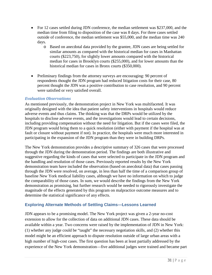- For 12 cases settled during JDN conference, the median settlement was \$237,000, and the median time from filing to disposition of the case was 8 days. For three cases settled outside of conference, the median settlement was \$55,000, and the median time was 240 days.
	- o Based on anecdotal data provided by the grantee, JDN cases are being settled for similar amounts as compared with the historical median for cases in Manhattan courts (\$223,750), for slightly lower amounts compared with the historical median for cases in Brooklyn courts (\$255,000), and for lower amounts than the historical median for cases in Bronx courts (\$350,000).
- Preliminary findings from the attorney surveys are encouraging: 90 percent of respondents thought the JDN program had reduced litigation costs for their case, 80 percent thought the JDN was a positive contribution to case resolution, and 90 percent were satisfied or very satisfied overall.

#### *Evaluation Observations*

As mentioned previously, the demonstration project in New York was multifaceted. It was originally designed with the idea that patient safety interventions in hospitals would reduce adverse events and thus claims. The thinking was that the DRPs would be utilized by the hospitals to disclose adverse events, and the investigations would lead to certain decisions, including providing compensation without the need for litigation. But if the cases were filed, the JDN program would bring them to a quick resolution (either with payment if the hospital was at fault or closure without payment if not). In practice, the hospitals were much more interested in participating in the expansion of the JDN program than they were in building DRPs.

The New York demonstration provides a descriptive summary of 326 cases that were processed through the JDN during the demonstration period. The findings are both illustrative and suggestive regarding the kinds of cases that were selected to participate in the JDN program and the handling and resolution of those cases. Previously reported results by the New York demonstration team have included the observation (based on anecdotal data) that cases passing through the JDN were resolved, on average, in less than half the time of a comparison group of baseline New York medical liability cases, although we have no information on which to judge the comparability of those cases. In sum, we would describe the findings from the New York demonstration as promising, but further research would be needed to rigorously investigate the magnitude of the effects generated by this program on malpractice outcome measures and to determine the statistical significance of any effects.

#### <span id="page-35-0"></span>**Exploring Alternate Methods of Settling Claims—Lessons Learned**

JDN appears to be a promising model. The New York project was given a 2-year no-cost extension to allow for the collection of data on additional JDN cases. These data should be available within a year. Two concerns were raised by the implementation of JDN in New York: (1) whether any judge could be "taught" the necessary negotiation skills, and (2) whether this model might be an efficient approach to dispute resolution outside of large urban areas with a high number of high-cost cases. The first question has been at least partially addressed by the experience of the New York demonstration—five additional judges were trained and became part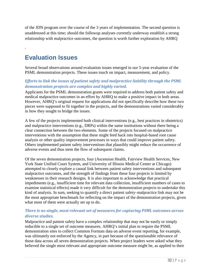of the JDN program over the course of the 3 years of implementation. The second question is unaddressed at this time; should the followup analyses currently underway establish a strong relationship with malpractice outcomes, the question is worth further exploration by AHRQ

# **Evaluation Issues**

.

Several broad observations around evaluation issues emerged in our 5-year evaluation of the PSML demonstration projects. These issues touch on impact, measurement, and policy.

# *Efforts to link the issues of patient safety and malpractice liability through the PSML demonstration projects are complex and highly varied.*

Applicants for the PSML demonstration grants were required to address both patient safety and medical malpractice outcomes in an effort by AHRQ to make a positive impact in both areas. However, AHRQ's original request for applications did not specifically describe how these two pieces were supposed to fit together in the projects, and the demonstrations varied considerably in how they sought to bridge the issues.

A few of the projects implemented both clinical interventions (e.g., best practices in obstetrics) and malpractice interventions (e.g., DRPs) within the same institutions without there being a clear connection between the two elements. Some of the projects focused on malpractice interventions with the assumption that these might feed back into hospital-based root cause analysis or other quality improvement processes in ways that could improve patient safety. Others implemented patient safety interventions that plausibly might reduce the occurrence of adverse events and thus stem the flow of subsequent claims.

Of the seven demonstration projects, four (Ascension Health, Fairview Health Services, New York State Unified Court System, and University of Illinois Medical Center at Chicago) attempted to closely explore a causal link between patient safety interventions and subsequent malpractice outcomes, and the strength of findings from these four projects is limited by weaknesses in their research designs. It is also important to acknowledge that practical impediments (e.g., insufficient time for relevant data collection, insufficient numbers of cases to examine statistical effects) made it very difficult for the demonstration projects to undertake this kind of analysis. In sum, seeking to quantify a direct patient safety–malpractice link may not be the most appropriate benchmark for reflecting on the impact of the demonstration projects, given what most of them were actually set up to do.

# *There is no single, most relevant set of measures for capturing PSML outcomes across diverse studies.*

Malpractice and patient safety have a complex relationship that may not be easily or simply reducible to a single set of outcome measures. AHRQ's initial plan to require the PSML demonstration sites to collect Common Formats data on adverse event reporting, for example, was ultimately not enforced by the Agency, in part because of the questionable relevance of those data across all seven demonstration projects. When project leaders were asked what they believed the single most relevant and appropriate outcome measure might be, as applied to their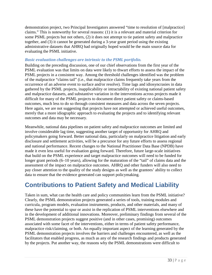demonstration project, two Principal Investigators answered "time to resolution of [malpractice] claims." This is noteworthy for several reasons: (1) it is a relevant and material criterion for some PSML projects but not others, (2) it does not attempt to tie patient safety and malpractice together, and (3) it cannot be generated during a 3-year grant period using the existing administrative datasets that AHRQ had originally hoped would be the main source data for evaluating the PSML initiative.

# *Basic evaluation challenges are intrinsic to the PSML portfolio.*

Building on the preceding discussion, one of our chief observations from the first year of the PSML evaluation was that limits on data were likely to thwart efforts to assess the impact of the PSML projects in a consistent way. Among the threshold challenges identified was the problem of the malpractice "claims tail" (i.e., that malpractice claims frequently take years from the occurrence of an adverse event to surface and/or resolve). Time lags and idiosyncrasies in data gathered by the PSML projects, inapplicability or intractability of existing national patient safety and malpractice datasets, and substantive variation in the interventions across projects made it difficult for many of the PSML projects to document direct patient safety or claims-based outcomes, much less to do so through consistent measures and data across the seven projects. Here again, we are not suggesting that projects have not attempted or achieved useful outcomes, merely that a more idiographic approach to evaluating the projects and to identifying relevant outcomes and data may be necessary.

Meanwhile, national data pipelines on patient safety and malpractice outcomes are limited and involve considerable lag time, suggesting another target of opportunity for AHRQ and policymakers going forward. Better national data, particularly on malpractice litigation and early disclosure and settlement activities, will be a precursor for any future efforts to assess regional and national performance. Recent changes to the National Practitioner Data Base (NPDB) have made it even less useful for evaluation going forward. Therefore, future large-scale initiatives that build on the PSML experience and target malpractice outcomes will need to be funded for longer grant periods (6–10 years), allowing for the maturation of the "tail" of claims data and the assessment of the impact on malpractice outcomes. AHRQ and other funders will also need to pay closer attention to the quality of the study designs as well as the grantees' ability to collect data to ensure that the evidence generated can support policymaking.

# **Contributions to Patient Safety and Medical Liability**

Taken in sum, what can the health care and policy communities learn from the PSML initiative? Clearly, the PSML demonstration projects generated a series of tools, training modules and curricula, program models, evaluation instruments, products, and other materials, and many of these have the potential to spur or assist in the replication of PSML interventions elsewhere and in the development of additional innovations. Moreover, preliminary findings from several of the PSML demonstration projects suggest positive (and in other cases, promising) outcomes associated with some facet of the interventions, either in terms of patient safety performance, malpractice risk/claiming, or both. An equally important aspect of the learning generated by the PSML demonstration projects involves the barriers and challenges encountered, as well as the facilitators that enabled progress, as much as any of the research findings and products generated by the projects. Put another way, the reasons why the PSML demonstrations were difficult to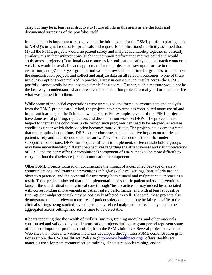carry out may be at least as instructive to future efforts in this arena as are the tools and documented successes of the portfolio itself.

In this vein, it is important to recognize that the initial plans for the PSML portfolio (dating back to AHRQ's original request for proposals and request for applications) implicitly assumed that (1) all the PSML projects would tie patient safety and malpractice liability together in basically similar ways in their interventions, such that common performance metrics could and would apply across projects; (2) national data resources for both patient safety and malpractice outcome variables would be available and appropriate for the projects to draw upon for use in the evaluation; and (3) the 3-year grant period would allow sufficient time for grantees to implement the demonstration projects and collect and analyze data on all relevant outcomes. None of these initial assumptions were realized in practice. Partly in consequence, results across the PSML portfolio cannot easily be reduced to a simple "box score." Further, such a measure would not be the best way to understand what these seven demonstration projects actually did or to summarize what was learned from them.

While some of the initial expectations were unrealized and formal outcomes data and analysis from the PSML projects are limited, the projects have nevertheless contributed many useful and important learnings to the field's knowledge base. For example, several of the PSML projects have done useful piloting, replication, and dissemination work on DRPs. The projects have helped to identify the conditions under which such programs can readily be adopted, as well as conditions under which their adoption becomes more difficult. The projects have demonstrated that under optimal conditions, DRPs can produce measurable, positive impacts on a series of patient safety and liability outcome measures. They also have demonstrated that under suboptimal conditions, DRPs can be quite difficult to implement, different stakeholder groups may have understandably different perspectives regarding the attractiveness and risk implications of DRP, and the early offer (or "resolution") component of DRPs tends to be more difficult to carry out than the disclosure (or "communication") component.

Other PSML projects focused on documenting the impact of a combined package of safety, communications, and training interventions in high-risk clinical settings (particularly around obstetrics practice) and the potential for improving both clinical and malpractice outcomes as a result. These projects showed that the implementation of specific patient safety interventions (and/or the standardization of clinical care through "best practices") may indeed be associated with corresponding improvements in patient safety performance, and with at least suggestive findings that malpractice risk may be positively affected as well. That said, these projects also demonstrate that the relevant measures of patient safety outcome may be fairly specific to the clinical settings being studied; by extension, any related malpractice effects may need to be aggregated across settings and across time to be detectable.

It bears repeating that the wealth of toolkits, surveys, training modules, and other materials constructed and validated by the demonstration projects during the grant period represent some of the most important products resulting from the PSML initiative. Several projects developed Web sites that house intervention materials developed through their PSML demonstration grant. For example, the UW HealthPact Web site [\(http://www.healthpact.org/\)](http://www.healthpact.org/) offers HealthPact materials used for team communication training, disclosure coach training, and the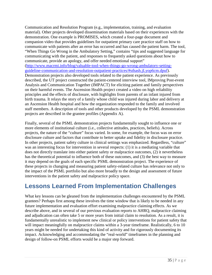Communication and Resolution Program (e.g., implementation, training, and evaluation material). Other projects developed dissemination materials based on their experiences with the demonstration. One example is PROMISES, which created a four-page document and companion video that provides guidelines for outpatient primary care practice staff on how to communicate with patients after an error has occurred and has caused the patient harm. The tool, "When Things Go Wrong in the Ambulatory Setting," contains "tips and suggested language for communicating with the patient, and responses to frequently asked questions about how to communicate, provide an apology, and offer needed emotional support" [\(http://www.macrmi.info/blog/valuable-tool-when-things-go-wrong-ambulatory-setting](http://www.macrmi.info/blog/valuable-tool-when-things-go-wrong-ambulatory-setting-guideline-communication-and-resolution-outpatient-practices/%23sthash.jLyop6cm.dpuf)[guideline-communication-and-resolution-outpatient-practices/#sthash.jLyop6cm.dpuf\)](http://www.macrmi.info/blog/valuable-tool-when-things-go-wrong-ambulatory-setting-guideline-communication-and-resolution-outpatient-practices/%23sthash.jLyop6cm.dpuf). Demonstration projects also developed tools related to the patient experience. As previously described, the UT project constructed the patient-centered interview tool, IMproving Post-event Analysis and Communication Together (IMPACT) for eliciting patient and family perspectives on their harmful events. The Ascension Health project created a video on high reliability principles and the effects of disclosure, with highlights from parents of an infant injured from birth trauma. It relays the story of a family whose child was injured during labor and delivery at an Ascension Health hospital and how the organization responded to the family and involved staff members. A description of tools and other products developed by the PSML demonstration projects are described in the grantee profiles (Appendix A).

Finally, several of the PSML demonstration projects fundamentally sought to influence one or more elements of institutional culture (i.e., collective attitudes, practices, beliefs). Across projects, the nature of the "culture" focus varied. In some, for example, the focus was on error disclosure culture and factors that contribute to better uptake and fidelity in disclosure practice. In other projects, patient safety culture in clinical settings was emphasized. Regardless, "culture" was an interesting focus for intervention in several respects: (1) it is a mediating variable that does not directly translate into either patient safety or malpractice outcomes, (2) it nevertheless has the theoretical potential to influence both of these outcomes, and (3) the best way to measure it may depend on the goals of each specific PSML demonstration project. The experience of these projects in changing and measuring patient safety-related culture has relevance not only to the impact of the PSML portfolio but also more broadly to the design and assessment of future interventions in the patient safety and malpractice policy space.

# **Lessons Learned From Implementation Challenges**

What key lessons can be gleaned from the implementation challenges encountered by the PSML grantees? Perhaps first among these involves the time window that is likely to be needed in any future implementation and evaluation effort examining malpractice claiming effects. As we describe above, and in several of our previous evaluation reports to AHRQ, malpractice claiming and adjudication can often take 5 or more years from initial claim to resolution. As a result, it is fundamentally unrealistic to implement new clinical or policy interventions for patient safety that will impact meaningfully on malpractice claims within a 3-year timeframe. Realistically, 6 to 10 years might be needed for undertaking this kind of activity and for rigorously documenting its impact. Acknowledging and accommodating the "real-world" timeframes in the planning and design of follow-on PSML efforts would be a major step forward.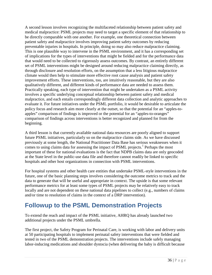A second lesson involves recognizing the multifaceted relationship between patient safety and medical malpractice: PSML projects may need to target a specific element of that relationship to be directly comparable with one another. For example, one theoretical connection between patient safety and malpractice involves improving patient safety outcomes by reducing preventable injuries in hospitals. In principle, doing so may also reduce malpractice claiming. This is one plausible way to intervene in the PSML environment, and it has a corresponding set of implications for the types of interventions that might be fielded and for the performance data that would need to be collected to rigorously assess outcomes. By contrast, an entirely different set of PSML interventions might be designed around reducing malpractice claiming directly, as through disclosure and resolution efforts, on the assumption that a less litigious malpractice climate would then help to stimulate more effective root cause analysis and patient safety improvement efforts. These interventions, too, are intuitively reasonable, but they are also qualitatively different, and different kinds of performance data are needed to assess them. Practically speaking, each type of intervention that might be undertaken as a PSML activity involves a specific underlying conceptual relationship between patient safety and medical malpractice, and each entails correspondingly different data collection and analytic approaches to evaluate it. For future initiatives under the PSML portfolio, it would be desirable to articulate the policy focus and research aim more clearly at the outset, so that the potential for an "apples-toapples" comparison of findings is improved or the potential for an "apples-to-oranges" comparison of findings across interventions is better recognized and planned for from the beginning.

A third lesson is that currently available national data resources are poorly aligned to support future PSML initiatives, particularly so on the malpractice claims side. As we have discussed previously at some length, the National Practitioner Data Base has serious weaknesses when it comes to using claims data for assessing the impact of PSML projects.<sup>1</sup> Perhaps the most important of these for national evaluations is the fact that NDPB claims data are only geocoded at the State level in the public-use data file and therefore cannot readily be linked to specific hospitals and other host organizations in connection with PSML interventions.

For hospital systems and other health care entities that undertake PSML-style interventions in the future, one of the basic planning steps involves considering the outcome metrics to track and the data to generate that will be useful and appropriate in context. The upside is that some relevant performance metrics for at least some types of PSML projects may be relatively easy to track locally and are not dependent on these national data pipelines to collect (e.g., numbers of claims and/or time to resolution of claims in the context of a DRP intervention).

# **Followup to the PSML Demonstration Projects**

To extend the reach and impact of the PSML initiative, AHRQ has already launched two additional projects under the PSML umbrella.

The first project, the Safety Program for Perinatal Care, is working with labor and delivery units at 50 participating hospitals to implement perinatal safety interventions that were fielded and tested in two of the PSML demonstration projects. The interventions include safely managing labor-inducing medications and shoulder dystocia (when delivering the baby is difficult because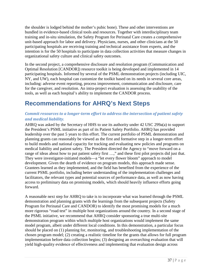the shoulder is lodged behind the mother's pubic bone). These and other interventions are bundled in evidence-based clinical tools and resources. Together with interdisciplinary team training and in-situ simulation, the Safety Program for Perinatal Care creates a comprehensive unit-based approach for labor and delivery. Physicians, nurses, and other clinicians at the 50 participating hospitals are receiving training and technical assistance from experts, and the intention is for the 50 hospitals to participate in data collection activities that measure changes in organizational safety culture and clinical safety outcomes.

In the second project, a comprehensive disclosure and resolution program (Communication and Optimal Resolution [CANDOR]) resource toolkit is being developed and implemented in 14 participating hospitals. Informed by several of the PSML demonstration projects (including UIC, NY, and UW), each hospital can customize the toolkit based on its needs in several core areas, including: adverse event reporting, process improvement, communication and disclosure, care for the caregiver, and resolution. An intra-project evaluation is assessing the usability of the tools, as well as each hospital's ability to implement the CANDOR process.

# **Recommendations for AHRQ's Next Steps**

# *Commit resources to a longer-term effort to address the intersection of patient safety and medical liability.*

AHRQ was asked by the Secretary of HHS to use its authority under 42 USC 299a(a) to support the President's PSML initiative as part of its Patient Safety Portfolio. AHRQ has provided leadership over the past 5 years to this effort. The current portfolio of PSML demonstration and planning grants can reasonably be viewed as the first and formative step in a longer-term effort to build models and national capacity for tracking and evaluating new policies and programs on medical liability and patient safety. The President directed the Agency to "move forward on a range of ideas about how to put patient safety first ...," and these first pilot projects did just that. They were investigator-initiated models—a "let every flower bloom" approach to model development. Given the dearth of evidence on program models, this approach made sense. Grantees learned as they implemented, and the field has benefited from the experience of the current PSML portfolio, including better understanding of the implementation challenges and facilitators, the relevant types and potential sources of performance data, as well as now having access to preliminary data on promising models, which should heavily influence efforts going forward.

A reasonable next step for AHRQ to take is to incorporate what was learned through the PSML demonstration and planning grants with the learnings from the subsequent projects (Safety Program for Perinatal Care and CANDOR) to identify the most promising models for a much more rigorous "road test" in multiple host organizations around the country. In a second stage of the PSML initiative, we recommend that AHRQ consider sponsoring a true multi-site demonstration program within which multiple host organizations would implement the same model program, albeit under different local conditions. In this demonstration, a particular focus should be placed on (1) planning for, monitoring, and troubleshooting implementation of the chosen program model; (2) creating a realistic timeline for the grants that allows for full program implementation before data collection begins; (3) designing an overarching evaluation that will yield high-quality evidence of effectiveness and implementing that evaluation design across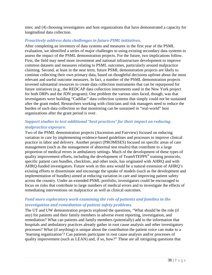sites; and (4) choosing investigators and host organizations that have demonstrated a capacity for longitudinal data collection.

# *Proactively address data challenges in future PSML initiatives.*

After completing an inventory of data systems and measures in the first year of the PSML evaluation, we identified a series of major challenges to using existing secondary data systems to assess the impact of the PSML demonstration projects. For the future, two implications follow. First, the field may need more investment and national infrastructure development to improve common datasets and measures relating to PSML outcomes, particularly around malpractice claiming. Second, at least in the near term, future PSML demonstration projects are likely to continue collecting their own primary data, based on thoughtful decisions upfront about the most relevant and useful outcome measures. In fact, a number of the PSML demonstration projects invested substantial resources to create data collection instruments that can be repurposed for future initiatives (e.g., the REDCAP data collection instruments used in the New York project for both DRPs and the JDN program). One problem the various sites faced, though, was that investigators were building "Cadillac" data collection systems that simply could not be sustained after the grant ended. Researchers working with clinicians and risk managers need to reduce the burden of such data collection so that monitoring can be sustained in "real-world" host organizations after the grant period is over.

# *Support studies to test additional "best practices" for their impact on reducing malpractice exposure.*

Two of the PSML demonstration projects (Ascension and Fairview) focused on reducing variation in care by implementing evidence-based guidelines and processes to improve clinical practice in labor and delivery. Another project (PROMISES) focused on specific areas of care management (such as the management of abnormal test results) that contribute to a large proportion of medical errors in ambulatory settings. Much of the development of these types of quality improvement efforts, including the development of TeamSTEPPS<sup>®</sup> training protocols, specific patient care bundles, checklists, and other tools, has originated with AHRQ and with AHRQ-funded investigators. Future work in this area would be a natural extension of AHRQ's existing efforts to disseminate and encourage the uptake of models (such as the development and implementation of bundles) aimed at reducing variation in care and improving patient safety across the country. Under an extended PSML portfolio, investigators could be encouraged to focus on risks that contribute to large numbers of medical errors and to investigate the effects of remediating interventions on malpractice as well as clinical outcomes.

# *Fund more exploratory work examining the role of patients and families in the investigation and remediation of patient safety problems.*

The UT and UW demonstration projects explored the questions, "What should be the role (if any) for patients and their family members in adverse event reporting, investigation, and remediation? What can patients and family members (potentially) add to the information that hospitals and ambulatory practices already gather in root cause analysis and other investigatory processes? What (if anything) is unique about the contribution the patient voice can make to a 'learning organization'? Can patients participate in root cause analysis and/or processes of quality improvement (such as LEAN) and, if so, how?" These are all intriguing questions that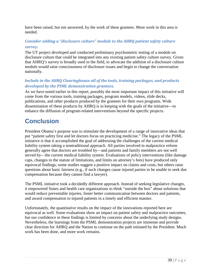have been raised, but not answered, by the work of these grantees. More work in this area is needed.

# *Consider adding a "disclosure culture" module to the AHRQ patient safety culture survey.*

The UT project developed and conducted preliminary psychometric testing of a module on disclosure culture that could be integrated into any existing patient safety culture survey. Given that AHRQ's survey is broadly used in the field, to advocate the addition of a disclosure culture module would raise consciousness of disclosure issues and begin to change the conversation nationally.

# *Include in the AHRQ Clearinghouse all of the tools, training packages, and products developed by the PSML demonstration grantees.*

As we have noted earlier in this report, possibly the most important impact of this initiative will come from the various tools, training packages, program models, videos, slide decks, publications, and other products produced by the grantees for their own programs. Wide dissemination of these products by AHRQ is in keeping with the goals of the initiative—to enhance the diffusion of program-related interventions beyond the specific projects.

# **Conclusion**

President Obama's purpose was to stimulate the development of a range of innovative ideas that put "patient safety first and let doctors focus on practicing medicine." The legacy of the PSML initiative is that it accomplished the goal of addressing the challenges of the current medical liability system taking a nontraditional approach. All parties involved in malpractice reform generally agree that doctors are troubled by—and patients and family members are not well served by—the current medical liability system. Evaluations of policy interventions (like damage caps, changes to the statute of limitations, and limits on attorney's fees) have produced only equivocal findings; some studies suggest a positive impact on claims and costs, but others raise questions about basic fairness (e.g., if such changes cause injured parties to be unable to seek due compensation because they cannot find a lawyer).

The PSML initiative took a decidedly different approach. Instead of seeking legislative changes, it empowered States and health care organizations to think "outside the box" about solutions that would reduce preventable injuries, foster better communication between doctors and patients, and award compensation to injured patients in a timely and efficient manner.

Unfortunately, the quantitative results on the impact of the innovations reported here are equivocal as well. Some evaluations show an impact on patient safety and malpractice outcomes, but our confidence in these findings is limited by concerns about the underlying study designs. Nevertheless, the learnings from the PSML demonstration projects are immense and provide clear direction for AHRQ and the Nation to continue on the path initiated by the President. Much work has been done, and more work remains.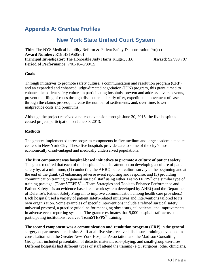# **Appendix A: Grantee Profiles**

# **New York State Unified Court System**

**Title:** The NYS Medical Liability Reform & Patient Safety Demonstration Project **Award Number:** R18 HS19505-01 **Principal Investigator:** The Honorable Judy Harris Kluger, J.D. **Award:** \$2,999,787 **Period of Performance:** 7/01/10–6/30/15

#### **Goals**

Through initiatives to promote safety culture, a communication and resolution program (CRP), and an expanded and enhanced judge-directed negotiation (JDN) program, this grant aimed to enhance the patient safety culture in participating hospitals, prevent and address adverse events, prevent the filing of cases through disclosure and early offer, expedite the movement of cases through the claims process, increase the number of settlements, and, over time, lower malpractice costs and premiums.

Although the project received a no-cost extension through June 30, 2015, the five hospitals ceased project participation on June 30, 2013.

#### **Methods**

The grantee implemented three program components in five medium and large academic medical centers in New York City. These five hospitals provide care to some of the city's most economically disadvantaged and medically underserved populations.

**The first component was hospital-based initiatives to promote a culture of patient safety.** The grant required that each of the hospitals focus its attention on developing a culture of patient safety by, at a minimum, (1) conducting the AHRQ patient culture survey at the beginning and at the end of the grant, (2) enhancing adverse event reporting and response, and (3) providing communication training to general surgical staff using either TeamSTEPPS® or a similar type of training package. (TeamSTEPPS®—Team Strategies and Tools to Enhance Performance and Patient Safety—is an evidence-based teamwork system developed by AHRQ and the Department of Defense's Patient Safety Program to improve communication among health care providers.) Each hospital used a variety of patient safety-related initiatives and interventions tailored to its own organization. Some examples of specific interventions include a refined surgical safety universal protocol, a practice guideline for managing obese surgical patients, and improvements in adverse event reporting systems. The grantee estimates that 5,000 hospital staff across the participating institutions received TeamSTEPPS<sup>®</sup> training.

**The second component was a communication and resolution program (CRP)** in the general surgery departments at each site. Staff at all five sites received disclosure training developed in consultation with the Greater New York Hospital Association and the Madison Consulting Group that included presentation of didactic material, role-playing, and small-group exercises. Different hospitals had different types of staff attend the training (e.g., surgeons, other clinicians,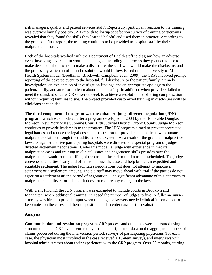risk managers, quality and patient services staff). Reportedly, participant reaction to the training was overwhelmingly positive. A 6-month followup satisfaction survey of training participants revealed that they found the skills they learned helpful and used them in practice. According to the grantee's final report, the training continues to be provided to hospital staff by their malpractice insurer.

Each of the hospitals worked with the Department of Health staff to diagram how an adverse event involving severe harm would be managed, including the process they planned to use to make decisions about when to make a disclosure, the staff who would make the disclosure, and the process by which an offer and resolution would follow. Based on the University of Michigan Health System model (Boothman, Blackwell, Campbell, et al., 2009), the CRPs involved prompt reporting of the adverse event to the hospital, full disclosure to the patient/family, a timely investigation, an explanation of investigation findings and an appropriate apology to the patient/family, and an effort to learn about patient safety. In addition, when providers failed to meet the standard of care, CRPs were to seek to achieve a resolution by offering compensation without requiring families to sue. The project provided customized training in disclosure skills to clinicians at each site.

**The third component of the grant was the enhanced judge-directed negotiation (JDN) program,** which was modeled after a program developed in 2004 by the Honorable Douglas McKeon, New York State Supreme Court 12th Judicial District, Bronx County. Judge McKeon continues to provide leadership to the program. The JDN program aimed to prevent protracted legal battles and reduce the legal costs and frustration for providers and patients who pursue malpractice claims through the traditional court system. As a result of the grant, all malpractice lawsuits against the five participating hospitals were directed to a special program of judgedirected settlement negotiations. Under this model, a judge with experience in medical malpractice cases and training in clinical issues and negotiation skills presides over the malpractice lawsuit from the filing of the case to the end or until a trial is scheduled. The judge convenes the parties "early and often" to discuss the case and help broker an expedited and equitable settlement. The judge facilitates negotiations but does not attempt to impose a settlement or a settlement amount. The plaintiff may move ahead with trial if the parties do not agree on a settlement after a period of negotiation. One significant advantage of this approach to malpractice liability reform is that it does not require any change to the law.

With grant funding, the JDN program was expanded to include courts in Brooklyn and Manhattan, where additional training increased the number of judges to five. A full-time nurseattorney was hired to provide input when the judge or lawyers needed clinical information, to keep notes on the cases and their disposition, and to enter data for the evaluation.

## **Analysis**

**Communication and resolution program.** CRP process and outcomes were measured using structured data on CRP events entered by hospital staff, insurer data on the aggregate numbers of claims processed during the intervention period, surveys of participating physicians (for each case, the physician most involved in the case received a 15-item survey), and interviews with hospital administrators about their experiences with the CRP program. Over 22 months, starting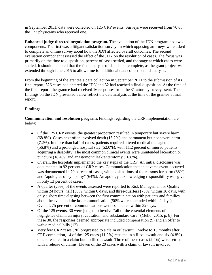in September 2011, data were collected on 125 CRP events. Surveys were received from 70 of the 123 physicians who received one.

**Enhanced judge-directed negotiation program.** The evaluation of the JDN program had two components. The first was a litigant satisfaction survey, in which opposing attorneys were asked to complete an online survey about how the JDN affected overall outcomes. The second evaluation component assessed the effect of the JDN on the resolution of cases. The focus was primarily on the time to disposition, percent of cases settled, and the stage at which cases were settled. It should be noted that the final analysis of data is not complete, as the grant project was extended through June 2015 to allow time for additional data collection and analysis.

From the beginning of the grantee's data collection in September 2011 to the submission of its final report, 326 cases had entered the JDN and 32 had reached a final disposition. At the time of the final report, the grantee had received 16 responses from the 31 attorney surveys sent. The findings on the JDN presented below reflect the data analysis at the time of the grantee's final report.

# **Findings**

**Communication and resolution program.** Findings regarding the CRP implementation are below:

- Of the 125 CRP events, the greatest proportion resulted in temporary but severe harm (68.8%). Cases next often involved death (15.2%) and permanent but not severe harm (7.2%). In more than half of cases, patients required altered medical management (56.8%) and a prolonged hospital stay (52.0%), with 11.2 percent of injured patients acquiring a disability. The most common clinical events were unintended laceration or puncture (18.4%) and anastomotic leak/enterotomy (16.8%).
- Overall, the hospitals implemented the key steps of the CRP. An initial disclosure was documented in 92 percent of CRP cases. Communication that an adverse event occurred was documented in 79 percent of cases, with explanations of the reasons for harm (88%) and "apologies of sympathy" (64%). An apology acknowledging responsibility was given in only 13 percent of cases.
- A quarter (25%) of the events assessed were reported to Risk Management or Quality within 24 hours, half (50%) within 6 days, and three-quarters (75%) within 18 days, with only a short time elapsing between the first communication with patients and families about the event and the last communication (50% were concluded within 2 days). Overall, 75 percent of communications were concluded within 32 days.
- Of the 125 events, 30 were judged to involve "all of the essential elements of a negligence claim: an injury, causation, and substandard care" (Mello, 2015, p. 8). For these 30, the responses deemed appropriate included compensation (9) and an offer to waive medical bills (12).
- Very few CRP cases (20) progressed to a claim or lawsuit. Twelve to 15 months after CRP completion, 14 of the 125 cases (11.2%) resulted in a filed lawsuit and six (4.8%) others resulted in a claim but no filed lawsuit. Three of these cases (2.4%) were settled with a release of claims. Eleven of the 20 cases with a claim or lawsuit involved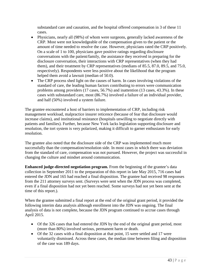substandard care and causation, and the hospital offered compensation in 3 of these 11 cases.

- Physicians, nearly all (98%) of whom were surgeons, generally lacked awareness of the CRP. Most were not knowledgeable of the compensation given to the patient or the amount of time needed to resolve the case. However, physicians rated the CRP positively. On a scale of 1 to 100, physicians gave positive ratings regarding disclosure conversations with the patient/family, the assistance they received in preparing for the disclosure conversation, their interactions with CRP representatives (when they had them), and their treatment by CRP representatives (medians of 85.5, 87.0, 89.5, and 75.0, respectively). Respondents were less positive about the likelihood that the program helped them avoid a lawsuit (median of 50.0).
- The CRP process shed light on the causes of harm. In cases involving violations of the standard of care, the leading human factors contributing to errors were communication problems among providers (17 cases, 56.7%) and inattention (13 cases, 43.3%). In these cases with substandard care, most (86.7%) involved a failure of an individual provider, and half (50%) involved a system failure.

The grantee encountered a host of barriers to implementation of CRP, including risk management workload, malpractice insurer reticence (because of fear that disclosure would increase claims), and institutional resistance (hospitals unwilling to negotiate directly with patients and families). Further, because New York lacks legislation supporting disclosure and resolution, the tort system is very polarized, making it difficult to garner enthusiasm for early resolution.

The grantee also noted that the disclosure side of the CRP was implemented much more successfully than the compensation/resolution side. In most cases in which there was deviation from the standard of care, compensation was not pursued. However, the project was successful in changing the culture and mindset around communication.

**Enhanced judge-directed negotiation program.** From the beginning of the grantee's data collection in September 2011 to the preparation of this report in late May 2015, 716 cases had entered the JDN and 165 had reached a final disposition. The grantee had received 98 responses from the 211 attorney surveys sent. (Surveys were sent when the JDN process was completed, even if a final disposition had not yet been reached. Some surveys had not yet been sent at the time of this report.).

When the grantee submitted a final report at the end of the original grant period, it provided the following interim data analysis although enrollment into the JDN was ongoing. The final analysis of data is not complete, because the JDN program continued to accrue cases through April 2015.

- Of the 326 cases that had entered the JDN by the end of the original grant period, most (more than 80%) involved serious, permanent harm or death.
- Of the 32 cases with a final disposition at that point, 15 were settled and 17 were voluntarily dismissed. Across these cases, the median time between filing and disposition of the case was 189 days.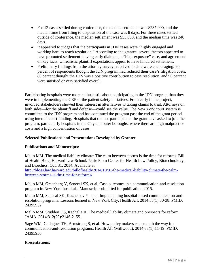- For 12 cases settled during conference, the median settlement was \$237,000, and the median time from filing to disposition of the case was 8 days. For three cases settled outside of conference, the median settlement was \$55,000, and the median time was 240 days.
- It appeared to judges that the participants in JDN cases were "highly engaged and working hard to reach resolution." According to the grantee, several factors appeared to have promoted settlement: having early dialogue, a "high-exposure" case, and agreement on key facts. Unrealistic plaintiff expectations appear to have hindered settlement.
- Preliminary findings from the attorney surveys received to date were encouraging: 90 percent of respondents thought the JDN program had reduced their case's litigation costs, 80 percent thought the JDN was a positive contribution to case resolution, and 90 percent were satisfied or very satisfied overall.

Participating hospitals were more enthusiastic about participating in the JDN program than they were in implementing the CRP or the patient safety initiatives. From early in the project, involved stakeholders showed their interest in alternatives to taking claims to trial. Attorneys on both sides—for the plaintiff and defense—could see the value. The New York court system is committed to the JDN program and has continued the program past the end of the grant period using internal court funding. Hospitals that did not participate in the grant have asked to join the program, particularly hospitals in the City and outer boroughs, where there are high malpractice costs and a high concentration of cases.

# **Selected Publications and Presentations Developed by Grantee**

## **Publications and Manuscripts:**

Mello MM. The medical liability climate: The calm between storms is the time for reforms. Bill of Health Blog, Harvard Law School/Petrie Flom Center for Health Law Policy, Biotechnology, and Bioethics. Oct. 31, 2014. Available at

[http://blogs.law.harvard.edu/billofhealth/2014/10/31/the-medical-liability-climate-the-calm](http://blogs.law.harvard.edu/billofhealth/2014/10/31/the-medical-liability-climate-the-calm-between-storms-is-the-time-for-reforms/)[between-storms-is-the-time-for-reforms/](http://blogs.law.harvard.edu/billofhealth/2014/10/31/the-medical-liability-climate-the-calm-between-storms-is-the-time-for-reforms/)

Mello MM, Greenberg Y, Senecal SK, et al. Case outcomes in a communication-and-resolution program in New York hospitals. Manuscript submitted for publication. 2015.

Mello MM, Senecal SK, Kuznetsov Y, et al. Implementing hospital-based communication-andresolution programs: Lessons learned in New York City. Health Aff. 2014;33(1):30-38. PMID: 24395932.

Mello MM, Studdert DS, Kachalia A. The medical liability climate and prospects for reform. JAMA. 2014;312(20):2146-2155.

Sage WM, Gallagher TH, Armstrong S, et al. How policy makers can smooth the way for communication-and-resolution programs. Health Aff (Millwood). 2014;33(1):11-19. PMID: 24395930.

#### **Presentations:**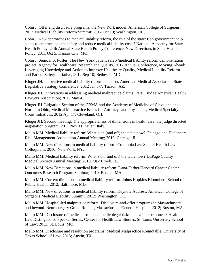Cohn J. Offer and disclosure programs, the New York model. American College of Surgeons, 2012 Medical Liability Reform Summit; 2012 Oct 19; Washington, DC.

Cohn J. New approaches to medical liability reform, the role of the state: Can government help states to embrace patient safety and reduce medical liability costs? National Academy for State Health Policy, 24th Annual State Health Policy Conference, New Directions in State Health Policy; 2011 Oct 5; Kansas City, MO.

Cohn J, Senecal S. Poster: The New York patient safety/medical liability reform demonstration project. Agency for Healthcare Research and Quality, 2012 Annual Conference, Moving Ahead: Leveraging Knowledge and Action to Improve Healthcare Quality, Medical Liability Reform and Patient Safety Initiative; 2012 Sep 10; Bethesda, MD.

Kluger JH. Innovative medical liability reform in action. American Medical Association, State Legislative Strategy Conference; 2012 Jan 5-7; Tucson, AZ.

Kluger JH. Innovations in addressing medical malpractice claims, Part I. Judge American Health Lawyers Association; 2012 May 4.

Kluger JH. Litigation Section of the CBMA and the Academy of Medicine of Cleveland and Northern Ohio, Medical Malpractice Issues for Attorneys and Physicians, Medical Specialty Court Initiatives. 2012 Apr 17; Cleveland, OH.

Kluger JH. Second meeting: The appropriateness of dimensions in health care, the judge directed negotiation program. 2011 Nov 11; Milan, Italy.

Mello MM. Medical liability reform: What's on (and off) the table now? Chicagoland Healthcare Risk Management Association Annual Meeting; 2010; Chicago, IL.

Mello MM. New directions in medical liability reform. Columbia Law School Health Law Colloquium; 2010; New York, NY.

Mello MM. Medical liability reform: What's on (and off) the table now? DuPage County Medical Society Annual Meeting; 2010; Oak Brook, IL.

Mello MM. New Directions in medical liability reform. Dana-Farber/Harvard Cancer Center Outcomes Research Program Seminar; 2010; Boston, MA.

Mello MM. Current directions in medical liability reform. Johns Hopkins Bloomberg School of Public Health; 2012; Baltimore, MD.

Mello MM. New directions in medical liability reform. Keynote Address, American College of Surgeons Medical Liability Summit; 2012; Washington, DC.

Mello MM. Hospital-led malpractice reform: Disclosure-and-offer programs in Massachusetts and beyond. Neurosurgery Grand Rounds, Massachusetts General Hospital; 2012; Boston, MA.

Mello MM. Disclosure of medical errors and medicolegal risk: Is it safe to be honest? Health Law Distinguished Speaker Series, Center for Health Law Studies, St. Louis University School of Law; 2012; St. Louis, MO.

Mello MM. Disclosure and resolution programs. Medical Malpractice Roundtable, University of Texas School of Law; 2013; Austin, TX.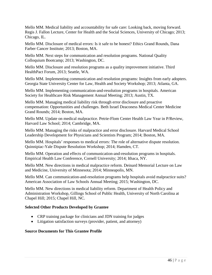Mello MM. Medical liability and accountability for safe care: Looking back, moving forward. Regis J. Fallon Lecture, Center for Health and the Social Sciences, University of Chicago; 2013; Chicago, IL.

Mello MM. Disclosure of medical errors: Is it safe to be honest? Ethics Grand Rounds, Dana Farber Cancer Institute; 2013; Boston, MA.

Mello MM. Next steps for communication and resolution programs. National Quality Colloquium Bootcamp; 2013; Washington, DC.

Mello MM. Disclosure and resolution programs as a quality improvement initiative. Third HealthPact Forum, 2013; Seattle, WA.

Mello MM. Implementing communication and resolution programs: Insights from early adopters. Georgia State University Center for Law, Health and Society Workshop; 2013; Atlanta, GA.

Mello MM. Implementing communication-and-resolution programs in hospitals. American Society for Healthcare Risk Management Annual Meeting; 2013; Austin, TX.

Mello MM. Managing medical liability risk through error disclosure and proactive compensation: Opportunities and challenges. Beth Israel Deaconess Medical Center Medicine Grand Rounds; 2014; Boston, MA.

Mello MM. Update on medical malpractice. Petrie-Flom Center Health Law Year in P/Review, Harvard Law School; 2014; Cambridge, MA.

Mello MM. Managing the risks of malpractice and error disclosure. Harvard Medical School Leadership Development for Physicians and Scientists Program; 2014; Boston, MA.

Mello MM. Hospitals' responses to medical errors: The role of alternative dispute resolution. Quinnipiac-Yale Dispute Resolution Workshop; 2014; Hamden, CT.

Mello MM. Operation and effects of communication-and-resolution programs in hospitals. Empirical Health Law Conference, Cornell University; 2014; Ithaca, NY.

Mello MM. New directions in medical malpractice reform. Deinard Memorial Lecture on Law and Medicine, University of Minnesota; 2014; Minneapolis, MN.

Mello MM. Can communication-and-resolution programs help hospitals avoid malpractice suits? American Association of Law Schools Annual Meeting; 2015; Washington, DC.

Mello MM. New directions in medical liability reform. Department of Health Policy and Administration Workshop, Gillings School of Public Health, University of North Carolina at Chapel Hill; 2015; Chapel Hill, NC.

## **Selected Other Products Developed by Grantee**

- CRP training package for clinicians and JDN training for judges
- Litigation satisfaction surveys (provider, patient, and attorney)

## **Source Documents for This Grantee Profile**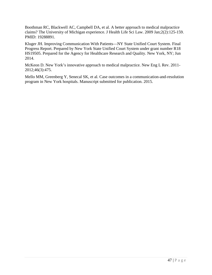Boothman RC, Blackwell AC, Campbell DA, et al. A better approach to medical malpractice claims? The University of Michigan experience. J Health Life Sci Law. 2009 Jan;2(2):125-159. PMID: 19288891.

Kluger JH. Improving Communication With Patients—NY State Unified Court System. Final Progress Report. Prepared by New York State Unified Court System under grant number R18 HS19505. Prepared for the Agency for Healthcare Research and Quality. New York, NY; Jun 2014.

McKeon D. New York's innovative approach to medical malpractice. New Eng L Rev. 2011- 2012;46(3):475.

Mello MM, Greenberg Y, Senecal SK, et al. Case outcomes in a communication-and-resolution program in New York hospitals. Manuscript submitted for publication. 2015.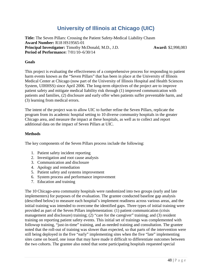# **University of Illinois at Chicago (UIC)**

**Title:** The Seven Pillars: Crossing the Patient Safety-Medical Liability Chasm **Award Number:** R18 HS19565-01 **Principal Investigator:** Timothy McDonald, M.D., J.D. **Award:** \$2,998,083 **Period of Performance:** 7/01/10–6/30/14

#### **Goals**

This project is evaluating the effectiveness of a comprehensive process for responding to patient harm events known as the "Seven Pillars" that has been in place at the University of Illinois Medical Center at Chicago (now part of the University of Illinois Hospital and Health Sciences System, UIHHSS) since April 2006. The long-term objectives of the project are to improve patient safety and mitigate medical liability risk through (1) improved communication with patients and families, (2) disclosure and early offer when patients suffer preventable harm, and (3) learning from medical errors.

The intent of the project was to allow UIC to further refine the Seven Pillars, replicate the program from its academic hospital setting to 10 diverse community hospitals in the greater Chicago area, and measure the impact at these hospitals, as well as to collect and report additional data on the impact of Seven Pillars at UIC.

#### **Methods**

The key components of the Seven Pillars process include the following:

- 1. Patient safety incident reporting
- 2. Investigation and root cause analysis
- 3. Communication and disclosure
- 4. Apology and remediation
- 5. Patient safety and systems improvement
- 6. System process and performance improvement
- 7. Education and training

The 10 Chicago-area community hospitals were randomized into two groups (early and late implementers) for purposes of the evaluation. The grantee conducted baseline gap analysis (described below) to measure each hospital's implement readiness across various areas, and the initial training was intended to overcome the identified gaps. Three types of initial training were provided as part of the Seven Pillars implementation: (1) patient communication (crisis management and disclosure) training; (2) "care for the caregiver" training; and (3) resident training on reporting patient safety events. This initial set of trainings was complemented with followup training, "just-in-time" training, and as-needed training and consultation. The grantee noted that the roll-out of training was slower than expected, so that parts of the intervention were still being deployed in the five "early" implementing sites when the five "late" implementing sites came on board, one issue that may have made it difficult to differentiate outcomes between the two cohorts. The grantee also noted that some participating hospitals requested special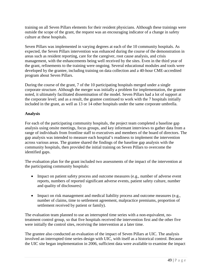training on all Seven Pillars elements for their resident physicians. Although these trainings were outside the scope of the grant, the request was an encouraging indicator of a change in safety culture at these hospitals.

Seven Pillars was implemented in varying degrees at each of the 10 community hospitals. As expected, the Seven Pillars intervention was enhanced during the course of the demonstration in areas such as resident reporting, care for the caregiver, root cause analysis, and crisis management, with the enhancements being well received by the sites. Even in the third year of the grant, refinements to the training were ongoing. Several educational modules and tools were developed by the grantee, including training on data collection and a 40-hour CME-accredited program about Seven Pillars.

During the course of the grant, 7 of the 10 participating hospitals merged under a single corporate structure. Although the merger was initially a problem for implementation, the grantee noted, it ultimately facilitated dissemination of the model. Seven Pillars had a lot of support at the corporate level; and as a result, the grantee continued to work with the 7 hospitals initially included in the grant, as well as 13 or 14 other hospitals under the same corporate umbrella.

# **Analysis**

For each of the participating community hospitals, the project team completed a baseline gap analysis using onsite meetings, focus groups, and key informant interviews to gather data from a range of individuals from frontline staff to executives and members of the board of directors. The gap analysis was intended to measure each hospital's readiness to implement the intervention across various areas. The grantee shared the findings of the baseline gap analysis with the community hospitals, then provided the initial training on Seven Pillars to overcome the identified gaps.

The evaluation plan for the grant included two assessments of the impact of the intervention at the participating community hospitals:

- Impact on patient safety process and outcome measures (e.g., number of adverse event reports, numbers of reported significant adverse events, patient safety culture, number and quality of disclosures)
- Impact on risk management and medical liability process and outcome measures (e.g., number of claims, time to settlement agreement, malpractice premiums, proportion of settlement received by patient or family).

The evaluation team planned to use an interrupted time series with a non-equivalent, notreatment control group, so that five hospitals received the intervention first and the other five were initially the control sites, receiving the intervention at a later time.

The grantee also conducted an evaluation of the impact of Seven Pillars at UIC. The analysis involved an interrupted time series design with UIC, with itself as a historical control. Because the UIC site began implementation in 2006, sufficient data were available to examine the impact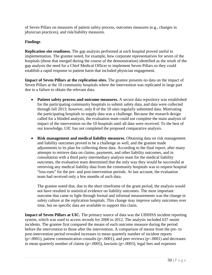of Seven Pillars on measures of patient safety process, outcomes measures (e.g., changes in physician practices), and risk/liability measures.

# **Findings**

**Replication site readiness.** The gap analysis performed at each hospital proved useful to implementation. The grantee noted, for example, how corporate representatives for seven of the hospitals (those that merged during the course of the demonstration) identified as the result of the gap analysis the need for a Chief Medical Officer to implement Seven Pillars so they could establish a rapid response to patient harm that included physician engagement.

**Impact of Seven Pillars at the replication sites.** The grantee presents no data on the impact of Seven Pillars at the 10 community hospitals where the intervention was replicated in large part due to a failure to obtain the relevant data.

- **Patient safety process and outcome measures.** A secure data repository was established for the participating community hospitals to submit safety data, and data were collected through fall 2013; however, only 8 of the 10 sites regularly submitted data. Motivating the participating hospitals to supply data was a challenge. Because the research design called for a blinded analysis, the evaluation team could not complete the main analysis of impact of the intervention on the 10 hospitals until all data were received. To the best of our knowledge, UIC has not completed the proposed comparative analysis.
- **Risk management and medical liability measures.** Obtaining data on risk management and liability outcomes proved to be a challenge as well, and the grantee made adjustments to its plan for collecting these data. According to the final report, after many attempts to retrieve data on claims, payments, and other liability outcomes, and in consultation with a third party intermediary analysis team for the medical liability outcomes, the evaluation team determined that the only way they would be successful at retrieving any medical liability data from the community hospitals was to request hospital "loss-runs" for the pre- and post-intervention periods. At last account, the evaluation team had received only a few months of such data.

The grantee noted that, due to the short timeframe of the grant period, the analysis would not have resulted in statistical evidence on liability outcomes. The most important outcome that came to light through formal and informal measurements was the change in safety culture at the replication hospitals. This change may improve safety outcomes over time, but no specific data are available to support this claim.

**Impact of Seven Pillars at UIC.** The primary source of data was the UIHHSS incident reporting system, which was used to access records for 2000 to 2012. The analysis included 637 onsite incidents. The grantee first compared the means of each outcome measure during the period before the intervention to those after the intervention. A comparison of means from the pre- to post-intervention period revealed increases in mean quarterly number of incident reports ( $p$ <.0001), patient communication consults ( $p$ <.0001), and peer reviews ( $p$ <.0001) and decreases in mean quarterly number of claims ( $p=.0005$ ), lawsuits ( $p=.0003$ ), legal fees and expenses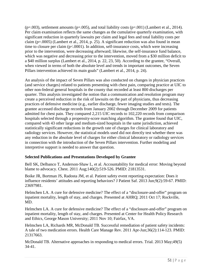$(p=.003)$ , settlement amounts  $(p=.005)$ , and total liability costs  $(p=.001)$  (Lambert et al., 2014). Per claim examination reflects the same changes as the cumulative quarterly examination, with significant reduction in quarterly lawsuits per claim and legal fees and total liability costs per claim (p=.0005) (Lambert et al., 2014, p. 25). A significant reduction was also found in mean time to closure per claim (p<.0001). In addition, self-insurance costs, which were increasing prior to the intervention, were decreasing afterward; likewise, the self-insurance fund balance, which was negative and decreasing prior to the intervention, moved from a \$30 million deficit to a \$40 million surplus (Lambert et al., 2014, p. 22, 23, 50). According to the grantee, "Overall, when viewed in terms of both the absolute level and trends in important outcomes, the Seven Pillars intervention achieved its main goals" (Lambert et al., 2014, p. 24).

An analysis of the impact of Seven Pillars was also conducted on changes in physician practices (and service charges) related to patients presenting with chest pain, comparing practice at UIC to other non-federal general hospitals in the county that recorded at least 800 discharges per quarter. This analysis investigated the notion that a communication and resolution program may create a perceived reduction in the risk of lawsuits on the part of physicians, thus decreasing practices of defensive medicine (e.g., earlier discharge, fewer imaging studies and tests). The grantee accessed discharge records from January 2002 through December 2009 for patients admitted for chest pain. They compared 2,215 UIC records to 102,220 records from comparison hospitals selected through a propensity-score matching algorithm. The grantee found that UIC, compared with 43 other large and medium-sized hospitals in the same jurisdiction, achieved statistically significant reductions in the growth rate of charges for clinical laboratory and radiology services. However, the statistical models used did not directly test whether there was any reduction in the absolute level of charges for either clinical laboratory or radiology services in connection with the introduction of the Seven Pillars intervention. Further modeling and interpretive support is needed to answer that question.

# **Selected Publications and Presentations Developed by Grantee**

Bell SK, Delbanco T, Anderson-Shaw L, et al. Accountability for medical error: Moving beyond blame to advocacy. Chest. 2011 Aug;140(2):519-526. PMID: 21813531.

Boike JR, Bortman JS, Radosta JM, et al. Patient safety event reporting expectation: Does it influence residents' attitudes and reporting behaviors? J Patient Saf. 2013 Jun;9(2):59-67. PMID: 23697981.

Helmchen LA. A cure for defensive medicine? The effect of a "disclosure-and-offer" program on inpatient mortality, length of stay, and charges. Presented at AHRQ; 2011 Oct 17; Rockville, MD.

Helmchen LA. A cure for defensive medicine? The effect of a "disclosure-and-offer" program on inpatient mortality, length of stay, and charges. Presented at Center for Health Policy Research and Ethics, George Mason University; 2011 Nov 10; Fairfax, VA.

Helmchen LA, Richards MR, McDonald TB. Successful remediation of patient safety incidents: A tale of two medication errors. Health Care Manage Rev. 2011 Apr-Jun;36(2):114-123. PMID: 21317663.

McDonald TB. Alternative approaches in responding to medical errors. Trial. 2013 May;49(5) 34-41.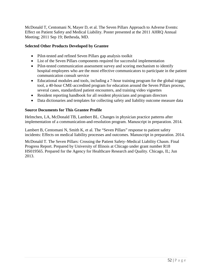McDonald T, Centomani N, Mayer D, et al. The Seven Pillars Approach to Adverse Events: Effect on Patient Safety and Medical Liability. Poster presented at the 2011 AHRQ Annual Meeting; 2011 Sep 19; Bethesda, MD.

# **Selected Other Products Developed by Grantee**

- Pilot-tested and refined Seven Pillars gap analysis toolkit
- List of the Seven Pillars components required for successful implementation
- Pilot-tested communication assessment survey and scoring mechanism to identify hospital employees who are the most effective communicators to participate in the patient communication consult service
- Educational modules and tools, including a 7-hour training program for the global trigger tool, a 40-hour CME-accredited program for education around the Seven Pillars process, several cases, standardized patient encounters, and training video vignettes
- Resident reporting handbook for all resident physicians and program directors
- Data dictionaries and templates for collecting safety and liability outcome measure data

## **Source Documents for This Grantee Profile**

Helmchen, LA, McDonald TB, Lambert BL. Changes in physician practice patterns after implementation of a communication-and-resolution program. Manuscript in preparation. 2014.

Lambert B, Centomani N, Smith K, et al. The "Seven Pillars" response to patient safety incidents: Effects on medical liability processes and outcomes. Manuscript in preparation. 2014.

McDonald T. The Seven Pillars: Crossing the Patient Safety–Medical Liability Chasm. Final Progress Report. Prepared by University of Illinois at Chicago under grant number R18 HS019565. Prepared for the Agency for Healthcare Research and Quality. Chicago, IL; Jun 2013.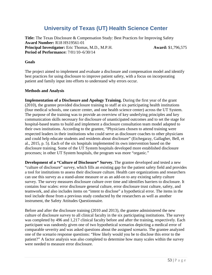# **University of Texas (UT) Health Science Center**

**Title:** The Texas Disclosure & Compensation Study: Best Practices for Improving Safety **Award Number:** R18 HS19561-01 **Principal Investigator:** Eric Thomas, M.D., M.P.H. **Award:** \$1,796,575 **Period of Performance:** 7/01/10–6/30/14

#### **Goals**

The project aimed to implement and evaluate a disclosure and compensation model and identify best practices for using disclosure to improve patient safety, with a focus on incorporating patient and family input into efforts to understand why errors occur.

#### **Methods and Analysis**

**Implementation of a Disclosure and Apology Training.** During the first year of the grant (2010), the grantee provided disclosure training to staff at six participating health institutions (four medical schools, one cancer center, and one health science center) across the UT System. The purpose of the training was to provide an overview of key underlying principles and key communication skills necessary for disclosure of unanticipated outcomes and to set the stage for hospital-based teams to build and implement a disclosure consultation team model adapted to their own institutions. According to the grantee, "Physicians chosen to attend training were respected leaders in their institutions who could serve as disclosure coaches to other physicians and could help educate students and residents about disclosure" (Etchegaray, Gallagher, Bell, et al., 2015, p. 5). Each of the six hospitals implemented its own intervention based on the disclosure training. Some of the UT System hospitals developed more established disclosure processes; in other UT System hospitals, the program was more "organic."

**Development of a "Culture of Disclosure" Survey.** The grantee developed and tested a new "culture of disclosure" survey, which fills an existing gap for the patient safety field and provides a tool for institutions to assess their disclosure culture. Health care organizations and researchers can use this survey as a stand-alone measure or as an add-on to any existing safety culture survey. The survey measures disclosure culture over time and identifies barriers to disclosure. It contains four scales: error disclosure general culture, error disclosure trust culture, safety, and teamwork, and also includes items on "intent to disclose" a hypothetical error. The items in the tool include those from a previous study conducted by the researchers as well as another instrument, the Safety Attitudes Questionnaire.

Before and after the disclosure training (2010 and 2013), the grantee administered the new culture of disclosure survey to all clinical faculty in the six participating institutions. The survey was completed by 496 and 1,217 clinical faculty before and after the training, respectively. Each participant was randomly given one of two hypothetical scenarios depicting a medical error of comparable severity and was asked questions about the assigned scenario. The grantee analyzed one of the scenario response questions: "How likely would you be to disclose this error to the patient?" A factor analysis was also completed to determine how many scales within the survey were needed to measure error disclosure.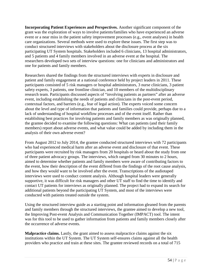**Incorporating Patient Experiences and Perspectives.** Another significant component of the grant was the exploration of ways to involve patients/families who have experienced an adverse event or a near miss in the patient safety improvement processes (e.g., event analyses) in health care organizations. Several methods were used to explore these issues. The first step was to conduct structured interviews with stakeholders about the disclosure process at the six participating UT System hospitals. Stakeholders included 6 clinicians, 13 hospital administrators, and 5 patients and 4 family members involved in an adverse event at the hospital. The researchers developed two sets of interview questions: one for clinicians and administrators and one for patients and family members.

Researchers shared the findings from the structured interviews with experts in disclosure and patient and family engagement at a national conference held by project leaders in 2011. These participants consisted of 5 risk managers or hospital administrators, 3 nurse clinicians, 3 patient safety experts, 3 patients, one frontline clinician, and 10 members of the multidisciplinary research team. Participants discussed aspects of "involving patients as partners" after an adverse event, including establishing the needs of patients and clinicians in the post-event period, contextual factors, and barriers (e.g., fear of legal action). The experts voiced some concern about the level and type of information that patients and families could provide, perhaps due to a lack of understanding of hospital workflow processes and of the event itself. Rather than establishing best practices for involving patients and family members as was originally planned, the grantee decided to examine the following questions: What can patients (and their family members) report about adverse events, and what value could be added by including them in the analysis of their own adverse event?

From August 2012 to July 2014, the grantee conducted structured interviews with 72 participants who had experienced medical harm after an adverse event and disclosure of that event. These participants were recruited by risk managers from 20 hospitals or heard about the study from one of three patient advocacy groups. The interviews, which ranged from 30 minutes to 2 hours, aimed to determine whether patients and family members were aware of contributing factors to the event, how their description of the event differed from the findings of the root cause analysis, and how they would want to be involved after the event. Transcriptions of the audiotaped interviews were used to conduct content analysis. Although hospital leaders were generally supportive, it was difficult for risk managers and other UT staff to find the time to identify and contact UT patients for interviews as originally planned. The project had to expand its search for additional patients beyond the participating UT System, and most of the interviews were conducted with patients treated outside the system.

Using the structured interview guide as a starting point and information gleaned from the parents and family members through the structured interviews, the grantee aimed to develop a new tool, the Improving Post-event Analysis and Communication Together (IMPACT) tool. The intent was for this tool to be used to gather information from patients and family members closely after the occurrence of adverse events.

**Malpractice claims.** Lastly, the grant aimed to assess malpractice claims against the six institutions within the UT System. The UT System self-ensures claims against all the health providers who practice and train at these sites. The grantee reviewed records on a total of 715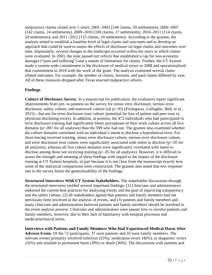malpractice claims closed over 5 years: 2001–2002 (244 claims, 59 settlements), 2006–2007 (142 claims, 24 settlements), 2009–2010 (100 claims, 17 settlements), 2010–2011 (114 claims, 24 settlements), and 2011–2012 (115 claims, 24 settlements). According to the grantee, the analysis aimed to establish a baseline level of legal claims and outcomes and to develop an approach that could be used to assess the effects of disclosure on legal claims and outcomes over time. Importantly, several changes to the landscape occurred within the years in which claims were evaluated. In 2003, the state passed tort reform that established a cap for non-economic damages ("pain and suffering") and a statute of limitations for claims. Further, the UT System made a system-wide commitment to the disclosure of medical errors in 2008 and operationalized that commitment in 2010 with the work of the grant. The analysis examined several claimrelated outcomes. For example, the number of claims, lawsuits, and paid claims differed by year. All of these measures dropped after Texas enacted malpractice reform.

# **Findings**

**Culture of Disclosure Survey.** In a manuscript for publication, the evaluators report significant improvements from pre- to posttest on the survey for minor error disclosure, serious error disclosure, safety culture, and teamwork culture (all p<.05) (Etchegaray, Gallagher, Bell, et al., 2015)—but not for error disclosure trust culture (potential for loss of patient and peer trust in physician disclosing errors). In addition, at posttest, the 472 individuals who had participated in error disclosure training had significantly better perceptions of their work culture across all five domains (p<.001 for all analyses) than the 599 who had not. The grantee also examined whether the culture domains correlated with an individual's intent to disclose a hypothetical error. For those having received training, minor error disclosure culture, serious error disclosure culture, and error disclosure trust culture were significantly associated with intent to disclose (p<.05 for all analyses), whereas all five culture domains were significantly correlated with intent to disclose among those not receiving training (p<.05 for all analyses). However, it is difficult to assess the strength and meaning of these findings with regard to the impact of the disclosure training at UT System hospitals, in part because it is not clear from the manuscript exactly how some of the statistical comparisons were constructed. The grantee also noted that low response rate to the survey limits the generalizability of the findings.

**Structured Interviews With UT System Stakeholders.** The stakeholder discussions through the structured interviews yielded several important findings: (1) Clinicians and administrators endorsed the current best practices for analyzing events and the goal of improving transparency and the safety culture, (2) all stakeholders agreed that patients and family members had not previously been involved in the analysis of events, and (3) patients and family members and many clinicians and administrators believed patients and family members should be involved in the event analysis process. Clinicians and administrators were unsure how to involve patients and family members, however, due to their lack of familiarity with hospital processes and medical/technical terms.

**Interviews with Patients and Family Members Who Had Experienced Medical Harm After Adverse Event.** Of the 72 participants, 37 were patients and 35 were family members. The relevant events primarily involved infection (25%), medication errors 18(%), or diagnostic errors 15(%) and resulted in permanent harm (39%) or death (36%). The discussions with patients and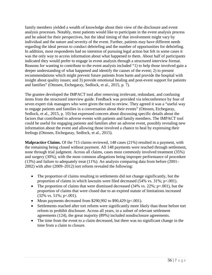family members yielded a wealth of knowledge about their view of the disclosure and event analysis processes. Notably, most patients would like to participate in the event analysis process and be asked for their perspectives, but the ideal timing of that involvement might vary by individual and the nature and severity of the event. Further, patients may have different needs regarding the ideal person to conduct debriefing and the number of opportunities for debriefing. In addition, most respondents had no intention of pursuing legal action but felt in some cases it was the only way to access information about what happened to them. About half of participants indicated they would prefer to engage in event analysis through a structured interview format. Reasons for wanting to contribute to the event analysis included "1) to help those involved gain a deeper understanding of what happened and identify the causes of the event; 2) to present recommendations which might prevent future patients from harm and provide the hospital with insight about quality issues; and 3) provide emotional healing and post-event support for patients and families" (Ottosen, Etchegaray, Sedlock, et al., 2015, p. 7).

The grantee developed the IMPACT tool after removing irrelevant, redundant, and confusing items from the structured interview guide. Feedback was provided via teleconference by four of seven expert risk managers who were given the tool to review. They agreed it was a "useful way to engage patients and families in a conversation about their events" (Ottosen, Etchegaray, Sedlock, et al., 2015, p. 10) but expressed concern about discussing specific details about the factors that contributed to adverse events with patients and family members. The IMPACT tool could be useful for engaging patients and families after an adverse event, possibly revealing new information about the event and allowing those involved a chance to heal by expressing their feelings (Ottosen, Etchegaray, Sedlock, et al., 2015).

**Malpractice Claims.** Of the 715 claims reviewed, 148 cases (21%) resulted in a payment, with the remaining being closed without payment. All 148 payments were reached through settlement, none through trial judgment. Across all claims, cases most commonly involved treatment (35%) and surgery (30%), with the most common allegations being improper performance of procedure (13%) and failure to adequately treat (11%). An analysis comparing data from before (2001– 2002) with after (2009–2012) tort reform revealed the following:

- The proportion of claims resulting in settlements did not change significantly, but the proportion of claims in which lawsuits were filed decreased (54% vs. 31%; p<.001).
- The proportion of claims that were dismissed decreased  $(34\% \text{ vs. } 22\%; \text{ p} = .001)$ , but the proportion of claims that were closed due to an expired statute of limitations increased  $(32\% \text{ vs. } 51\%; \text{ p} < 0.001).$
- Mean payments decreased from \$290,992 to \$90,429 ( $p < .001$ ).
- Settlements reached after tort reform were significantly more likely than those before tort reform to prohibit disclosure. Across all years, in a subset of relevant settlement agreements (124), the great majority (89%) included nondisclosure agreements.
- The time from the event to a claim decreased, but there was no significant change in the time from a claim to closure.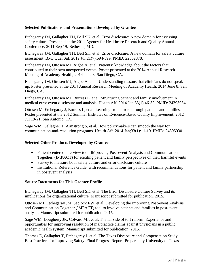# **Selected Publications and Presentations Developed by Grantee**

Etchegaray JM, Gallagher TH, Bell SK, et al. Error disclosure: A new domain for assessing safety culture. Presented at the 2011 Agency for Healthcare Research and Quality Annual Conference; 2011 Sep 19; Bethesda, MD.

Etchegaray JM, Gallagher TH, Bell SK, et al. Error disclosure: A new domain for safety culture assessment. BMJ Qual Saf. 2012 Jul;21(7):594-599. PMID: 22562878.

Etchegaray JM, Ottosen MJ, Aigbe A, et al. Patients' knowledge about the factors that contributed to their own unexpected events. Poster presented at the 2014 Annual Research Meeting of Academy Health; 2014 June 8; San Diego, CA.

Etchegaray JM, Ottosen MJ, Aigbe A, et al. Understanding reasons that clinicians do not speak up. Poster presented at the 2014 Annual Research Meeting of Academy Health; 2014 June 8; San Diego, CA.

Etchegaray JM, Ottosen MJ, Burress L, et al. Structuring patient and family involvement in medical error event disclosure and analysis. Health Aff. 2014 Jan;33(1):46-52. PMID: 24395934.

Ottosen M, Etchegaray J, Burress L, et al. Learning from errors through patients and families. Poster presented at the 2012 Summer Institutes on Evidence-Based Quality Improvement; 2012 Jul 19-21; San Antonio, TX.

Sage WM, Gallagher T, Armstrong S, et al. How policymakers can smooth the way for communication-and-resolution programs. Health Aff. 2014 Jan;33(1):11-19. PMID: 24395930.

## **Selected Other Products Developed by Grantee**

- Patient-centered interview tool, IMproving Post-event Analysis and Communication Together, (IMPACT) for eliciting patient and family perspectives on their harmful events
- Survey to measure both safety culture and error disclosure culture
- Institutional Reference Guide, with recommendations for patient and family partnership in postevent analysis

## **Source Documents for This Grantee Profile**

Etchegaray JM, Gallagher TH, Bell SK, et al. The Error Disclosure Culture Survey and its implications for organizational culture. Manuscript submitted for publication. 2015.

Ottosen MJ, Etchegaray JM, Sedlock EW, et al. Developing the Improving Post-event Analysis and Communication Together (IMPACT) tool to involve patients and families in post-event analysis. Manuscript submitted for publication. 2015.

Sage WM, Dougherty JR, Colvard MJ, et al. The far side of tort reform: Experience and opportunities for improving resolution of malpractice claims against physicians in a public academic health system. Manuscript submitted for publication. 2015.

Thomas E, Gallagher T, Etchegaray J, et al. The Texas Disclosure and Compensation Study: Best Practices for Improving Safety. Final Progress Report. Prepared by University of Texas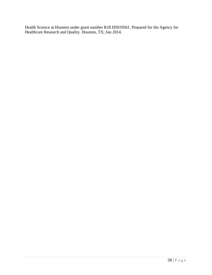Health Science at Houston under grant number R18 HS019561. Prepared for the Agency for Healthcare Research and Quality. Houston, TX; Jun 2014.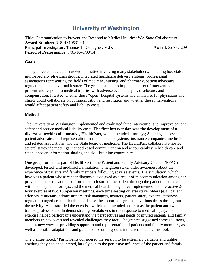# **University of Washington**

**Title:** Communication to Prevent and Respond to Medical Injuries: WA State Collaborative **Award Number:** R18 HS19531-01 **Principal Investigator:** Thomas H. Gallagher, M.D. **Award:** \$2,972,209 **Period of Performance:** 7/01/10–6/30/14

#### **Goals**

This grantee conducted a statewide initiative involving many stakeholders, including hospitals, multi-specialty physician groups, integrated healthcare delivery systems, professional associations representing the fields of medicine, nursing, and pharmacy, patient advocates, regulators, and an external insurer. The grantee aimed to implement a set of interventions to prevent and respond to medical injuries with adverse event analysis, disclosure, and compensation. It tested whether these "open" hospital systems and an insurer for physicians and clinics could collaborate on communication and resolution and whether these interventions would affect patient safety and liability costs.

#### **Methods**

The University of Washington implemented and evaluated three interventions to improve patient safety and reduce medical liability costs. **The first intervention was the development of a diverse statewide collaborative, HealthPact,** which included attorneys; State legislators; patient advocates; and representation from health care systems, insurance companies, medical and related associations, and the State board of medicine. The HealthPact collaborative hosted several statewide meetings that addressed communication and accountability in health care and established an information-sharing and skill-building community.

One group formed as part of HealthPact—the Patient and Family Advisory Council (PFAC) developed, tested, and modified a simulation to heighten stakeholder awareness about the experience of patients and family members following adverse events. The simulation, which involves a patient whose cancer diagnosis is delayed as a result of miscommunication among her providers, takes the audience from the disclosure to the patient through the patient's experience with the hospital, attorneys, and the medical board. The grantee implemented the interactive 2 hour exercise at two 100-person meetings, each time seating diverse stakeholders (e.g., patient advisors, clinicians, administrators, risk managers, insurers, patient safety experts, attorneys, regulators) together at each table to discuss the scenario as groups at various times throughout the activity. A narrator led the exercise, which also included an actor as the patient and two trained professionals. In demonstrating breakdowns in the response to medical injury, the exercise helped participants understand the perspectives and needs of injured patients and family members in new ways and revealed challenges they face. The grantee suggested some solutions, such as new ways of providing support to and representation of patients and family members, as well as possible adaptations and guidance for other groups interested in using this tool.

The grantee noted, "Participants considered the session to be extremely valuable and unlike anything they had encountered, largely due to the pervasive influence of the patient and family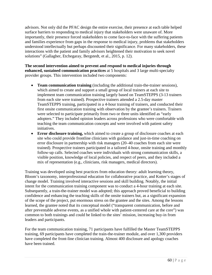advisors. Not only did the PFAC design the entire exercise, their presence at each table helped surface barriers to responding to medical injury that stakeholders were unaware of. More importantly, their presence forced stakeholders to come face-to-face with the suffering patients and families experience from gaps in the response to medical injury, problems that stakeholders understood intellectually but perhaps discounted their significance. For many stakeholders, these interactions with the patient and family advisors heightened their motivation to seek novel solutions" (Gallagher, Etchegaray, Bergstedt, et al., 2015, p. 12).

**The second intervention aimed to prevent and respond to medical injuries through enhanced, sustained communication practices** at 5 hospitals and 3 large multi-specialty provider groups. This intervention included two components:

- **Team communication training** (including the additional train-the-trainer sessions), which aimed to create and support a small group of local trainers at each site to implement team communication training largely based on TeamSTEPPS (3-13 trainers from each site were trained). Prospective trainers attended a 2.5-day master TeamSTEPPS training, participated in a 4-hour training of trainers, and conducted their first onsite communication training with observation by the grantee's trainers. Trainers were selected to participate primarily from two or three units identified as "early adopters." They included opinion leaders across professions who were comfortable with teaching the team communication concepts and were involved with patient safety initiatives.
- **Error disclosure training,** which aimed to create a group of disclosure coaches at each site who could provide frontline clinicians with guidance and just-in-time coaching on error disclosure in partnership with risk managers (20–40 coaches from each site were trained). Prospective trainers participated in a tailored 4-hour, onsite training and monthly follow-up calls. Selected coaches were individuals with strong communication skills, a visible position, knowledge of local policies, and respect of peers, and they included a mix of representation (e.g., clinicians, risk managers, medical directors).

Training was developed using best practices from education theory: adult learning theory, Bloom's taxonomy, interprofessional education for collaborative practice, and Kotter's stages of change model. Training involved interactive sessions and skill building. Notably, the initial intent for the communication training component was to conduct a 4-hour training at each site. Subsequently, a train-the-trainer model was adopted; this approach proved beneficial to building confidence and enhancing the teaching skills of the onsite trainers but, as a significant expansion of the scope of the project, put enormous stress on the grantee and the sites. Among the lessons learned, the grantee noted that its conceptual model ("transparent communication, before and after preventable adverse events, as a unified whole with patient-centered care at the core") was common to both trainings and could be linked to the sites' mission, increasing buy-in from leaders and participants.

For the team communication training, 71 participants have fulfilled the Master TeamSTEPPS training, 69 participants have completed the train-the-trainer module, and over 1,300 providers have completed the front-line clinician training. Almost 400 disclosure and apology coaches have been trained.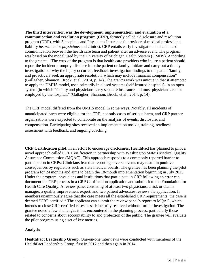**The third intervention was the development, implementation, and evaluation of a communication and resolution program (CRP),** formerly called a disclosure and resolution program (DRP), with 5 hospitals and Physicians Insurance (a provider of medical professional liability *insurance* for *physicians* and clinics). CRP entails early investigation and enhanced communication between the health care team and patient after an adverse event. The program was based on the model used by the University of Michigan Health System (UMHS). According to the grantee, "The crux of the program is that health care providers who injure a patient should report the incident promptly, disclose it to the patient or family, initiate and carry out a timely investigation of why the injury occurred, feedback investigation findings to the patient/family, and proactively seek an appropriate resolution, which may include financial compensation" (Gallagher, Shannon, Brock, et al., 2014, p. 14). The grant's work was unique in that it attempted to apply the UMHS model, used primarily in closed systems (self-insured hospitals), in an open system (in which "facility and physicians carry separate insurance and most physicians are not employed by the hospital." (Gallagher, Shannon, Brock, et al., 2014, p. 14).

The CRP model differed from the UMHS model in some ways. Notably, all incidents of unanticipated harm were eligible for the CRP, not only cases of serious harm, and CRP partner organizations were expected to collaborate on the analysis of events, disclosure, and compensation. Participating sites received an implementation toolkit, training, readiness assessment with feedback, and ongoing coaching.

**CRP Certification pilot.** In an effort to encourage disclosures, HealthPact has planned to pilot a novel approach called CRP Certification in partnership with Washington State's Medical Quality Assurance Commission (MQAC). This approach responds to a commonly reported barrier to participation in CRPs: Clinicians fear that reporting adverse events may result in punitive consequences by regulators such as state medical boards. The grantee has been planning the pilot program for 24 months and aims to begin the 18-month implementation beginning in July 2015. Under the program, physicians and institutions that participate in CRP following an error can document the CRP process in a CRP Certification application and submit it to the Foundation for Health Care Quality. A review panel consisting of at least two physicians, a risk or claims manager, a quality improvement expert, and two patient advocates reviews the application. If members unanimously agree that the case meets all the established CRP requirements, the case is deemed "CRP certified." The applicant can submit the review panel's report to MQAC, which intends to close CRP-certified cases as satisfactorily resolved without further investigation. The grantee noted a few challenges it has encountered in the planning process, particularly those related to concerns about accountability to and protection of the public. The grantee will evaluate the pilot program using a set of key metrics.

## **Analysis**

**HealthPact Leadership Group.** One-on-one interviews were conducted with members of the HealthPact Leadership Group, first in 2012 and then again in 2014.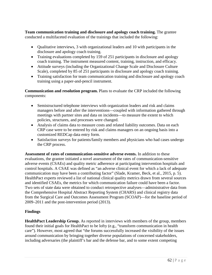**Team communication training and disclosure and apology coach training.** The grantee conducted a multifaceted evaluation of the trainings that included the following:

- Qualitative interviews, 3 with organizational leaders and 10 with participants in the disclosure and apology coach training.
- Training evaluations completed by 159 of 251 participants in disclosure and apology coach training. The instrument measured content, training, instruction, and efficacy.
- Attitude surveys (including the Organizational Change Scale and Disclosure Culture Scale), completed by 85 of 251 participants in disclosure and apology coach training.
- Training satisfaction for team communication training and disclosure and apology coach training using a paper-and-pencil instrument.

**Communication and resolution program.** Plans to evaluate the CRP included the following components:

- Semistructured telephone interviews with organization leaders and risk and claims managers before and after the interventions—coupled with information gathered through meetings with partner sites and data on incidents—to measure the extent to which policies, structures, and processes were changed.
- Analysis of claims data to measure costs and related liability outcomes. Data on each CRP case were to be entered by risk and claims managers on an ongoing basis into a customized REDCap data entry form.
- Satisfaction surveys for patients/family members and physicians who had cases undergo the CRP process.

**Assessment of rates of communication-sensitive adverse events.** In addition to these evaluations, the grantee initiated a novel assessment of the rates of communication-sensitive adverse events (CSAEs) and quality metric adherence at participating intervention hospitals and control hospitals. A CSAE was defined as "an adverse clinical event for which a lack of adequate communication may have been a contributing factor" (Slade, Kramer, Beck, et al., 2015, p. 5). HealthPact experts reviewed a list of national clinical quality metrics drawn from several sources and identified CSAEs, the metrics for which communication failure could have been a factor. Two sets of state data were obtained to conduct retrospective analyses—administrative data from the Comprehensive Hospital Abstract Reporting System (CHARS) and clinical registry data from the Surgical Care and Outcomes Assessment Program (SCOAP)—for the baseline period of 2009–2011 and the post-intervention period (2013).

# **Findings**

**HealthPact Leadership Group.** As reported in interviews with members of the group, members found their initial goals for HealthPact to be lofty (e.g., "transform communication in health care"). However, most agreed that "the forums successfully increased the visibility of the issues around communication by bringing together diverse populations of concerned stakeholders, including adversaries (the plaintiff's bar and the defense bar, and to some extent competing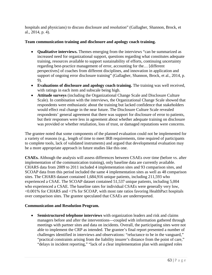hospitals and physicians) to discuss disclosure and resolution" (Gallagher, Shannon, Brock, et al., 2014, p. 4).

#### **Team communication training and disclosure and apology coach training.**

- **Qualitative interviews.** Themes emerging from the interviews "can be summarized as increased need for organizational support, questions regarding what constitutes adequate training, resources available to support sustainability of efforts, continuing uncertainty regarding best-practice management of error, accounting for the… [different perspectives] of coaches from different disciplines, and innovation in application and support of ongoing error disclosure training" (Gallagher, Shannon, Brock, et al., 2014, p. 9).
- **Evaluations of disclosure and apology coach training.** The training was well received, with ratings in each item and subscale being high.
- **Attitude surveys** (including the Organizational Change Scale and Disclosure Culture Scale). In combination with the interviews, the Organizational Change Scale showed that respondents were enthusiastic about the training but lacked confidence that stakeholders would effect real change in the near future. The Disclosure Culture Scale revealed respondents' general agreement that there was support for disclosure of error to patients, but their responses were less in agreement about whether adequate training on disclosure was provided or whether retaliation, loss of trust, or damaged reputations were concerns.

The grantee noted that some components of the planned evaluation could not be implemented for a variety of reasons (e.g., length of time to meet IRB requirements, time required of participants to complete tools, lack of validated instruments) and argued that developmental evaluation may be a more appropriate approach in future studies like this one.

**CSAEs.** Although the analysis will assess differences between CSAEs over time (before vs. after implementation of the communication training), only baseline data are currently available. CHARS data from 2009 to 2011 included 4 implementation sites and 93 comparison sites, and SCOAP data from this period included the same 4 implementation sites as well as 48 comparison sites. The CHARS dataset contained 1,684,916 unique patients, including 211,593 who experienced a CSAE. The SCOAP dataset contained 51,537 unique patients, including 5,004 who experienced a CSAE. The baseline rates for individual CSAEs were generally very low, <0.001% for CHARS and <1% for SCOAP, with most rate ratios favoring HealthPact hospitals over comparison sites. The grantee speculated that CSAEs are underreported.

## **Communication and Resolution Program.**

• **Semistructured telephone interviews** with organization leaders and risk and claims managers before and after the interventions—coupled with information gathered through meetings with partner sites and data on incidents. Overall, the participating sites were not able to implement the CRP as intended. The grantee's final report presented a number of challenges identified in interviews and observations: "reluctance to be in the vanguard," "practical constraints arising from the liability insurer's distance from the point of care," "delays in incident reporting," "lack of a clear implementation plan with assigned roles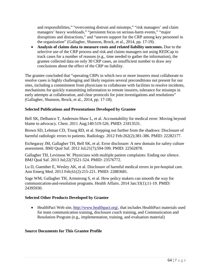and responsibilities," "overcoming distrust and missteps," "risk managers' and claim managers' heavy workloads," "persistent focus on serious-harm events," "major disruptions and distractions," and "uneven support for the CRP among key personnel in the organization" (Gallagher, Shannon, Brock, et al., 2014, pp. 17-19).

• **Analysis of claims data to measure costs and related liability outcomes.** Due to the selective use of the CRP process and risk and claims managers not using REDCap to track cases for a number of reasons (e.g., time needed to gather the information), the grantee collected data on only 30 CRP cases, an insufficient number to draw any conclusions about the effect of the CRP on liability.

The grantee concluded that "operating CRPs in which two or more insurers must collaborate to resolve cases is highly challenging and likely requires several preconditions not present for our sites, including a commitment from physicians to collaborate with facilities to resolve incidents, mechanisms for quickly transmitting information to remote insurers, tolerance for missteps in early attempts at collaboration, and clear protocols for joint investigations and resolutions" (Gallagher, Shannon, Brock, et al., 2014, pp. 17-18).

# **Selected Publications and Presentations Developed by Grantee**

Bell SK, Delbanco T, Anderson-Shaw L, et al. Accountability for medical error: Moving beyond blame to advocacy. Chest. 2011 Aug;140:519-526. PMID: 21813531.

Brown SD, Lehman CD, Truog RD, et al. Stepping out further from the shadows: Disclosure of harmful radiologic errors to patients. Radiology. 2012 Feb:262(2);381-386. PMID: 22282177.

Etchegaray JM, Gallagher TH, Bell SK, et al. Error disclosure: A new domain for safety culture assessment. BMJ Qual Saf. 2012 Jul;21(7);594-599. PMID: 22562878.

Gallagher TH, Levinson W. Physicians with multiple patient complaints: Ending our silence. BMJ Qual Saf. 2013 Jul;22(7)521-524. PMID: 23576772.

Lu D, Guenther E, Wesley AK, et al. Disclosure of harmful medical errors in pre-hospital care. Ann Emerg Med. 2013 Feb;61(2):215-221. PMID: 22883681.

Sage WM, Gallagher TH, Armstrong S, et al. How policy makers can smooth the way for communication-and-resolution programs. Health Affairs. 2014 Jan:33(1);11-19. PMID: 24395930.

## **Selected Other Products Developed by Grantee**

• HealthPact Web site, [http://www.healthpact.org/,](http://www.healthpact.org/) that includes HealthPact materials used for team communication training, disclosure coach training, and Communication and Resolution Program (e.g., implementation, training, and evaluation material)

# **Source Documents for This Grantee Profile**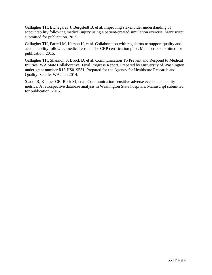Gallagher TH, Etchegaray J, Bergstedt B, et al. Improving stakeholder understanding of accountability following medical injury using a patient-created simulation exercise. Manuscript submitted for publication. 2015.

Gallagher TH, Farrell M, Karson H, et al. Collaboration with regulators to support quality and accountability following medical errors: The CRP certification pilot. Manuscript submitted for publication. 2015.

Gallagher TH, Shannon S, Brock D, et al. Communication To Prevent and Respond to Medical Injuries: WA State Collaborative. Final Progress Report. Prepared by University of Washington under grant number R18 HS019531. Prepared for the Agency for Healthcare Research and Quality. Seattle, WA; Jun 2014.

Slade IR, Kramer CB, Beck SJ, et al. Communication-sensitive adverse events and quality metrics: A retrospective database analysis in Washington State hospitals. Manuscript submitted for publication. 2015.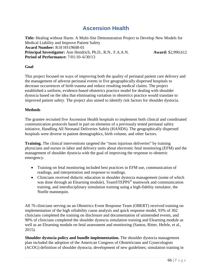# **Ascension Health**

**Title:** Healing without Harm: A Multi-Site Demonstration Project to Develop New Models for Medical Liability and Improve Patient Safety **Award Number:** R18 HS19608-01 **Principal Investigator:** Ann Hendrich, Ph.D., R.N., F.A.A.N. **Award:** \$2,990,612 **Period of Performance:** 7/01/10–6/30/13

#### **Goal**

This project focused on ways of improving both the quality of perinatal patient care delivery and the management of adverse perinatal events in five geographically dispersed hospitals to decrease occurrences of birth trauma and reduce resulting medical claims. The project established a uniform, evidence-based obstetrics practice model for dealing with shoulder dystocia based on the idea that eliminating variation in obstetrics practice would translate to improved patient safety. The project also aimed to identify risk factors for shoulder dystocia.

#### **Methods**

The grantee recruited five Ascension Health hospitals to implement both clinical and coordinated communication protocols based in part on elements of a previously tested perinatal safety initiative, Handling All Neonatal Deliveries Safely (HANDS). The geographically dispersed hospitals were diverse in patient demographics, birth volume, and other factors.

**Training.** The clinical interventions targeted the "most injurious deliveries" by training physicians and nurses in labor and delivery units about electronic fetal monitoring (EFM) and the management of shoulder dystocia with the goal of improving the response to obstetric emergency.

- Training on fetal monitoring included best practices in EFM use, communication of readings, and interpretation and response to readings.
- Clinicians received didactic education in shoulder dystocia management (some of which was done through an Elearning module), TeamSTEPPS<sup>®</sup> teamwork and communication training, and interdisciplinary simulation training using a high-fidelity simulator, the Noelle mannequin.

All 76 clinicians serving on an Obstetrics Event Response Team (OBERT) received training on implementation of the high reliability cause analysis and quick response model, 93% of 302 clinicians completed the training on disclosure and documentation of unintended events, and 90% of clinicians completed the shoulder dystocia simulation training and Elearning module as well as an Elearning module on fetal assessment and monitoring (Santos, Ritter, Hefele, et al., 2015).

**Shoulder dystocia policy and bundle implementation.** The shoulder dystocia management plan included the adoption of the American Congress of Obstetricians and Gynecologists (ACOG) definition of shoulder dystocia; development of new guidelines; simulation training in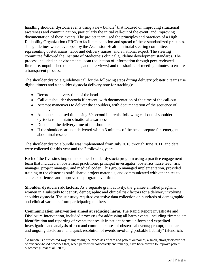[h](#page-71-0)andling shoulder dystocia events using a new bundle<sup>h</sup> that focused on improving situational awareness and communication, particularly the initial call-out of the event; and improving documentation of these events. The project team used the principles and practices of a High Reliability Organization (HRO) to facilitate adoption and spread of these standardized practices. The guidelines were developed by the Ascension Health perinatal steering committee, representing obstetricians, labor and delivery nurses, and a national expert. The steering committee followed the Institute of Medicine's clinical guideline development standards. The process included an environmental scan (collection of information through peer-reviewed literature, unpublished documents, and interviews) and the sharing of meeting minutes to ensure a transparent process.

The shoulder dystocia guidelines call for the following steps during delivery (obstetric teams use digital timers and a shoulder dystocia delivery note for tracking):

- Record the delivery time of the head
- Call out shoulder dystocia if present, with documentation of the time of the call-out
- Attempt maneuvers to deliver the shoulders, with documentation of the sequence of maneuvers
- Announce elapsed time using 30 second intervals following call-out of shoulder dystocia to maintain situational awareness
- Document the delivery time of the shoulders
- If the shoulders are not delivered within 3 minutes of the head, prepare for emergent abdominal rescue

The shoulder dystocia bundle was implemented from July 2010 through June 2011, and data were collected for this year and the 2 following years.

Each of the five sites implemented the shoulder dystocia program using a practice engagement team that included an obstetrical practitioner principal investigator, obstetrics nurse lead, risk manager, project manager, and medical coder. This group managed implementation, provided training to the obstetrics staff, shared project materials, and communicated with other sites to share experiences and improve the program over time.

**Shoulder dystocia risk factors.** As a separate grant activity, the grantee enrolled pregnant women in a substudy to identify demographic and clinical risk factors for a delivery involving shoulder dystocia. The substudy required extensive data collection on hundreds of demographic and clinical variables from participating mothers.

**Communication intervention aimed at reducing harm.** The Rapid Report Investigate and Disclosure Intervention, included processes for addressing all harm events, including "immediate identification and reporting of events that result in patient harm; uniform and expedited investigation and analysis of root and common causes of obstetrical events; prompt, transparent, and ongoing disclosure; and quick resolution of events involving probable liability" (Hendrich,

<span id="page-71-0"></span> $h$  A bundle is a structured way of improving the processes of care and patient outcomes, a small, straightforward set of evidence-based practices that, when performed collectively and reliably, have been proven to improve patient outcomes (Resar et al., 2005).  $\overline{a}$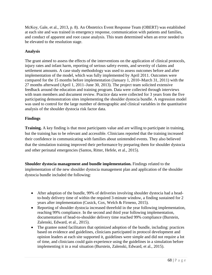McKoy, Gale, et al., 2013, p. 8). An Obstetrics Event Response Team (OBERT) was established at each site and was trained in emergency response, communication with patients and families, and conduct of apparent and root cause analysis. This team determined when an error needed to be elevated to the resolution stage.

# **Analysis**

The grant aimed to assess the effects of the interventions on the application of clinical protocols, injury rates and infant harm, reporting of serious safety events, and severity of claims and settlement amounts. A case study methodology was used to assess outcomes before and after implementation of the model, which was fully implemented by April 2011. Outcomes were compared for the 15 months before implementation (January 1, 2010–March 31, 2011) with the 27 months afterward (April 1, 2011–June 30, 2013). The project team solicited extensive feedback around the education and training program. Data were collected through interviews with team members and document review. Practice data were collected for 3 years from the five participating demonstration sites implementing the shoulder dystocia bundle. A regression model was used to control for the large number of demographic and clinical variables in the quantitative analysis of the shoulder dystocia risk factor data.

# **Findings**

**Training.** A key finding is that most participants value and are willing to participate in training, but the training has to be relevant and accessible. Clinicians reported that the training increased their confidence in communicating with families about unintended events. They also believed that the simulation training improved their performance by preparing them for shoulder dystocia and other perinatal emergencies (Santos, Ritter, Hefele, et al., 2015).

**Shoulder dystocia management and bundle implementation.** Findings related to the implementation of the new shoulder dystocia management plan and application of the shoulder dystocia bundle included the following:

- After adoption of the bundle, 99% of deliveries involving shoulder dystocia had a headto-body delivery time of within the required 3-minute window, a finding sustained for 2 years after implementation (Cusick, Cox, Welch & Firneno, 2015).
- Reporting of shoulder dystocia increased threefold in the year following implementation, reaching 99% compliance. In the second and third year following implementation, documentation of head-to-shoulder delivery time reached 99% compliance (Burstein, Zalenski, Edward, et al., 2015).
- The grantee noted facilitators that optimized adoption of the bundle, including: practices based on evidence and guidelines, clinicians participated in protocol development and opinion leaders at each site supported it, guidelines were simple and did not require a lot of time, and clinicians could gain experience using the guidelines in a simulation before implementing it in a real situation (Burstein, Zalenski, Edward, et al., 2015).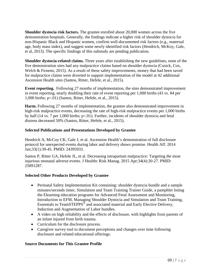**Shoulder dystocia risk factors.** The grantee enrolled about 20,000 women across the five demonstration hospitals. Generally, the findings indicate a higher risk of shoulder dystocia for non-Hispanic Black and Hispanic women, confirm well-documented risk factors (e.g., maternal age, body mass index), and suggest some newly identified risk factors (Hendrich, McKoy, Gale, et al, 2013). The specific findings of this substudy are pending publication.

**Shoulder dystocia-related claims.** Three years after establishing the new guidelines, none of the five demonstration sites had any malpractice claims based on shoulder dystocia (Cusick, Cox, Welch & Firneno, 2015). As a result of these safety improvements, money that had been saved for malpractice claims were diverted to support implementation of the model at 42 additional Ascension Health sites (Santos, Ritter, Hefele, et al., 2015).

**Event reporting.** Following 27 months of implementation, the sites demonstrated improvement in event reporting, nearly doubling their rate of event reporting per 1,000 births (43 vs. 84 per 1,000 births; p<.01) (Santos, Ritter, Hefele, et al., 2015).

**Harm.** Following 27 months of implementation, the grantee also demonstrated improvement in high-risk malpractice events, decreasing the rate of high-risk malpractice events per 1,000 births by half (14 vs. 7 per 1,000 births;  $p<0$ 1). Further, incidents of shoulder dystocia and fetal distress decreased 50% (Santos, Ritter, Hefele, et al., 2015).

## **Selected Publications and Presentations Developed by Grantee**

Hendrich A, McCoy CK, Gale J, et al. Ascension Health's demonstration of full disclosure protocol for unexpected events during labor and delivery shows promise. Health Aff. 2014 Jan;33(1):39-45. PMID: 24395933.

Santos P, Ritter GA, Hefele JL, et al. Decreasing intrapartum malpractice: Targeting the most injurious neonatal adverse events. J Healthc Risk Manag. 2015 Apr;34(4):20-27. PMID: 25891287.

#### **Selected Other Products Developed by Grantee**

- Perinatal Safety Implementation Kit containing: shoulder dystocia bundle and a sample minutes/seconds timer, Simulation and Team Training Trainer Guide, a pamphlet listing the Elearning education programs for Advanced Fetal Assessment and Monitoring, Introduction to EFM, Managing Shoulder Dystocia and Simulation and Team Training, Essentials to TeamSTEPPS<sup>®</sup> and associated material and Early Elective Delivery, Induction and Augmentation of Labor bundles.
- A video on high reliability and the effects of disclosure, with highlights from parents of an infant injured from birth trauma.
- Curriculum for the disclosure process.
- Caregiver survey tool to document perceptions and changes over time following disclosure and related educational offerings.

#### **Source Documents for This Grantee Profile**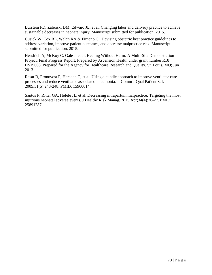Burstein PD, Zalenski DM, Edward JL, et al. Changing labor and delivery practice to achieve sustainable decreases in neonate injury. Manuscript submitted for publication. 2015.

Cusick W, Cox RL, Welch RA & Firneno C. Devising obstetric best practice guidelines to address variation, improve patient outcomes, and decrease malpractice risk. Manuscript submitted for publication. 2015.

Hendrich A, McKoy C, Gale J, et al. Healing Without Harm: A Multi-Site Demonstration Project. Final Progress Report. Prepared by Ascension Health under grant number R18 HS19608. Prepared for the Agency for Healthcare Research and Quality. St. Louis, MO; Jun 2013.

Resar R, Pronovost P, Haraden C, et al. [Using a bundle approach to improve ventilator care](http://www.ihi.org/resources/Pages/Publications/UsingaBundleApproachtoImproveVentilatorCareProcessesandReduceVAP.aspx)  [processes and reduce ventilator-associated pneumonia.](http://www.ihi.org/resources/Pages/Publications/UsingaBundleApproachtoImproveVentilatorCareProcessesandReduceVAP.aspx) Jt Comm J Qual Patient Saf. 2005;31(5):243-248. PMID: 15960014.

Santos P, Ritter GA, Hefele JL, et al. Decreasing intrapartum malpractice: Targeting the most injurious neonatal adverse events. J Healthc Risk Manag. 2015 Apr;34(4):20-27. PMID: 25891287.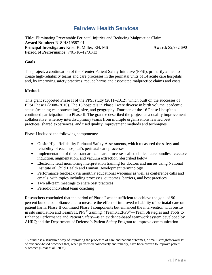# **Fairview Health Services**

**Title:** Eliminating Preventable Perinatal Injuries and Reducing Malpractice Claim **Award Number:** R18 HS19587-01 **Principal Investigator:** Kristi K. Miller, RN, MS **Award:** \$2,982,690 **Period of Performance:** 7/01/10–12/31/13

#### **Goals**

The project, a continuation of the Premier Patient Safety Initiative (PPSI), primarily aimed to create high-reliability teams and care processes in the perinatal units of 14 acute care hospitals and, by improving safety practices, reduce harms and associated malpractice claims and costs.

#### **Methods**

 $\overline{a}$ 

This grant supported Phase II of the PPSI study (2011–2012), which built on the successes of PPSI Phase I (2008–2010). The 16 hospitals in Phase I were diverse in birth volume, academic status (teaching vs. nonteaching), size, and geography. Fourteen of the 16 Phase I hospitals continued participation into Phase II. The grantee described the project as a quality improvement collaborative, whereby interdisciplinary teams from multiple organizations learned best practices, shared experiences, and used quality improvement methods and techniques.

Phase I included the following components:

- Onsite High Reliability Perinatal Safety Assessments, which measured the safety and reliability of each hospital's perinatal care processes
- Implementat[i](#page-75-0)on of three standardized care processes called clinical care bundles<sup>i</sup>: elective induction, augmentation, and vacuum extraction (described below)
- Electronic fetal monitoring interpretation training for doctors and nurses using National Institute of Child Health and Human Development terminology
- Performance feedback via monthly educational webinars as well as conference calls and emails, with topics including processes, outcomes, barriers, and best practices
- Two all-team meetings to share best practices
- Periodic individual team coaching

Researchers concluded that the period of Phase I was insufficient to achieve the goal of 90 percent bundle compliance and to measure the effect of improved reliability of perinatal care on patient harm. Phase II continued Phase I components but enhanced the intervention with onsite in situ simulation and TeamSTEPPS® training. (TeamSTEPPS®—Team Strategies and Tools to Enhance Performance and Patient Safety—is an evidence-based teamwork system developed by AHRQ and the Department of Defense's Patient Safety Program to improve communication

<span id="page-75-0"></span><sup>&</sup>lt;sup>i</sup> A bundle is a structured way of improving the processes of care and patient outcomes, a small, straightforward set of evidence-based practices that, when performed collectively and reliably, have been proven to improve patient outcomes (Resar et al., 2005).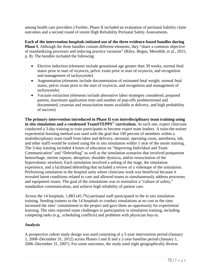among health care providers.) Further, Phase II included an evaluation of perinatal liability claim outcomes and a second round of onsite High Reliability Perinatal Safety Assessments.

**Each of the intervention hospitals initiated use of the three evidence-based bundles during Phase I.** Although the three bundles contain different elements, they "share a common objective of standardizing processes and reducing practice variation" (Riley, Begun, Meredith, et al., 2015, p. 8). The bundles included the following:

- Elective induction (elements include gestational age greater than 39 weeks, normal fetal status prior to start of oxytocin, pelvic exam prior to start of oxytocin, and recognition and management of tachysystole)
- Augmentation (elements include documentation of estimated fetal weight, normal fetal status, pelvic exam prior to the start of oxytocin, and recognition and management of tachysystole)
- Vacuum extraction (elements include alternative labor strategies considered, prepared patient, maximum application time and number of pop-offs predetermined and documented, cesarean and resuscitation teams available at delivery, and high probability of success)

**The primary intervention introduced in Phase II was interdisciplinary team training using in situ simulation and a condensed TeamSTEPPS**® **curriculum.** At each site, expert clinicians conducted a 3-day training to train participants to become expert team leaders. A train-the-trainer experiential learning method was used with the goal that 100 percent of members within a multidisciplinary team (staff from labor and delivery, neonatal, operating room, anesthesia, lab, and other staff) would be trained using the in situ simulation within 1 year of the onsite training. The 3-day training included 4 hours of education on "Improving Individual and Team Communication" and "Debriefing" as well as the simulation scenarios that involved postpartum hemorrhage, uterine rupture, abruption, shoulder dystocia, and/or resuscitation of the hypovolemic newborn. Each simulation involved a setting of the stage, the simulation experience, and a facilitated debriefing that included a review of a videotape of the simulation. Performing simulation in the hospital units where clinicians work was beneficial because it revealed latent conditions related to care and allowed teams to simultaneously address processes and equipment issues. The goal of the simulations was to normalize a "culture of safety," standardize communication, and achieve high reliability of patient care.

Across the 14 hospitals, 1,883 (45.7%) perinatal staff participated in the in situ simulation training. Sending trainers to the 14 hospitals to conduct simulations at no cost to the sites increased the sites' commitment to the project and gave them an opportunity for experiential learning. The sites reported some challenges to participation in simulation training, including competing tasks (e.g., scheduling conflicts) and problems with physician buy-in.

# **Analysis**

A prospective cohort study design was used consisting of a 5-year intervention period (January 1, 2008–December 31, 2012) across Phases I and II and a 2-year baseline period (January 1, 2006–December 31, 2007). For some outcomes, the study used eight geographically diverse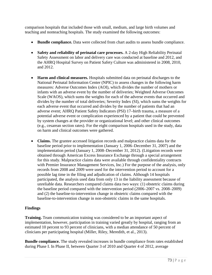comparison hospitals that included those with small, medium, and large birth volumes and teaching and nonteaching hospitals. The study examined the following outcomes:

- **Bundle compliance.** Data were collected from chart audits to assess bundle compliance.
- **Safety and reliability of perinatal care processes.** A 2-day High Reliability Perinatal Safety Assessment on labor and delivery care was conducted at baseline and 2012, and the AHRQ Hospital Survey on Patient Safety Culture was administered in 2008, 2010, and 2012.
- **Harm and clinical measures.** Hospitals submitted data on perinatal discharges to the National Perinatal Information Center (NPIC) to assess changes in the following harm measures: Adverse Outcomes Index (AOI), which divides the number of mothers or infants with an adverse event by the number of deliveries; Weighted Adverse Outcomes Scale (WAOS), which sums the weights for each of the adverse events that occurred and divides by the number of total deliveries; Severity Index (SI), which sums the weights for each adverse event that occurred and divides by the number of patients that had an adverse event; AHRQ Patient Safety Indicators (PSI) 17–birth trauma, a measure of a potential adverse event or complication experienced by a patient that could be prevented by system changes at the provider or organizational level; and other clinical outcomes (e.g., cesarean section rates). For the eight comparison hospitals used in the study, data on harm and clinical outcomes were gathered.
- **Claims.** The grantee accessed litigation records and malpractice claims data for the baseline period prior to implementation (January 1, 2006–December 31, 2007) and the implementation period (January 1, 2008–December 31, 2012). (Litigation records were obtained through American Excess Insurance Exchange through a special arrangement for this study. Malpractice claims data were available through confidentiality contracts with Premier Insurance Management Services, Inc.) For the purpose of the analysis, only records from 2008 and 2009 were used for the intervention period to account for a possible lag time in the filing and adjudication of claims. Although 14 hospitals participated, the analysis used data from only 13 in the liability assessment because of unreliable data. Researchers compared claims data two ways: (1) obstetric claims during the baseline period compared with the intervention period (2006–2007 vs. 2008–2009) and (2) the baseline-to-intervention change in obstetric claims compared with the baseline-to-intervention change in non-obstetric claims in the same hospitals.

# **Findings**

**Training.** Team communication training was considered to be an important aspect of implementation, however, participation in training varied greatly by hospital, ranging from an estimated 10 percent to 93 percent of clinicians, with a median attendance of 50 percent of clinicians per participating hospital (Miller, Riley, Meredith, et al., 2013).

**Bundle compliance.** The study revealed increases in bundle compliance from rates established during Phase I. In Phase II, between Quarter 3 of 2010 and Quarter 4 of 2012, average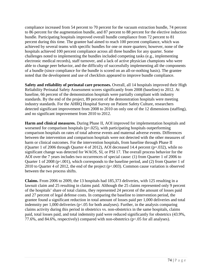compliance increased from 54 percent to 70 percent for the vacuum extraction bundle, 74 percent to 86 percent for the augmentation bundle, and 87 percent to 88 percent for the elective induction bundle. Participating hospitals improved overall bundle compliance from 72 percent to 81 percent during this time. The grantee had aimed to reach 100 percent compliance, which was achieved by several teams with specific bundles for one or more quarters; however, none of the hospitals achieved 100 percent compliance across all three bundles for any quarter. Some challenges noted to implementing the bundles included competing tasks (e.g., implementing electronic medical records), staff turnover, and a lack of active physician champions who were able to change peer behavior, and the difficulty of successfully implementing all the components of a bundle (since compliance for the bundle is scored on an all-or-nothing basis). The grantee noted that the development and use of checklists appeared to improve bundle compliance.

**Safety and reliability of perinatal care processes.** Overall, all 14 hospitals improved their High Reliability Perinatal Safety Assessment scores significantly from 2008 (baseline) to 2012. At baseline, 66 percent of the demonstration hospitals were partially compliant with industry standards. By the end of the project, 89 percent of the demonstration hospitals were meeting industry standards. For the AHRQ Hospital Survey on Patient Safety Culture, researchers detected significant improvement from 2008 to 2010 on only one of the 12 dimensions (staffing), and no significant improvement from 2010 to 2012.

**Harm and clinical measures.** During Phase II, AOI improved for implementation hospitals and worsened for comparison hospitals  $(p=.025)$ , with participating hospitals outperforming comparison hospitals on rates of total adverse events and maternal adverse events. Differences between the intervention and comparison hospitals were not detected with the other measures of harm or clinical outcomes. For the intervention hospitals, from baseline through Phase II (Quarter 1 of 2006 through Quarter 4 of 2012), AOI decreased 14.4 percent ( $p=.032$ ), while no significant change was detected for WAOS, SI, or PSI 17. The overall process behavior for the AOI over the 7 years includes two occurrences of special cause: (1) from Quarter 1 of 2006 to Quarter 1 of 2008 (p<.001), which corresponds to the baseline period, and (2) from Quarter 1 of 2010 to Quarter 4 of 2012, the end of the project (p<.003). Common cause variation is observed between the two process shifts.

**Claims.** From 2006 to 2009, the 13 hospitals had 185,373 deliveries, with 125 resulting in a lawsuit claim and 25 resulting in claims paid. Although the 25 claims represented only 9 percent of the hospitals' share of total claims, they represented 24 percent of the amount of losses paid and 27 percent of legal defense costs. In comparing the baseline to intervention period, the grantee found a significant reduction in total amount of losses paid per 1,000 deliveries and total indemnity per 1,000 deliveries (p<.05 for both analyses). Further, in the analysis comparing claims activity during this period in obstetrics vs. non-obstetrics in the same hospitals, claims paid, total losses paid, and total indemnity paid were reduced significantly for obstetrics (43.9%, 77.6%, and 84.6%, respectively) compared with non-obstetrics (p<.05 for all analyses).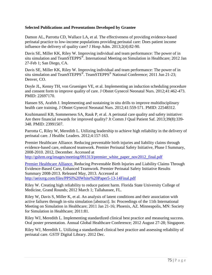#### **Selected Publications and Presentations Developed by Grantee**

Damon AL, Parrotta CD, Wallace LA, et al. The effectiveness of providing evidence-based perinatal practice to low-income populations providing perinatal care: Does patient income influence the delivery of quality care? J Hosp Adm. 2013;2(4):82-90.

Davis SE, Miller KK, Riley W. Improving individual and team performance: The power of in situ simulation and TeamSTEPPS<sup>®</sup>. International Meeting on Simulation in Healthcare; 2012 Jan 27-Feb 1; San Diego, CA.

Davis SE, Miller KK, Riley W. Improving individual and team performance: The power of in situ simulation and TeamSTEPPS<sup>®</sup>. TeamSTEPPS<sup>®</sup> National Conference; 2011 Jun 21-23; Denver, CO.

Doyle JL, Kenny TH, von Gruenigen VE, et al. Implementing an induction scheduling procedure and consent form to improve quality of care. J Obstet Gynecol Neonatal Nurs. 2012;41:462-473. PMID: 22697170.

Hansen SS, Arafeh J. Implementing and sustaining in situ drills to improve multidisciplinary health care training. J Obstet Gynecol Neonatal Nurs. 2012;41:559-571. PMID: 22548312.

Kozhimannil KB, Sommerness SA, Rauk P, et al. A perinatal care quality and safety initiative: Are there financial rewards for improved quality? Jt Comm J Qual Patient Saf. 2013;39(8):339- 348. PMID: 23991507.

Parrotta C, Riley W, Meredith L. Utilizing leadership to achieve high reliability in the delivery of perinatal care. J Healthc Leaders. 2012;4:157-163.

Premier Healthcare Alliance. Reducing preventable birth injuries and liability claims through evidence-based care, enhanced teamwork. Premier Perinatal Safety Initiative, Phase I Summary, 2008-2010. 2012, December. Accessed at

[http://gshrm.org/images/meeting/091313/premier\\_white\\_paper\\_nov2012\\_final.pdf](http://gshrm.org/images/meeting/091313/premier_white_paper_nov2012_final.pdf)

Premier Healthcare Alliance. Reducing Preventable Birth Injuries and Liability Claims Through Evidence-Based Care, Enhanced Teamwork. Premier Perinatal Safety Initiative Results Summary 2008-2013. Released May, 2013. Accessed at <http://aeixrrg.com/files/PPSI%20White%20Paper5-13-14Final.pdf>

Riley W. Creating high reliability to reduce patient harm. Florida State University College of Medicine, Grand Rounds; 2012 March 1; Tallahassee, FL.

Riley W, Davis S, Miller K, et al. An analysis of latent conditions and their association with active failures through in-situ simulation [abstract]. In: Proceedings of the 11th International Meeting on Simulation in Healthcare; 2011 Jan 21-16; Phoenix, AZ. Minneapolis, MN: Society for Simulation in Healthcare; 2011:81.

Riley WJ, Meredith L. Implementing standardized clinical best practice and measuring success. Oral poster presentation. Annual Global Healthcare Conference; 2012 August 27-28; Singapore.

Riley WJ, Meredith L. Utilizing a standardized clinical best practice and assessing reliability of perinatal care. GSTF Digital Library. 2012 Dec.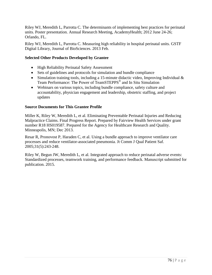Riley WJ, Meredith L, Parrotta C. The determinants of implementing best practices for perinatal units. Poster presentation. Annual Research Meeting, AcademyHealth; 2012 June 24-26; Orlando, FL.

Riley WJ, Meredith L, Parrotta C. Measuring high reliability in hospital perinatal units. GSTF Digital Library, Journal of BioSciences. 2013 Feb.

## **Selected Other Products Developed by Grantee**

- High Reliability Perinatal Safety Assessment
- Sets of guidelines and protocols for simulation and bundle compliance
- Simulation training tools, including a 15-minute didactic video, Improving Individual & Team Performance: The Power of TeamSTEPPS® and In Situ Simulation
- Webinars on various topics, including bundle compliance, safety culture and accountability, physician engagement and leadership, obstetric staffing, and project updates

## **Source Documents for This Grantee Profile**

Miller K, Riley W, Meredith L, et al. Eliminating Preventable Perinatal Injuries and Reducing Malpractice Claims. Final Progress Report. Prepared by Fairview Health Services under grant number R18 HS019587. Prepared for the Agency for Healthcare Research and Quality. Minneapolis, MN; Dec 2013.

Resar R, Pronovost P, Haraden C, et al. [Using a bundle approach to improve ventilator care](http://www.ihi.org/resources/Pages/Publications/UsingaBundleApproachtoImproveVentilatorCareProcessesandReduceVAP.aspx)  [processes and reduce ventilator-associated pneumonia.](http://www.ihi.org/resources/Pages/Publications/UsingaBundleApproachtoImproveVentilatorCareProcessesandReduceVAP.aspx) Jt Comm J Qual Patient Saf. 2005;31(5):243-248.

Riley W, Begun JW, Meredith L, et al. Integrated approach to reduce perinatal adverse events: Standardized processes, teamwork training, and performance feedback. Manuscript submitted for publication. 2015.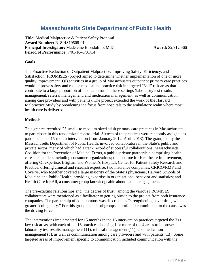# **Massachusetts State Department of Public Health**

**Title:** Medical Malpractice & Patient Safety Proposal **Award Number:** R18 HS19508-01 **Principal Investigator:** Madeleine Biondolillo, M.D. **Award:** \$2,912,566 **Period of Performance:** 7/01/10–3/31/14

#### **Goals**

The Proactive Reduction of Outpatient Malpractice: Improving Safety, Efficiency, and Satisfaction (PROMISES) project aimed to determine whether implementation of one or more quality improvement (QI) activities in a group of Massachusetts outpatient primary care practices would improve safety and reduce medical malpractice risk in targeted "3+1" risk areas that contribute to a large proportion of medical errors in these settings (laboratory test results management, referral management, and medication management, as well as communication among care providers and with patients). The project extended the work of the Harvard Malpractice Study by broadening the focus from hospitals to the ambulatory realm where most health care is delivered.

#### **Methods**

This grantee recruited 25 small- to medium-sized adult primary care practices in Massachusetts to participate in this randomized control trial. Sixteen of the practices were randomly assigned to participate in a 15-month intervention (from January 2012–April 2013). The grant, led by the Massachusetts Department of Public Health, involved collaborators in the State's public and private sector, many of which had a track record of successful collaborations: Massachusetts Coalition for the Prevention of Medical Errors, a public–private partnership comprising health care stakeholders including consumer organizations; the Institute for Healthcare Improvement, offering QI expertise; Brigham and Women's Hospital, Center for Patient Safety Research and Practice, offering clinical and research expertise; two insurance companies, CRICO/RMF and Coverys, who together covered a large majority of the State's physicians; Harvard Schools of Medicine and Public Health, providing expertise in organizational behavior and statistics; and Health Care for All, a consumer group knowledgeable about patient engagement.

The pre-existing relationships and "the degree of trust" among the various PROMISES collaborators were mentioned as a facilitator to getting buy-in to the project from both insurance companies. The partnership of collaborators was described as "strengthening" over time, with greater "collegiality." For this group and its subgroups, a profound commitment to the cause was the driving force.

The interventions implemented for 15 months in the 16 intervention practices targeted the 3+1 key risk areas, with each of the 16 practices choosing 1 or more of the 4 areas to improve: laboratory test results management (11), referral management (11), and medication management (3), as well as communication among care providers and with patients (13). Some targeted areas of improvement specific to communication included communication with the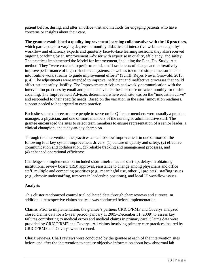patient before, during, and after an office visit and methods for engaging patients who have concerns or insights about their care.

**The grantee established a quality improvement learning collaborative with the 16 practices,** which participated to varying degrees in monthly didactic and interactive webinars taught by workflow and efficiency experts and quarterly face-to-face learning sessions; they also received ongoing coaching by an Improvement Advisor with expertise in quality, efficiency, and safety. The practices implemented the Model for Improvement, including the Plan, Do, Study, Act method. They "were coached to perform rapid, small-scale tests of change and to iteratively improve performance of high-risk clinical systems, as well as to embed simple measurements into routine work streams to guide improvement efforts" (Schiff, Reyes Nieva, Griswold, 2015, p. 4). The adjustments were intended to improve inefficient and ineffective processes that could affect patient safety liability. The Improvement Advisors had weekly communication with the intervention practices by email and phone and visited the sites once or twice monthly for onsite coaching. The Improvement Advisors determined where each site was on the "innovation curve" and responded to their specific needs. Based on the variation in the sites' innovation readiness, support needed to be targeted to each practice.

Each site selected three or more people to serve on its QI team; members were usually a practice manager, a physician, and one or more members of the nursing or administrative staff. The grantee encouraged the sites to select team members to ensure representation of a senior leader, a clinical champion, and a day-to-day champion.

Through the intervention, the practices aimed to show improvement in one or more of the following four key system improvement drivers: (1) culture of quality and safety, (2) effective communication and collaboration, (3) reliable tracking and management processes, and (4) enhanced operational efficiency.

Challenges to implementation included short timeframes for start-up, delays in obtaining institutional review board (IRB) approval, resistance to change among physicians and office staff, multiple and competing priorities (e.g., meaningful use, other QI projects), staffing issues (e.g., chronic understaffing, turnover in leadership positions), and local IT workflow issues.

#### **Analysis**

This cluster randomized control trial collected data through chart reviews and surveys. In addition, a retrospective claims analysis was conducted before implementation.

**Claims.** Prior to implementation, the grantee's partners CRICO/RMF and Coverys analyzed closed claims data for a 5-year period (January 1, 2005–December 31, 2009) to assess key failures contributing to medical errors and medical claims in primary care. Claims data were provided by CRICO/RMF and Coverys. All claims involving primary care practices insured by CRICO/RMF and Coverys were screened.

**Chart reviews.** Chart reviews were conducted by the grantee at each of the intervention sites before and after the intervention to capture objective information about how abnormal lab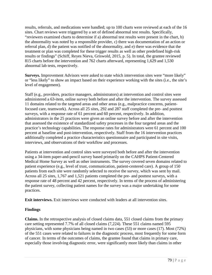results, referrals, and medications were handled; up to 100 charts were reviewed at each of the 16 sites. Chart reviews were triggered by a set of defined abnormal test results. Specifically, "reviewers examined charts to determine if a) abnormal test results were present in the chart, b) the abnormality was noted by a responsible provider, c) there was documentation of an action or referral plan, d) the patient was notified of the abnormality, and e) there was evidence that the treatment or plan was completed for these trigger results as well as other predefined high-risk results or findings" (Schiff, Reyes Nieva, Griswold, 2015, p. 5). In total, the grantee reviewed 815 charts before the intervention and 762 charts afterward, representing 1,629 and 1,530 abnormal lab tests, respectively.

**Surveys.** Improvement Advisors were asked to state which intervention sites were "more likely" or "less likely" to show an impact based on their experience working with the sites (i.e., the site's level of engagement).

Staff (e.g., providers, practice managers, administrators) at intervention and control sites were administered a 63-item, online survey both before and after the intervention. The survey assessed 11 domains related to the targeted areas and other areas (e.g., malpractice concerns, patientfocused care, teamwork). Across all 25 sites, 292 and 287 staff completed the pre- and posttest surveys, with a response rate of 61 percent and 60 percent, respectively. In addition, administrators in the 25 practices were given an online survey before and after the intervention that assessed the existence of standardized safety processes in the four targeted areas and the practice's technology capabilities. The response rates for administrators were 61 percent and 100 percent at baseline and post-intervention, respectively. Staff from the 16 intervention practices additionally completed a practice characteristics questionnaire and participated in site visits, interviews, and observations of their workflow and processes.

Patients at intervention and control sites were surveyed both before and after the intervention using a 34-item paper-and-pencil survey based primarily on the CAHPS Patient-Centered Medical Home Survey as well as other instruments. The survey covered seven domains related to patient experience (e.g., level of trust, communication, patient-centered care). A group of 150 patients from each site were randomly selected to receive the survey, which was sent by mail. Across all 25 sites, 1,767 and 1,521 patients completed the pre- and posttest surveys, with a response rate of 48 percent and 42 percent, respectively. In terms of the process of administering the patient survey, collecting patient names for the survey was a major undertaking for some practices.

**Exit interviews.** Exit interviews were conducted with leaders at all intervention sites.

# **Findings**

**Claims.** In the retrospective analysis of closed claims data, 551 closed claims from the primary care setting represented 7.7% of all closed claims (7,224). These 551 claims named 595 physicians, with some physicians being named in two cases (53) or more cases (17). Most (72%) of the 551 cases were related to failures in the diagnostic process, most frequently for some form of cancer. In terms of the outcomes of claims, the grantee found that claims in primary care, especially those involving diagnostic error, were significantly more likely than claims in other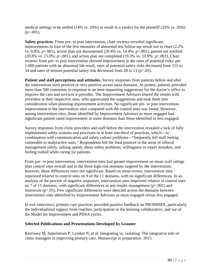medical settings to be settled (14% vs. 10%) or result in a verdict for the plaintiff (35% vs. 20%)  $(p<.001)$ .

**Safety practices.** From pre- to post intervention, chart reviews revealed significant improvements in four of the five measures of abnormal test follow-up: result not in chart (2.2% vs. 0.8%; p<.001), action plan not documented (20.4% vs. 14.4%; p<.001), patient not notified  $(20.8\% \text{ vs. } 15.0\%; \text{ p} < 0.001)$ , and action plan not completed  $(19.3\% \text{ vs. } 10.8\%; \text{ p} < 0.001)$ . Chart reviews from pre- to post intervention showed improvement in the rates of potential risks: per 1,000 patients with an abnormal lab result, rates of potential safety risks decreased from 155 to 54 and rates of serious potential safety risk decreased from 28 to 13 ( $p<0.05$ ).

**Patient and staff perceptions and attitudes.** Survey responses from patients before and after the intervention were positive or very positive across most domains. At pretest, patients provided more than 500 comments in response to an item requesting suggestions for the doctor's office to improve the care and services it provides. The Improvement Advisors shared the results with providers at their respective sites, who appreciated the suggestions and took them into consideration when planning improvement activities. No significant pre- to post intervention improvement in the intervention sites compared with the control sites was found. However, among intervention sites, those identified by Improvement Advisors as more engaged had significant patient-rated improvement in some domains than those identified as less engaged.

Survey responses from clinic providers and staff before the intervention revealed a lack of fully implemented safety systems and processes in at least one-third of practices, which—in combination with communication and safety culture problems—"frequently left staff feeling vulnerable to malpractice suits." Respondents felt the least positive in the areas of referral management safety, talking openly about safety problems, willingness to report mistakes, and feeling rushed while caring for patients.

From pre- to post intervention, intervention sites had greater improvement on mean staff ratings than control sites overall and in the three high-risk domains targeted by the intervention; however, these differences were not significant. Based on mean scores, intervention sites improved relative to control sites on 9 of the 11 domains, with no significant differences. In an analysis of the percent of negative responses, intervention sites improved relative to control sites on 7 of 11 domains, with significant differences in test results management ( $p<.001$ ) and teamwork (p<.05). Few significant differences were detected across the domains between intervention sites identified by Improvement Advisors as more engaged versus less engaged.

In exit interviews, primary care practices provided positive feedback on PROMISES, particularly the individualized support from coaches, participation in the learning collaborative, and use of the Model for Improvement and PDSA cycles.

# **Selected Publications and Presentations Developed by Grantee**

Kerrissey M, Satterstrom P, Leydon N, et al. Integrating vs. isolating: The integrative role of clinic managers in improving primary care. Manuscript in preparation. 2015.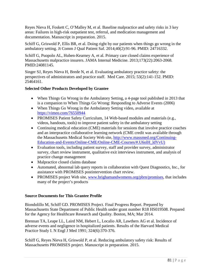Reyes Nieva H, Foskett C, O'Malley M, et al. Baseline malpractice and safety risks in 3 key areas: Failures in high-risk outpatient test, referral, and medication management and documentation. Manuscript in preparation. 2015.

Schiff G, Griswold P, Ellis BR, et al. Doing right by our patients when things go wrong in the ambulatory setting. Jt Comm J Qual Patient Saf. 2014;40(2):91-96. PMID: 24716332.

Schiff G, Puopolo AL, Huben-Kearney A, et al. Primary care closed claims experience of Massachusetts malpractice insurers. JAMA Internal Medicine. 2013;173(22):2063-2068. PMID:24081145.

Singer SJ, Reyes Nieva H, Brede N, et al. Evaluating ambulatory practice safety: the perspectives of administrators and practice staff. Med Care. 2015; 53(2):141-152. PMID: 25464161.

## **Selected Other Products Developed by Grantee**

- When Things Go Wrong in the Ambulatory Setting, a 4-page tool published in 2013 that is a companion to When Things Go Wrong: Responding to Adverse Events (2006)
- When Things Go Wrong in the Ambulatory Setting video, available at <https://vimeo.com/76550944>
- PROMISES Patient Safety Curriculum, 14 Web-based modules and materials (e.g., videos, handouts, tools) to improve patient safety in the ambulatory setting
- Continuing medical education (CME) materials for sessions that involve practice coaches and an interpractice collaborative learning network (CME credit was available through the Massachusetts Medical Society Web site, [http://www.massmed.org/Continuing-](http://www.massmed.org/Continuing-Education-and-Events/Online-CME/Online-CME-Courses/%23.U6olH_ldVvU)[Education-and-Events/Online-CME/Online-CME-Courses/#.U6olH\\_ldVvU\)](http://www.massmed.org/Continuing-Education-and-Events/Online-CME/Online-CME-Courses/%23.U6olH_ldVvU)
- Evaluation tools, including patient survey, staff and provider survey, administrator survey, chart review instrument, qualitative exit interviews instrument, and analysis of practice change management
- Malpractice closed claims database
- Automated, abnormal lab query reports in collaboration with Quest Diagnostics, Inc., for assistance with PROMISES postintervention chart review.
- PROMISES project Web site, [www.brighamandwomens.org/pbrn/promises,](http://www.brighamandwomens.org/pbrn/promises) that includes many of the project's products

#### **Source Documents for This Grantee Profile**

Biondolillo M, Schiff GD. PROMISES Project. Final Progress Report. Prepared by Massachusetts State Department of Public Health under grant number R18 HS019508. Prepared for the Agency for Healthcare Research and Quality. Boston, MA; Mar 2014.

Brennan TA, Leape LL, Laird NM, Hebert L, Localio AR, Lawthers AG et al. Incidence of adverse events and negligence in hospitalized patients. Results of the Harvard Medical Practice Study I. N Engl J Med 1991; 324(6):370-376.

Schiff G, Reyes Nieva H, Griswold P, et al. Reducing ambulatory safety risk: Results of Massachusetts PROMISES project. Manuscript in preparation. 2015.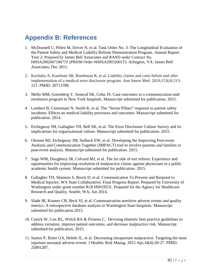# **Appendix B: References**

- 1. McDonnell C, Pillen M, Driver N, et al. Task Order No. 3: The Longitudinal Evaluation of the Patient Safety and Medical Liability Reform Demonstration Program. Annual Report: Year 2. Prepared by James Bell Associates and RAND under Contract No. HHSA290200710073T (PRISM Order #HHSA29032001T). Arlington, VA: James Bell Associates; Dec 2011.
- 2. Kachalia A, Kaufman SR, Boothman R, et al. Liability claims and costs before and after implementation of a medical error disclosure program. Ann Intern Med. 2010;153(4):213- 221. PMID: 20713789.
- 3. Mello MM, Greenberg Y, Senecal SK, Cohn JS. Case outcomes in a communication-andresolution program in New York hospitals. Manuscript submitted for publication. 2015.
- 4. Lambert B, Centomani N, Smith K, et al. The "Seven Pillars" response to patient safety incidents: Effects on medical liability processes and outcomes. Manuscript submitted for publication. 2014.
- 5. Etchegaray JM, Gallagher TH, Bell SK, et al. The Error Disclosure Culture Survey and its implications for organizational culture. Manuscript submitted for publication. 2015.
- 6. Ottosen MJ, Etchegaray JM, Sedlock EW, et al. Developing the Improving Post-event Analysis and Communication Together (IMPACT) tool to involve patients and families in post-event analysis. Manuscript submitted for publication. 2015.
- 7. Sage WM, Dougherty JR, Colvard MJ, et al. The far side of tort reform: Experience and opportunities for improving resolution of malpractice claims against physicians in a public academic health system. Manuscript submitted for publication. 2015.
- 8. Gallagher TH, Shannon S, Brock D, et al. Communication To Prevent and Respond to Medical Injuries: WA State Collaborative. Final Progress Report. Prepared by University of Washington under grant number R18 HS019531. Prepared for the Agency for Healthcare Research and Quality. Seattle, WA; Jun 2014.
- 9. Slade IR, Kramer CB, Beck SJ, et al. Communication-sensitive adverse events and quality metrics: A retrospective database analysis in Washington State hospitals. Manuscript submitted for publication.2015.
- 10. Cusick W, Cox RL, Welch RA & Firneno C. Devising obstetric best practice guidelines to address variation, improve patient outcomes, and decrease malpractice risk. Manuscript submitted for publication. 2015.
- 11. Santos P, Ritter GA, Hefele JL, et al. Decreasing intrapartum malpractice: Targeting the most injurious neonatal adverse events. J Healthc Risk Manag. 2015 Apr;34(4):20-27. PMID: 25891287.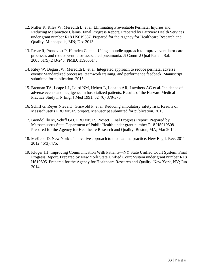- 12. Miller K, Riley W, Meredith L, et al. Eliminating Preventable Perinatal Injuries and Reducing Malpractice Claims. Final Progress Report. Prepared by Fairview Health Services under grant number R18 HS019587. Prepared for the Agency for Healthcare Research and Quality. Minneapolis, MN; Dec 2013.
- 13. Resar R, Pronovost P, Haraden C, et al. [Using a bundle approach to improve ventilator care](http://www.ihi.org/resources/Pages/Publications/UsingaBundleApproachtoImproveVentilatorCareProcessesandReduceVAP.aspx) [processes and reduce ventilator-associated pneumonia.](http://www.ihi.org/resources/Pages/Publications/UsingaBundleApproachtoImproveVentilatorCareProcessesandReduceVAP.aspx) Jt Comm J Qual Patient Saf. 2005;31(5):243-248. PMID: 15960014.
- 14. Riley W, Begun JW, Meredith L, et al. Integrated approach to reduce perinatal adverse events: Standardized processes, teamwork training, and performance feedback. Manuscript submitted for publication. 2015.
- 15. Brennan TA, Leape LL, Laird NM, Hebert L, Localio AR, Lawthers AG et al. Incidence of adverse events and negligence in hospitalized patients. Results of the Harvard Medical Practice Study I. N Engl J Med 1991; 324(6):370-376.
- 16. Schiff G, Reyes Nieva H, Griswold P, et al. Reducing ambulatory safety risk: Results of Massachusetts PROMISES project. Manuscript submitted for publication. 2015.
- 17. Biondolillo M, Schiff GD. PROMISES Project. Final Progress Report. Prepared by Massachusetts State Department of Public Health under grant number R18 HS019508. Prepared for the Agency for Healthcare Research and Quality. Boston, MA; Mar 2014.
- 18. McKeon D. New York's innovative approach to medical malpractice. New Eng L Rev. 2011- 2012;46(3):475.
- 19. Kluger JH. Improving Communication With Patients—NY State Unified Court System. Final Progress Report. Prepared by New York State Unified Court System under grant number R18 HS19505. Prepared for the Agency for Healthcare Research and Quality. New York, NY; Jun 2014.